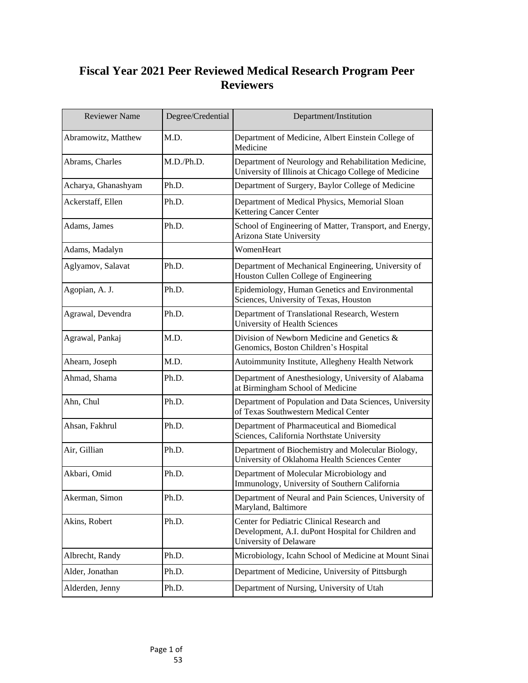## **Fiscal Year 2021 Peer Reviewed Medical Research Program Peer Reviewers**

| <b>Reviewer Name</b> | Degree/Credential | Department/Institution                                                                                                            |
|----------------------|-------------------|-----------------------------------------------------------------------------------------------------------------------------------|
| Abramowitz, Matthew  | M.D.              | Department of Medicine, Albert Einstein College of<br>Medicine                                                                    |
| Abrams, Charles      | M.D./Ph.D.        | Department of Neurology and Rehabilitation Medicine,<br>University of Illinois at Chicago College of Medicine                     |
| Acharya, Ghanashyam  | Ph.D.             | Department of Surgery, Baylor College of Medicine                                                                                 |
| Ackerstaff, Ellen    | Ph.D.             | Department of Medical Physics, Memorial Sloan<br><b>Kettering Cancer Center</b>                                                   |
| Adams, James         | Ph.D.             | School of Engineering of Matter, Transport, and Energy,<br><b>Arizona State University</b>                                        |
| Adams, Madalyn       |                   | WomenHeart                                                                                                                        |
| Aglyamov, Salavat    | Ph.D.             | Department of Mechanical Engineering, University of<br>Houston Cullen College of Engineering                                      |
| Agopian, A. J.       | Ph.D.             | Epidemiology, Human Genetics and Environmental<br>Sciences, University of Texas, Houston                                          |
| Agrawal, Devendra    | Ph.D.             | Department of Translational Research, Western<br><b>University of Health Sciences</b>                                             |
| Agrawal, Pankaj      | M.D.              | Division of Newborn Medicine and Genetics &<br>Genomics, Boston Children's Hospital                                               |
| Ahearn, Joseph       | M.D.              | Autoimmunity Institute, Allegheny Health Network                                                                                  |
| Ahmad, Shama         | Ph.D.             | Department of Anesthesiology, University of Alabama<br>at Birmingham School of Medicine                                           |
| Ahn, Chul            | Ph.D.             | Department of Population and Data Sciences, University<br>of Texas Southwestern Medical Center                                    |
| Ahsan, Fakhrul       | Ph.D.             | Department of Pharmaceutical and Biomedical<br>Sciences, California Northstate University                                         |
| Air, Gillian         | Ph.D.             | Department of Biochemistry and Molecular Biology,<br>University of Oklahoma Health Sciences Center                                |
| Akbari, Omid         | Ph.D.             | Department of Molecular Microbiology and<br>Immunology, University of Southern California                                         |
| Akerman, Simon       | Ph.D.             | Department of Neural and Pain Sciences, University of<br>Maryland, Baltimore                                                      |
| Akins, Robert        | Ph.D.             | Center for Pediatric Clinical Research and<br>Development, A.I. duPont Hospital for Children and<br><b>University of Delaware</b> |
| Albrecht, Randy      | Ph.D.             | Microbiology, Icahn School of Medicine at Mount Sinai                                                                             |
| Alder, Jonathan      | Ph.D.             | Department of Medicine, University of Pittsburgh                                                                                  |
| Alderden, Jenny      | Ph.D.             | Department of Nursing, University of Utah                                                                                         |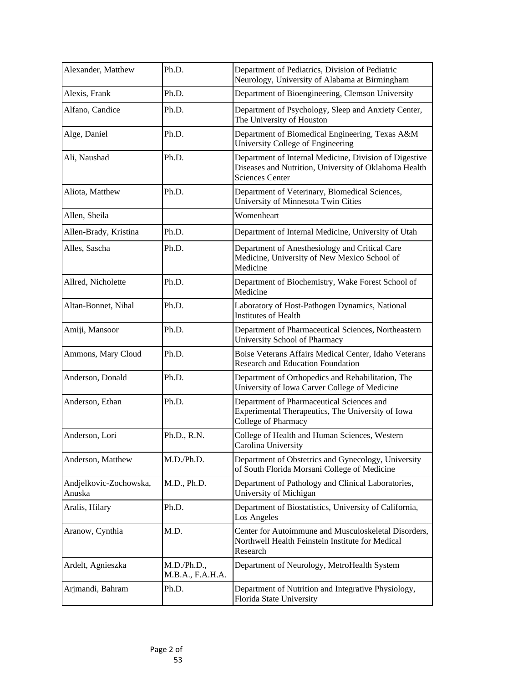| Alexander, Matthew               | Ph.D.                           | Department of Pediatrics, Division of Pediatric<br>Neurology, University of Alabama at Birmingham                                         |
|----------------------------------|---------------------------------|-------------------------------------------------------------------------------------------------------------------------------------------|
| Alexis, Frank                    | Ph.D.                           | Department of Bioengineering, Clemson University                                                                                          |
| Alfano, Candice                  | Ph.D.                           | Department of Psychology, Sleep and Anxiety Center,<br>The University of Houston                                                          |
| Alge, Daniel                     | Ph.D.                           | Department of Biomedical Engineering, Texas A&M<br><b>University College of Engineering</b>                                               |
| Ali, Naushad                     | Ph.D.                           | Department of Internal Medicine, Division of Digestive<br>Diseases and Nutrition, University of Oklahoma Health<br><b>Sciences Center</b> |
| Aliota, Matthew                  | Ph.D.                           | Department of Veterinary, Biomedical Sciences,<br>University of Minnesota Twin Cities                                                     |
| Allen, Sheila                    |                                 | Womenheart                                                                                                                                |
| Allen-Brady, Kristina            | Ph.D.                           | Department of Internal Medicine, University of Utah                                                                                       |
| Alles, Sascha                    | Ph.D.                           | Department of Anesthesiology and Critical Care<br>Medicine, University of New Mexico School of<br>Medicine                                |
| Allred, Nicholette               | Ph.D.                           | Department of Biochemistry, Wake Forest School of<br>Medicine                                                                             |
| Altan-Bonnet, Nihal              | Ph.D.                           | Laboratory of Host-Pathogen Dynamics, National<br><b>Institutes of Health</b>                                                             |
| Amiji, Mansoor                   | Ph.D.                           | Department of Pharmaceutical Sciences, Northeastern<br><b>University School of Pharmacy</b>                                               |
| Ammons, Mary Cloud               | Ph.D.                           | Boise Veterans Affairs Medical Center, Idaho Veterans<br><b>Research and Education Foundation</b>                                         |
| Anderson, Donald                 | Ph.D.                           | Department of Orthopedics and Rehabilitation, The<br>University of Iowa Carver College of Medicine                                        |
| Anderson, Ethan                  | Ph.D.                           | Department of Pharmaceutical Sciences and<br>Experimental Therapeutics, The University of Iowa<br>College of Pharmacy                     |
| Anderson, Lori                   | Ph.D., R.N.                     | College of Health and Human Sciences, Western<br>Carolina University                                                                      |
| Anderson, Matthew                | M.D./Ph.D.                      | Department of Obstetrics and Gynecology, University<br>of South Florida Morsani College of Medicine                                       |
| Andjelkovic-Zochowska,<br>Anuska | M.D., Ph.D.                     | Department of Pathology and Clinical Laboratories,<br>University of Michigan                                                              |
| Aralis, Hilary                   | Ph.D.                           | Department of Biostatistics, University of California,<br><b>Los Angeles</b>                                                              |
| Aranow, Cynthia                  | M.D.                            | Center for Autoimmune and Musculoskeletal Disorders,<br>Northwell Health Feinstein Institute for Medical<br>Research                      |
| Ardelt, Agnieszka                | M.D./Ph.D.,<br>M.B.A., F.A.H.A. | Department of Neurology, MetroHealth System                                                                                               |
| Arjmandi, Bahram                 | Ph.D.                           | Department of Nutrition and Integrative Physiology,<br>Florida State University                                                           |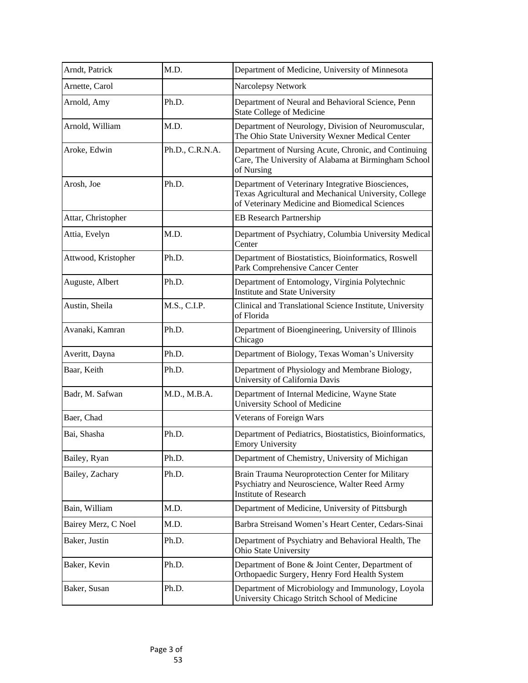| Arndt, Patrick      | M.D.            | Department of Medicine, University of Minnesota                                                                                                              |
|---------------------|-----------------|--------------------------------------------------------------------------------------------------------------------------------------------------------------|
| Arnette, Carol      |                 | Narcolepsy Network                                                                                                                                           |
| Arnold, Amy         | Ph.D.           | Department of Neural and Behavioral Science, Penn<br><b>State College of Medicine</b>                                                                        |
| Arnold, William     | M.D.            | Department of Neurology, Division of Neuromuscular,<br>The Ohio State University Wexner Medical Center                                                       |
| Aroke, Edwin        | Ph.D., C.R.N.A. | Department of Nursing Acute, Chronic, and Continuing<br>Care, The University of Alabama at Birmingham School<br>of Nursing                                   |
| Arosh, Joe          | Ph.D.           | Department of Veterinary Integrative Biosciences,<br>Texas Agricultural and Mechanical University, College<br>of Veterinary Medicine and Biomedical Sciences |
| Attar, Christopher  |                 | <b>EB Research Partnership</b>                                                                                                                               |
| Attia, Evelyn       | M.D.            | Department of Psychiatry, Columbia University Medical<br>Center                                                                                              |
| Attwood, Kristopher | Ph.D.           | Department of Biostatistics, Bioinformatics, Roswell<br>Park Comprehensive Cancer Center                                                                     |
| Auguste, Albert     | Ph.D.           | Department of Entomology, Virginia Polytechnic<br><b>Institute and State University</b>                                                                      |
| Austin, Sheila      | M.S., C.I.P.    | Clinical and Translational Science Institute, University<br>of Florida                                                                                       |
| Avanaki, Kamran     | Ph.D.           | Department of Bioengineering, University of Illinois<br>Chicago                                                                                              |
| Averitt, Dayna      | Ph.D.           | Department of Biology, Texas Woman's University                                                                                                              |
| Baar, Keith         | Ph.D.           | Department of Physiology and Membrane Biology,<br>University of California Davis                                                                             |
| Badr, M. Safwan     | M.D., M.B.A.    | Department of Internal Medicine, Wayne State<br><b>University School of Medicine</b>                                                                         |
| Baer, Chad          |                 | Veterans of Foreign Wars                                                                                                                                     |
| Bai, Shasha         | Ph.D.           | Department of Pediatrics, Biostatistics, Bioinformatics,<br><b>Emory University</b>                                                                          |
| Bailey, Ryan        | Ph.D.           | Department of Chemistry, University of Michigan                                                                                                              |
| Bailey, Zachary     | Ph.D.           | Brain Trauma Neuroprotection Center for Military<br>Psychiatry and Neuroscience, Walter Reed Army<br><b>Institute of Research</b>                            |
| Bain, William       | M.D.            | Department of Medicine, University of Pittsburgh                                                                                                             |
| Bairey Merz, C Noel | M.D.            | Barbra Streisand Women's Heart Center, Cedars-Sinai                                                                                                          |
| Baker, Justin       | Ph.D.           | Department of Psychiatry and Behavioral Health, The<br><b>Ohio State University</b>                                                                          |
| Baker, Kevin        | Ph.D.           | Department of Bone & Joint Center, Department of<br>Orthopaedic Surgery, Henry Ford Health System                                                            |
| Baker, Susan        | Ph.D.           | Department of Microbiology and Immunology, Loyola<br>University Chicago Stritch School of Medicine                                                           |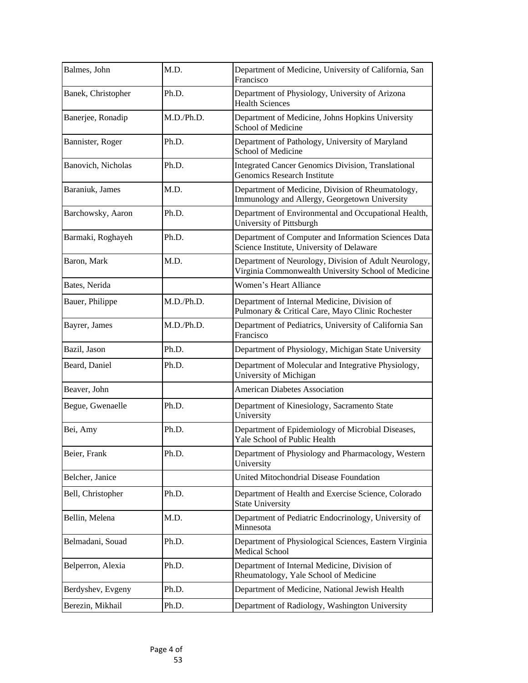| Balmes, John       | M.D.       | Department of Medicine, University of California, San<br>Francisco                                           |
|--------------------|------------|--------------------------------------------------------------------------------------------------------------|
| Banek, Christopher | Ph.D.      | Department of Physiology, University of Arizona<br><b>Health Sciences</b>                                    |
| Banerjee, Ronadip  | M.D./Ph.D. | Department of Medicine, Johns Hopkins University<br><b>School of Medicine</b>                                |
| Bannister, Roger   | Ph.D.      | Department of Pathology, University of Maryland<br><b>School of Medicine</b>                                 |
| Banovich, Nicholas | Ph.D.      | <b>Integrated Cancer Genomics Division, Translational</b><br><b>Genomics Research Institute</b>              |
| Baraniuk, James    | M.D.       | Department of Medicine, Division of Rheumatology,<br>Immunology and Allergy, Georgetown University           |
| Barchowsky, Aaron  | Ph.D.      | Department of Environmental and Occupational Health,<br>University of Pittsburgh                             |
| Barmaki, Roghayeh  | Ph.D.      | Department of Computer and Information Sciences Data<br>Science Institute, University of Delaware            |
| Baron, Mark        | M.D.       | Department of Neurology, Division of Adult Neurology,<br>Virginia Commonwealth University School of Medicine |
| Bates, Nerida      |            | <b>Women's Heart Alliance</b>                                                                                |
| Bauer, Philippe    | M.D./Ph.D. | Department of Internal Medicine, Division of<br>Pulmonary & Critical Care, Mayo Clinic Rochester             |
| Bayrer, James      | M.D./Ph.D. | Department of Pediatrics, University of California San<br>Francisco                                          |
| Bazil, Jason       | Ph.D.      | Department of Physiology, Michigan State University                                                          |
| Beard, Daniel      | Ph.D.      | Department of Molecular and Integrative Physiology,<br>University of Michigan                                |
| Beaver, John       |            | <b>American Diabetes Association</b>                                                                         |
| Begue, Gwenaelle   | Ph.D.      | Department of Kinesiology, Sacramento State<br>University                                                    |
| Bei, Amy           | Ph.D.      | Department of Epidemiology of Microbial Diseases,<br>Yale School of Public Health                            |
| Beier, Frank       | Ph.D.      | Department of Physiology and Pharmacology, Western<br>University                                             |
| Belcher, Janice    |            | <b>United Mitochondrial Disease Foundation</b>                                                               |
| Bell, Christopher  | Ph.D.      | Department of Health and Exercise Science, Colorado<br><b>State University</b>                               |
| Bellin, Melena     | M.D.       | Department of Pediatric Endocrinology, University of<br>Minnesota                                            |
| Belmadani, Souad   | Ph.D.      | Department of Physiological Sciences, Eastern Virginia<br><b>Medical School</b>                              |
| Belperron, Alexia  | Ph.D.      | Department of Internal Medicine, Division of<br>Rheumatology, Yale School of Medicine                        |
| Berdyshev, Evgeny  | Ph.D.      | Department of Medicine, National Jewish Health                                                               |
| Berezin, Mikhail   | Ph.D.      | Department of Radiology, Washington University                                                               |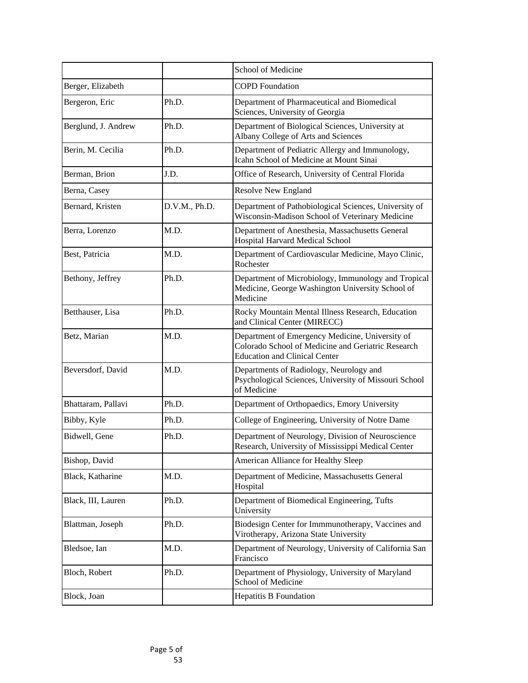|                     |               | School of Medicine                                                                                                                            |
|---------------------|---------------|-----------------------------------------------------------------------------------------------------------------------------------------------|
| Berger, Elizabeth   |               | <b>COPD Foundation</b>                                                                                                                        |
| Bergeron, Eric      | Ph.D.         | Department of Pharmaceutical and Biomedical<br>Sciences, University of Georgia                                                                |
| Berglund, J. Andrew | Ph.D.         | Department of Biological Sciences, University at<br>Albany College of Arts and Sciences                                                       |
| Berin, M. Cecilia   | Ph.D.         | Department of Pediatric Allergy and Immunology,<br>Icahn School of Medicine at Mount Sinai                                                    |
| Berman, Brion       | J.D.          | Office of Research, University of Central Florida                                                                                             |
| Berna, Casey        |               | <b>Resolve New England</b>                                                                                                                    |
| Bernard, Kristen    | D.V.M., Ph.D. | Department of Pathobiological Sciences, University of<br>Wisconsin-Madison School of Veterinary Medicine                                      |
| Berra, Lorenzo      | M.D.          | Department of Anesthesia, Massachusetts General<br>Hospital Harvard Medical School                                                            |
| Best, Patricia      | M.D.          | Department of Cardiovascular Medicine, Mayo Clinic,<br>Rochester                                                                              |
| Bethony, Jeffrey    | Ph.D.         | Department of Microbiology, Immunology and Tropical<br>Medicine, George Washington University School of<br>Medicine                           |
| Betthauser, Lisa    | Ph.D.         | Rocky Mountain Mental Illness Research, Education<br>and Clinical Center (MIRECC)                                                             |
| Betz, Marian        | M.D.          | Department of Emergency Medicine, University of<br>Colorado School of Medicine and Geriatric Research<br><b>Education and Clinical Center</b> |
| Beversdorf, David   | M.D.          | Departments of Radiology, Neurology and<br>Psychological Sciences, University of Missouri School<br>of Medicine                               |
| Bhattaram, Pallavi  | Ph.D.         | Department of Orthopaedics, Emory University                                                                                                  |
| Bibby, Kyle         | Ph.D.         | College of Engineering, University of Notre Dame                                                                                              |
| Bidwell, Gene       | Ph.D.         | Department of Neurology, Division of Neuroscience<br>Research, University of Mississippi Medical Center                                       |
| Bishop, David       |               | American Alliance for Healthy Sleep                                                                                                           |
| Black, Katharine    | M.D.          | Department of Medicine, Massachusetts General<br>Hospital                                                                                     |
| Black, III, Lauren  | Ph.D.         | Department of Biomedical Engineering, Tufts<br>University                                                                                     |
| Blattman, Joseph    | Ph.D.         | Biodesign Center for Immmunotherapy, Vaccines and<br>Virotherapy, Arizona State University                                                    |
| Bledsoe, Ian        | M.D.          | Department of Neurology, University of California San<br>Francisco                                                                            |
| Bloch, Robert       | Ph.D.         | Department of Physiology, University of Maryland<br><b>School of Medicine</b>                                                                 |
| Block, Joan         |               | <b>Hepatitis B Foundation</b>                                                                                                                 |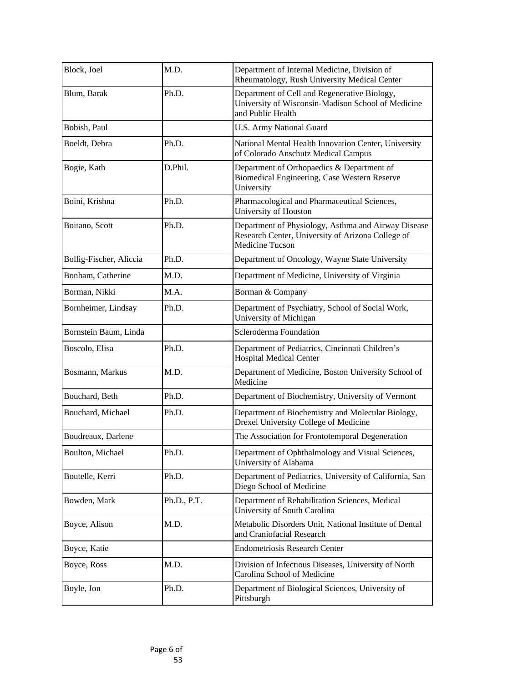| Block, Joel             | M.D.        | Department of Internal Medicine, Division of<br>Rheumatology, Rush University Medical Center                                       |
|-------------------------|-------------|------------------------------------------------------------------------------------------------------------------------------------|
| Blum, Barak             | Ph.D.       | Department of Cell and Regenerative Biology,<br>University of Wisconsin-Madison School of Medicine<br>and Public Health            |
| Bobish, Paul            |             | <b>U.S. Army National Guard</b>                                                                                                    |
| Boeldt, Debra           | Ph.D.       | National Mental Health Innovation Center, University<br>of Colorado Anschutz Medical Campus                                        |
| Bogie, Kath             | D.Phil.     | Department of Orthopaedics & Department of<br>Biomedical Engineering, Case Western Reserve<br>University                           |
| Boini, Krishna          | Ph.D.       | Pharmacological and Pharmaceutical Sciences,<br>University of Houston                                                              |
| Boitano, Scott          | Ph.D.       | Department of Physiology, Asthma and Airway Disease<br>Research Center, University of Arizona College of<br><b>Medicine Tucson</b> |
| Bollig-Fischer, Aliccia | Ph.D.       | Department of Oncology, Wayne State University                                                                                     |
| Bonham, Catherine       | M.D.        | Department of Medicine, University of Virginia                                                                                     |
| Borman, Nikki           | M.A.        | Borman & Company                                                                                                                   |
| Bornheimer, Lindsay     | Ph.D.       | Department of Psychiatry, School of Social Work,<br>University of Michigan                                                         |
| Bornstein Baum, Linda   |             | Scleroderma Foundation                                                                                                             |
| Boscolo, Elisa          | Ph.D.       | Department of Pediatrics, Cincinnati Children's<br><b>Hospital Medical Center</b>                                                  |
| Bosmann, Markus         | M.D.        | Department of Medicine, Boston University School of<br>Medicine                                                                    |
| Bouchard, Beth          | Ph.D.       | Department of Biochemistry, University of Vermont                                                                                  |
| Bouchard, Michael       | Ph.D.       | Department of Biochemistry and Molecular Biology,<br>Drexel University College of Medicine                                         |
| Boudreaux, Darlene      |             | The Association for Frontotemporal Degeneration                                                                                    |
| Boulton, Michael        | Ph.D.       | Department of Ophthalmology and Visual Sciences,<br>University of Alabama                                                          |
| Boutelle, Kerri         | Ph.D.       | Department of Pediatrics, University of California, San<br>Diego School of Medicine                                                |
| Bowden, Mark            | Ph.D., P.T. | Department of Rehabilitation Sciences, Medical<br>University of South Carolina                                                     |
| Boyce, Alison           | M.D.        | Metabolic Disorders Unit, National Institute of Dental<br>and Craniofacial Research                                                |
| Boyce, Katie            |             | <b>Endometriosis Research Center</b>                                                                                               |
| Boyce, Ross             | M.D.        | Division of Infectious Diseases, University of North<br>Carolina School of Medicine                                                |
| Boyle, Jon              | Ph.D.       | Department of Biological Sciences, University of<br>Pittsburgh                                                                     |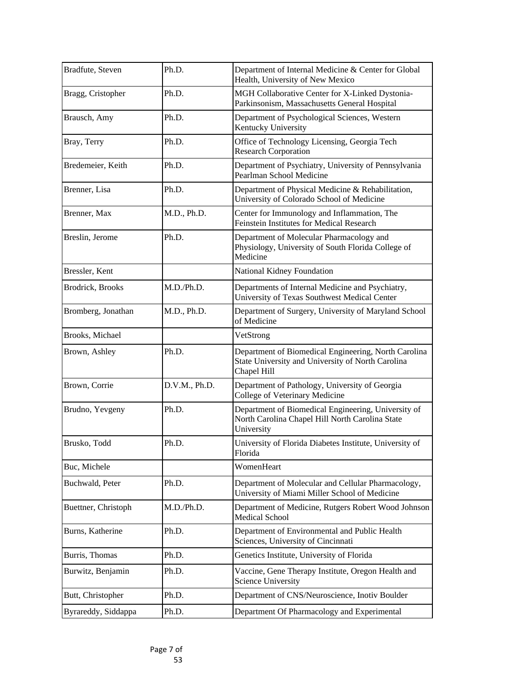| Bradfute, Steven    | Ph.D.         | Department of Internal Medicine & Center for Global<br>Health, University of New Mexico                                  |
|---------------------|---------------|--------------------------------------------------------------------------------------------------------------------------|
| Bragg, Cristopher   | Ph.D.         | MGH Collaborative Center for X-Linked Dystonia-<br>Parkinsonism, Massachusetts General Hospital                          |
| Brausch, Amy        | Ph.D.         | Department of Psychological Sciences, Western<br>Kentucky University                                                     |
| Bray, Terry         | Ph.D.         | Office of Technology Licensing, Georgia Tech<br><b>Research Corporation</b>                                              |
| Bredemeier, Keith   | Ph.D.         | Department of Psychiatry, University of Pennsylvania<br>Pearlman School Medicine                                         |
| Brenner, Lisa       | Ph.D.         | Department of Physical Medicine & Rehabilitation,<br>University of Colorado School of Medicine                           |
| Brenner, Max        | M.D., Ph.D.   | Center for Immunology and Inflammation, The<br>Feinstein Institutes for Medical Research                                 |
| Breslin, Jerome     | Ph.D.         | Department of Molecular Pharmacology and<br>Physiology, University of South Florida College of<br>Medicine               |
| Bressler, Kent      |               | National Kidney Foundation                                                                                               |
| Brodrick, Brooks    | M.D./Ph.D.    | Departments of Internal Medicine and Psychiatry,<br>University of Texas Southwest Medical Center                         |
| Bromberg, Jonathan  | M.D., Ph.D.   | Department of Surgery, University of Maryland School<br>of Medicine                                                      |
| Brooks, Michael     |               | VetStrong                                                                                                                |
| Brown, Ashley       | Ph.D.         | Department of Biomedical Engineering, North Carolina<br>State University and University of North Carolina<br>Chapel Hill |
| Brown, Corrie       | D.V.M., Ph.D. | Department of Pathology, University of Georgia<br>College of Veterinary Medicine                                         |
| Brudno, Yevgeny     | Ph.D.         | Department of Biomedical Engineering, University of<br>North Carolina Chapel Hill North Carolina State<br>University     |
| Brusko, Todd        | Ph.D.         | University of Florida Diabetes Institute, University of<br>Florida                                                       |
| Buc, Michele        |               | WomenHeart                                                                                                               |
| Buchwald, Peter     | Ph.D.         | Department of Molecular and Cellular Pharmacology,<br>University of Miami Miller School of Medicine                      |
| Buettner, Christoph | M.D./Ph.D.    | Department of Medicine, Rutgers Robert Wood Johnson<br><b>Medical School</b>                                             |
| Burns, Katherine    | Ph.D.         | Department of Environmental and Public Health<br>Sciences, University of Cincinnati                                      |
| Burris, Thomas      | Ph.D.         | Genetics Institute, University of Florida                                                                                |
| Burwitz, Benjamin   | Ph.D.         | Vaccine, Gene Therapy Institute, Oregon Health and<br><b>Science University</b>                                          |
| Butt, Christopher   | Ph.D.         | Department of CNS/Neuroscience, Inotiv Boulder                                                                           |
| Byrareddy, Siddappa | Ph.D.         | Department Of Pharmacology and Experimental                                                                              |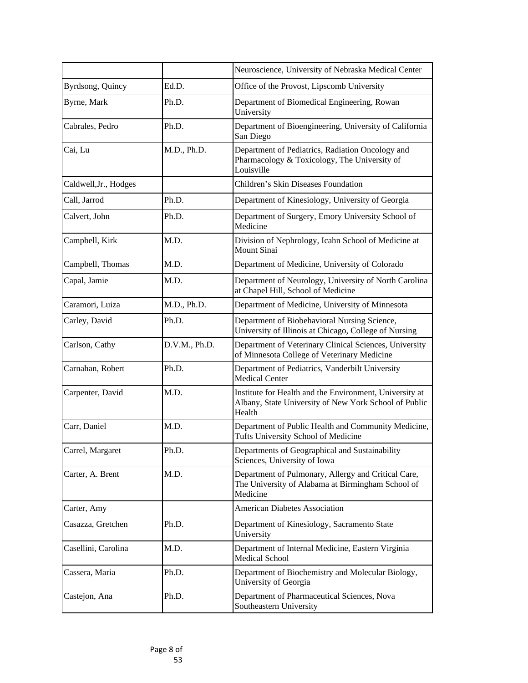|                       |               | Neuroscience, University of Nebraska Medical Center                                                                        |
|-----------------------|---------------|----------------------------------------------------------------------------------------------------------------------------|
| Byrdsong, Quincy      | Ed.D.         | Office of the Provost, Lipscomb University                                                                                 |
| Byrne, Mark           | Ph.D.         | Department of Biomedical Engineering, Rowan<br>University                                                                  |
| Cabrales, Pedro       | Ph.D.         | Department of Bioengineering, University of California<br>San Diego                                                        |
| Cai, Lu               | M.D., Ph.D.   | Department of Pediatrics, Radiation Oncology and<br>Pharmacology & Toxicology, The University of<br>Louisville             |
| Caldwell, Jr., Hodges |               | Children's Skin Diseases Foundation                                                                                        |
| Call, Jarrod          | Ph.D.         | Department of Kinesiology, University of Georgia                                                                           |
| Calvert, John         | Ph.D.         | Department of Surgery, Emory University School of<br>Medicine                                                              |
| Campbell, Kirk        | M.D.          | Division of Nephrology, Icahn School of Medicine at<br><b>Mount Sinai</b>                                                  |
| Campbell, Thomas      | M.D.          | Department of Medicine, University of Colorado                                                                             |
| Capal, Jamie          | M.D.          | Department of Neurology, University of North Carolina<br>at Chapel Hill, School of Medicine                                |
| Caramori, Luiza       | M.D., Ph.D.   | Department of Medicine, University of Minnesota                                                                            |
| Carley, David         | Ph.D.         | Department of Biobehavioral Nursing Science,<br>University of Illinois at Chicago, College of Nursing                      |
| Carlson, Cathy        | D.V.M., Ph.D. | Department of Veterinary Clinical Sciences, University<br>of Minnesota College of Veterinary Medicine                      |
| Carnahan, Robert      | Ph.D.         | Department of Pediatrics, Vanderbilt University<br><b>Medical Center</b>                                                   |
| Carpenter, David      | M.D.          | Institute for Health and the Environment, University at<br>Albany, State University of New York School of Public<br>Health |
| Carr, Daniel          | M.D.          | Department of Public Health and Community Medicine,<br>Tufts University School of Medicine                                 |
| Carrel, Margaret      | Ph.D.         | Departments of Geographical and Sustainability<br>Sciences, University of Iowa                                             |
| Carter, A. Brent      | M.D.          | Department of Pulmonary, Allergy and Critical Care,<br>The University of Alabama at Birmingham School of<br>Medicine       |
| Carter, Amy           |               | American Diabetes Association                                                                                              |
| Casazza, Gretchen     | Ph.D.         | Department of Kinesiology, Sacramento State<br>University                                                                  |
| Casellini, Carolina   | M.D.          | Department of Internal Medicine, Eastern Virginia<br><b>Medical School</b>                                                 |
| Cassera, Maria        | Ph.D.         | Department of Biochemistry and Molecular Biology,<br>University of Georgia                                                 |
| Castejon, Ana         | Ph.D.         | Department of Pharmaceutical Sciences, Nova<br>Southeastern University                                                     |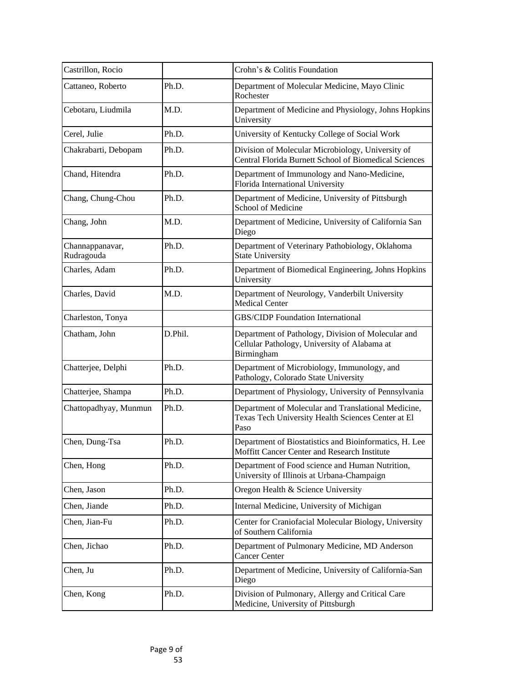| Castrillon, Rocio             |         | Crohn's & Colitis Foundation                                                                                      |
|-------------------------------|---------|-------------------------------------------------------------------------------------------------------------------|
| Cattaneo, Roberto             | Ph.D.   | Department of Molecular Medicine, Mayo Clinic<br>Rochester                                                        |
| Cebotaru, Liudmila            | M.D.    | Department of Medicine and Physiology, Johns Hopkins<br>University                                                |
| Cerel, Julie                  | Ph.D.   | University of Kentucky College of Social Work                                                                     |
| Chakrabarti, Debopam          | Ph.D.   | Division of Molecular Microbiology, University of<br>Central Florida Burnett School of Biomedical Sciences        |
| Chand, Hitendra               | Ph.D.   | Department of Immunology and Nano-Medicine,<br>Florida International University                                   |
| Chang, Chung-Chou             | Ph.D.   | Department of Medicine, University of Pittsburgh<br><b>School of Medicine</b>                                     |
| Chang, John                   | M.D.    | Department of Medicine, University of California San<br>Diego                                                     |
| Channappanavar,<br>Rudragouda | Ph.D.   | Department of Veterinary Pathobiology, Oklahoma<br><b>State University</b>                                        |
| Charles, Adam                 | Ph.D.   | Department of Biomedical Engineering, Johns Hopkins<br>University                                                 |
| Charles, David                | M.D.    | Department of Neurology, Vanderbilt University<br><b>Medical Center</b>                                           |
| Charleston, Tonya             |         | <b>GBS/CIDP Foundation International</b>                                                                          |
| Chatham, John                 | D.Phil. | Department of Pathology, Division of Molecular and<br>Cellular Pathology, University of Alabama at<br>Birmingham  |
| Chatterjee, Delphi            | Ph.D.   | Department of Microbiology, Immunology, and<br>Pathology, Colorado State University                               |
| Chatterjee, Shampa            | Ph.D.   | Department of Physiology, University of Pennsylvania                                                              |
| Chattopadhyay, Munmun         | Ph.D.   | Department of Molecular and Translational Medicine,<br>Texas Tech University Health Sciences Center at El<br>Paso |
| Chen, Dung-Tsa                | Ph.D.   | Department of Biostatistics and Bioinformatics, H. Lee<br>Moffitt Cancer Center and Research Institute            |
| Chen, Hong                    | Ph.D.   | Department of Food science and Human Nutrition,<br>University of Illinois at Urbana-Champaign                     |
| Chen, Jason                   | Ph.D.   | Oregon Health & Science University                                                                                |
| Chen, Jiande                  | Ph.D.   | Internal Medicine, University of Michigan                                                                         |
| Chen, Jian-Fu                 | Ph.D.   | Center for Craniofacial Molecular Biology, University<br>of Southern California                                   |
| Chen, Jichao                  | Ph.D.   | Department of Pulmonary Medicine, MD Anderson<br><b>Cancer Center</b>                                             |
| Chen, Ju                      | Ph.D.   | Department of Medicine, University of California-San<br>Diego                                                     |
| Chen, Kong                    | Ph.D.   | Division of Pulmonary, Allergy and Critical Care<br>Medicine, University of Pittsburgh                            |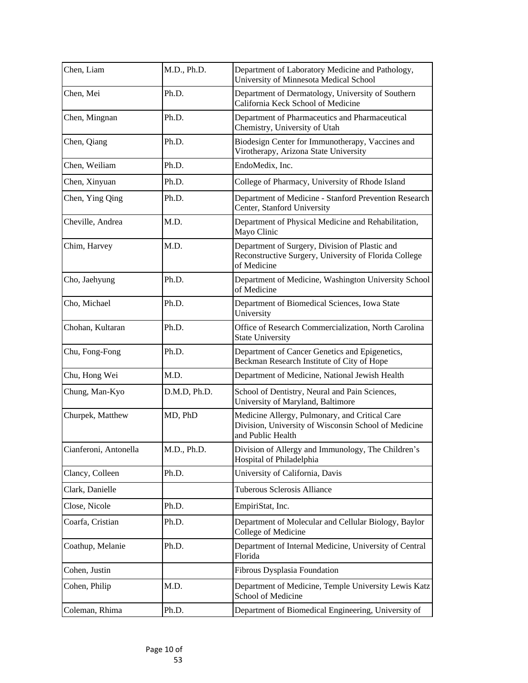| Chen, Liam            | M.D., Ph.D.  | Department of Laboratory Medicine and Pathology,<br>University of Minnesota Medical School                                  |
|-----------------------|--------------|-----------------------------------------------------------------------------------------------------------------------------|
| Chen, Mei             | Ph.D.        | Department of Dermatology, University of Southern<br>California Keck School of Medicine                                     |
| Chen, Mingnan         | Ph.D.        | Department of Pharmaceutics and Pharmaceutical<br>Chemistry, University of Utah                                             |
| Chen, Qiang           | Ph.D.        | Biodesign Center for Immunotherapy, Vaccines and<br>Virotherapy, Arizona State University                                   |
| Chen, Weiliam         | Ph.D.        | EndoMedix, Inc.                                                                                                             |
| Chen, Xinyuan         | Ph.D.        | College of Pharmacy, University of Rhode Island                                                                             |
| Chen, Ying Qing       | Ph.D.        | Department of Medicine - Stanford Prevention Research<br>Center, Stanford University                                        |
| Cheville, Andrea      | M.D.         | Department of Physical Medicine and Rehabilitation,<br>Mayo Clinic                                                          |
| Chim, Harvey          | M.D.         | Department of Surgery, Division of Plastic and<br>Reconstructive Surgery, University of Florida College<br>of Medicine      |
| Cho, Jaehyung         | Ph.D.        | Department of Medicine, Washington University School<br>of Medicine                                                         |
| Cho, Michael          | Ph.D.        | Department of Biomedical Sciences, Iowa State<br>University                                                                 |
| Chohan, Kultaran      | Ph.D.        | Office of Research Commercialization, North Carolina<br><b>State University</b>                                             |
| Chu, Fong-Fong        | Ph.D.        | Department of Cancer Genetics and Epigenetics,<br>Beckman Research Institute of City of Hope                                |
| Chu, Hong Wei         | M.D.         | Department of Medicine, National Jewish Health                                                                              |
| Chung, Man-Kyo        | D.M.D, Ph.D. | School of Dentistry, Neural and Pain Sciences,<br>University of Maryland, Baltimore                                         |
| Churpek, Matthew      | MD, PhD      | Medicine Allergy, Pulmonary, and Critical Care<br>Division, University of Wisconsin School of Medicine<br>and Public Health |
| Cianferoni, Antonella | M.D., Ph.D.  | Division of Allergy and Immunology, The Children's<br>Hospital of Philadelphia                                              |
| Clancy, Colleen       | Ph.D.        | University of California, Davis                                                                                             |
| Clark, Danielle       |              | Tuberous Sclerosis Alliance                                                                                                 |
| Close, Nicole         | Ph.D.        | EmpiriStat, Inc.                                                                                                            |
| Coarfa, Cristian      | Ph.D.        | Department of Molecular and Cellular Biology, Baylor<br><b>College of Medicine</b>                                          |
| Coathup, Melanie      | Ph.D.        | Department of Internal Medicine, University of Central<br>Florida                                                           |
| Cohen, Justin         |              | Fibrous Dysplasia Foundation                                                                                                |
| Cohen, Philip         | M.D.         | Department of Medicine, Temple University Lewis Katz<br>School of Medicine                                                  |
| Coleman, Rhima        | Ph.D.        | Department of Biomedical Engineering, University of                                                                         |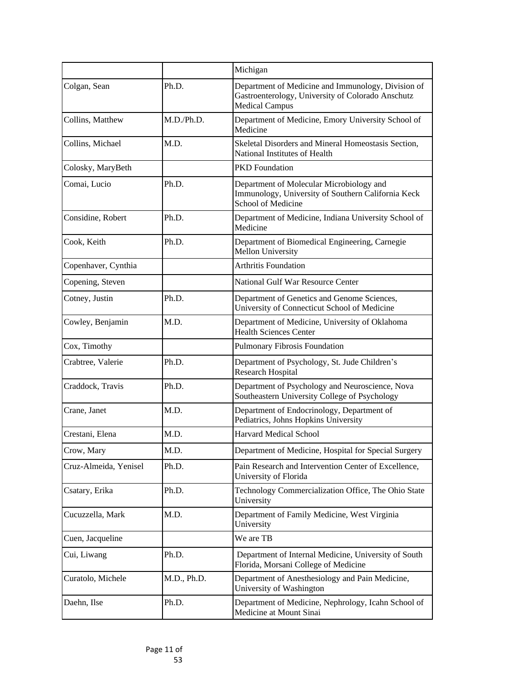|                       |             | Michigan                                                                                                                         |
|-----------------------|-------------|----------------------------------------------------------------------------------------------------------------------------------|
| Colgan, Sean          | Ph.D.       | Department of Medicine and Immunology, Division of<br>Gastroenterology, University of Colorado Anschutz<br><b>Medical Campus</b> |
| Collins, Matthew      | M.D./Ph.D.  | Department of Medicine, Emory University School of<br>Medicine                                                                   |
| Collins, Michael      | M.D.        | Skeletal Disorders and Mineral Homeostasis Section,<br>National Institutes of Health                                             |
| Colosky, MaryBeth     |             | <b>PKD</b> Foundation                                                                                                            |
| Comai, Lucio          | Ph.D.       | Department of Molecular Microbiology and<br>Immunology, University of Southern California Keck<br><b>School of Medicine</b>      |
| Considine, Robert     | Ph.D.       | Department of Medicine, Indiana University School of<br>Medicine                                                                 |
| Cook, Keith           | Ph.D.       | Department of Biomedical Engineering, Carnegie<br><b>Mellon University</b>                                                       |
| Copenhaver, Cynthia   |             | <b>Arthritis Foundation</b>                                                                                                      |
| Copening, Steven      |             | National Gulf War Resource Center                                                                                                |
| Cotney, Justin        | Ph.D.       | Department of Genetics and Genome Sciences,<br>University of Connecticut School of Medicine                                      |
| Cowley, Benjamin      | M.D.        | Department of Medicine, University of Oklahoma<br><b>Health Sciences Center</b>                                                  |
| Cox, Timothy          |             | <b>Pulmonary Fibrosis Foundation</b>                                                                                             |
| Crabtree, Valerie     | Ph.D.       | Department of Psychology, St. Jude Children's<br><b>Research Hospital</b>                                                        |
| Craddock, Travis      | Ph.D.       | Department of Psychology and Neuroscience, Nova<br>Southeastern University College of Psychology                                 |
| Crane, Janet          | M.D.        | Department of Endocrinology, Department of<br>Pediatrics, Johns Hopkins University                                               |
| Crestani, Elena       | M.D.        | <b>Harvard Medical School</b>                                                                                                    |
| Crow, Mary            | M.D.        | Department of Medicine, Hospital for Special Surgery                                                                             |
| Cruz-Almeida, Yenisel | Ph.D.       | Pain Research and Intervention Center of Excellence,<br>University of Florida                                                    |
| Csatary, Erika        | Ph.D.       | Technology Commercialization Office, The Ohio State<br>University                                                                |
| Cucuzzella, Mark      | M.D.        | Department of Family Medicine, West Virginia<br>University                                                                       |
| Cuen, Jacqueline      |             | We are TB                                                                                                                        |
| Cui, Liwang           | Ph.D.       | Department of Internal Medicine, University of South<br>Florida, Morsani College of Medicine                                     |
| Curatolo, Michele     | M.D., Ph.D. | Department of Anesthesiology and Pain Medicine,<br>University of Washington                                                      |
| Daehn, Ilse           | Ph.D.       | Department of Medicine, Nephrology, Icahn School of<br>Medicine at Mount Sinai                                                   |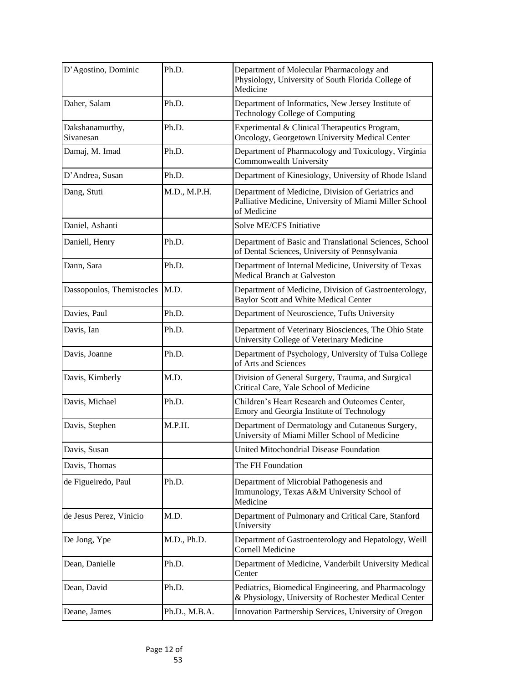| D'Agostino, Dominic              | Ph.D.         | Department of Molecular Pharmacology and<br>Physiology, University of South Florida College of<br>Medicine                  |
|----------------------------------|---------------|-----------------------------------------------------------------------------------------------------------------------------|
| Daher, Salam                     | Ph.D.         | Department of Informatics, New Jersey Institute of<br><b>Technology College of Computing</b>                                |
| Dakshanamurthy,<br>Sivanesan     | Ph.D.         | Experimental & Clinical Therapeutics Program,<br>Oncology, Georgetown University Medical Center                             |
| Damaj, M. Imad                   | Ph.D.         | Department of Pharmacology and Toxicology, Virginia<br>Commonwealth University                                              |
| D'Andrea, Susan                  | Ph.D.         | Department of Kinesiology, University of Rhode Island                                                                       |
| Dang, Stuti                      | M.D., M.P.H.  | Department of Medicine, Division of Geriatrics and<br>Palliative Medicine, University of Miami Miller School<br>of Medicine |
| Daniel, Ashanti                  |               | Solve ME/CFS Initiative                                                                                                     |
| Daniell, Henry                   | Ph.D.         | Department of Basic and Translational Sciences, School<br>of Dental Sciences, University of Pennsylvania                    |
| Dann, Sara                       | Ph.D.         | Department of Internal Medicine, University of Texas<br><b>Medical Branch at Galveston</b>                                  |
| Dassopoulos, Themistocles   M.D. |               | Department of Medicine, Division of Gastroenterology,<br>Baylor Scott and White Medical Center                              |
| Davies, Paul                     | Ph.D.         | Department of Neuroscience, Tufts University                                                                                |
| Davis, Ian                       | Ph.D.         | Department of Veterinary Biosciences, The Ohio State<br>University College of Veterinary Medicine                           |
| Davis, Joanne                    | Ph.D.         | Department of Psychology, University of Tulsa College<br>of Arts and Sciences                                               |
| Davis, Kimberly                  | M.D.          | Division of General Surgery, Trauma, and Surgical<br>Critical Care, Yale School of Medicine                                 |
| Davis, Michael                   | Ph.D.         | Children's Heart Research and Outcomes Center,<br>Emory and Georgia Institute of Technology                                 |
| Davis, Stephen                   | M.P.H.        | Department of Dermatology and Cutaneous Surgery,<br>University of Miami Miller School of Medicine                           |
| Davis, Susan                     |               | United Mitochondrial Disease Foundation                                                                                     |
| Davis, Thomas                    |               | The FH Foundation                                                                                                           |
| de Figueiredo, Paul              | Ph.D.         | Department of Microbial Pathogenesis and<br>Immunology, Texas A&M University School of<br>Medicine                          |
| de Jesus Perez, Vinicio          | M.D.          | Department of Pulmonary and Critical Care, Stanford<br>University                                                           |
| De Jong, Ype                     | M.D., Ph.D.   | Department of Gastroenterology and Hepatology, Weill<br><b>Cornell Medicine</b>                                             |
| Dean, Danielle                   | Ph.D.         | Department of Medicine, Vanderbilt University Medical<br>Center                                                             |
| Dean, David                      | Ph.D.         | Pediatrics, Biomedical Engineering, and Pharmacology<br>& Physiology, University of Rochester Medical Center                |
| Deane, James                     | Ph.D., M.B.A. | Innovation Partnership Services, University of Oregon                                                                       |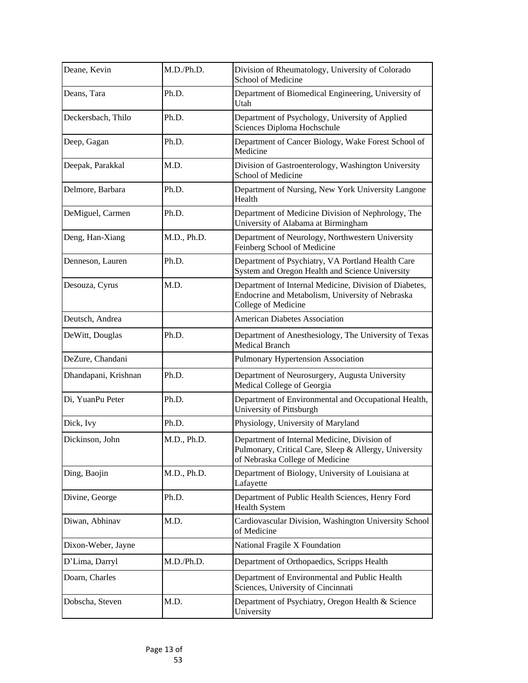| Deane, Kevin         | M.D./Ph.D.  | Division of Rheumatology, University of Colorado<br><b>School of Medicine</b>                                                            |
|----------------------|-------------|------------------------------------------------------------------------------------------------------------------------------------------|
| Deans, Tara          | Ph.D.       | Department of Biomedical Engineering, University of<br>Utah                                                                              |
| Deckersbach, Thilo   | Ph.D.       | Department of Psychology, University of Applied<br>Sciences Diploma Hochschule                                                           |
| Deep, Gagan          | Ph.D.       | Department of Cancer Biology, Wake Forest School of<br>Medicine                                                                          |
| Deepak, Parakkal     | M.D.        | Division of Gastroenterology, Washington University<br><b>School of Medicine</b>                                                         |
| Delmore, Barbara     | Ph.D.       | Department of Nursing, New York University Langone<br>Health                                                                             |
| DeMiguel, Carmen     | Ph.D.       | Department of Medicine Division of Nephrology, The<br>University of Alabama at Birmingham                                                |
| Deng, Han-Xiang      | M.D., Ph.D. | Department of Neurology, Northwestern University<br><b>Feinberg School of Medicine</b>                                                   |
| Denneson, Lauren     | Ph.D.       | Department of Psychiatry, VA Portland Health Care<br>System and Oregon Health and Science University                                     |
| Desouza, Cyrus       | M.D.        | Department of Internal Medicine, Division of Diabetes,<br>Endocrine and Metabolism, University of Nebraska<br><b>College of Medicine</b> |
| Deutsch, Andrea      |             | <b>American Diabetes Association</b>                                                                                                     |
| DeWitt, Douglas      | Ph.D.       | Department of Anesthesiology, The University of Texas<br><b>Medical Branch</b>                                                           |
| DeZure, Chandani     |             | <b>Pulmonary Hypertension Association</b>                                                                                                |
| Dhandapani, Krishnan | Ph.D.       | Department of Neurosurgery, Augusta University<br>Medical College of Georgia                                                             |
| Di, YuanPu Peter     | Ph.D.       | Department of Environmental and Occupational Health,<br>University of Pittsburgh                                                         |
| Dick, Ivy            | Ph.D.       | Physiology, University of Maryland                                                                                                       |
| Dickinson, John      | M.D., Ph.D. | Department of Internal Medicine, Division of<br>Pulmonary, Critical Care, Sleep & Allergy, University<br>of Nebraska College of Medicine |
| Ding, Baojin         | M.D., Ph.D. | Department of Biology, University of Louisiana at<br>Lafayette                                                                           |
| Divine, George       | Ph.D.       | Department of Public Health Sciences, Henry Ford<br><b>Health System</b>                                                                 |
| Diwan, Abhinav       | M.D.        | Cardiovascular Division, Washington University School<br>of Medicine                                                                     |
| Dixon-Weber, Jayne   |             | National Fragile X Foundation                                                                                                            |
| D'Lima, Darryl       | M.D./Ph.D.  | Department of Orthopaedics, Scripps Health                                                                                               |
| Doarn, Charles       |             | Department of Environmental and Public Health<br>Sciences, University of Cincinnati                                                      |
| Dobscha, Steven      | M.D.        | Department of Psychiatry, Oregon Health & Science<br>University                                                                          |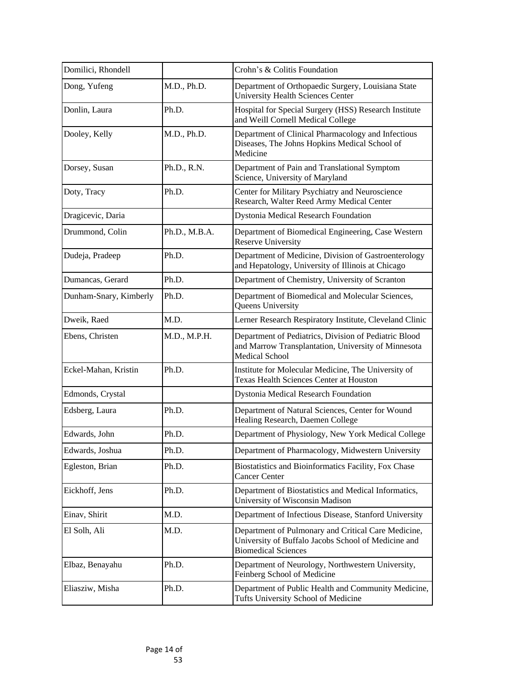| Domilici, Rhondell     |               | Crohn's & Colitis Foundation                                                                                                             |
|------------------------|---------------|------------------------------------------------------------------------------------------------------------------------------------------|
| Dong, Yufeng           | M.D., Ph.D.   | Department of Orthopaedic Surgery, Louisiana State<br><b>University Health Sciences Center</b>                                           |
| Donlin, Laura          | Ph.D.         | Hospital for Special Surgery (HSS) Research Institute<br>and Weill Cornell Medical College                                               |
| Dooley, Kelly          | M.D., Ph.D.   | Department of Clinical Pharmacology and Infectious<br>Diseases, The Johns Hopkins Medical School of<br>Medicine                          |
| Dorsey, Susan          | Ph.D., R.N.   | Department of Pain and Translational Symptom<br>Science, University of Maryland                                                          |
| Doty, Tracy            | Ph.D.         | Center for Military Psychiatry and Neuroscience<br>Research, Walter Reed Army Medical Center                                             |
| Dragicevic, Daria      |               | Dystonia Medical Research Foundation                                                                                                     |
| Drummond, Colin        | Ph.D., M.B.A. | Department of Biomedical Engineering, Case Western<br><b>Reserve University</b>                                                          |
| Dudeja, Pradeep        | Ph.D.         | Department of Medicine, Division of Gastroenterology<br>and Hepatology, University of Illinois at Chicago                                |
| Dumancas, Gerard       | Ph.D.         | Department of Chemistry, University of Scranton                                                                                          |
| Dunham-Snary, Kimberly | Ph.D.         | Department of Biomedical and Molecular Sciences,<br><b>Queens University</b>                                                             |
| Dweik, Raed            | M.D.          | Lerner Research Respiratory Institute, Cleveland Clinic                                                                                  |
| Ebens, Christen        | M.D., M.P.H.  | Department of Pediatrics, Division of Pediatric Blood<br>and Marrow Transplantation, University of Minnesota<br><b>Medical School</b>    |
| Eckel-Mahan, Kristin   | Ph.D.         | Institute for Molecular Medicine, The University of<br>Texas Health Sciences Center at Houston                                           |
| Edmonds, Crystal       |               | Dystonia Medical Research Foundation                                                                                                     |
| Edsberg, Laura         | Ph.D.         | Department of Natural Sciences, Center for Wound<br>Healing Research, Daemen College                                                     |
| Edwards, John          | Ph.D.         | Department of Physiology, New York Medical College                                                                                       |
| Edwards, Joshua        | Ph.D.         | Department of Pharmacology, Midwestern University                                                                                        |
| Egleston, Brian        | Ph.D.         | Biostatistics and Bioinformatics Facility, Fox Chase<br><b>Cancer Center</b>                                                             |
| Eickhoff, Jens         | Ph.D.         | Department of Biostatistics and Medical Informatics,<br>University of Wisconsin Madison                                                  |
| Einav, Shirit          | M.D.          | Department of Infectious Disease, Stanford University                                                                                    |
| El Solh, Ali           | M.D.          | Department of Pulmonary and Critical Care Medicine,<br>University of Buffalo Jacobs School of Medicine and<br><b>Biomedical Sciences</b> |
| Elbaz, Benayahu        | Ph.D.         | Department of Neurology, Northwestern University,<br>Feinberg School of Medicine                                                         |
| Eliasziw, Misha        | Ph.D.         | Department of Public Health and Community Medicine,<br>Tufts University School of Medicine                                               |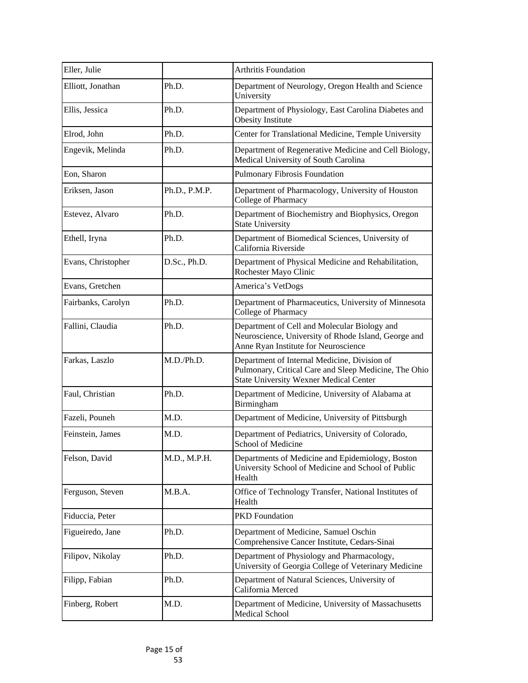| Eller, Julie       |               | Arthritis Foundation                                                                                                                                   |
|--------------------|---------------|--------------------------------------------------------------------------------------------------------------------------------------------------------|
| Elliott, Jonathan  | Ph.D.         | Department of Neurology, Oregon Health and Science<br>University                                                                                       |
| Ellis, Jessica     | Ph.D.         | Department of Physiology, East Carolina Diabetes and<br><b>Obesity Institute</b>                                                                       |
| Elrod, John        | Ph.D.         | Center for Translational Medicine, Temple University                                                                                                   |
| Engevik, Melinda   | Ph.D.         | Department of Regenerative Medicine and Cell Biology,<br>Medical University of South Carolina                                                          |
| Eon, Sharon        |               | Pulmonary Fibrosis Foundation                                                                                                                          |
| Eriksen, Jason     | Ph.D., P.M.P. | Department of Pharmacology, University of Houston<br>College of Pharmacy                                                                               |
| Estevez, Alvaro    | Ph.D.         | Department of Biochemistry and Biophysics, Oregon<br><b>State University</b>                                                                           |
| Ethell, Iryna      | Ph.D.         | Department of Biomedical Sciences, University of<br>California Riverside                                                                               |
| Evans, Christopher | D.Sc., Ph.D.  | Department of Physical Medicine and Rehabilitation,<br>Rochester Mayo Clinic                                                                           |
| Evans, Gretchen    |               | America's VetDogs                                                                                                                                      |
| Fairbanks, Carolyn | Ph.D.         | Department of Pharmaceutics, University of Minnesota<br>College of Pharmacy                                                                            |
| Fallini, Claudia   | Ph.D.         | Department of Cell and Molecular Biology and<br>Neuroscience, University of Rhode Island, George and<br>Anne Ryan Institute for Neuroscience           |
| Farkas, Laszlo     | M.D./Ph.D.    | Department of Internal Medicine, Division of<br>Pulmonary, Critical Care and Sleep Medicine, The Ohio<br><b>State University Wexner Medical Center</b> |
| Faul, Christian    | Ph.D.         | Department of Medicine, University of Alabama at<br>Birmingham                                                                                         |
| Fazeli, Pouneh     | M.D.          | Department of Medicine, University of Pittsburgh                                                                                                       |
| Feinstein, James   | M.D.          | Department of Pediatrics, University of Colorado,<br>School of Medicine                                                                                |
| Felson, David      | M.D., M.P.H.  | Departments of Medicine and Epidemiology, Boston<br>University School of Medicine and School of Public<br>Health                                       |
| Ferguson, Steven   | M.B.A.        | Office of Technology Transfer, National Institutes of<br>Health                                                                                        |
| Fiduccia, Peter    |               | <b>PKD</b> Foundation                                                                                                                                  |
| Figueiredo, Jane   | Ph.D.         | Department of Medicine, Samuel Oschin<br>Comprehensive Cancer Institute, Cedars-Sinai                                                                  |
| Filipov, Nikolay   | Ph.D.         | Department of Physiology and Pharmacology,<br>University of Georgia College of Veterinary Medicine                                                     |
| Filipp, Fabian     | Ph.D.         | Department of Natural Sciences, University of<br>California Merced                                                                                     |
| Finberg, Robert    | M.D.          | Department of Medicine, University of Massachusetts<br>Medical School                                                                                  |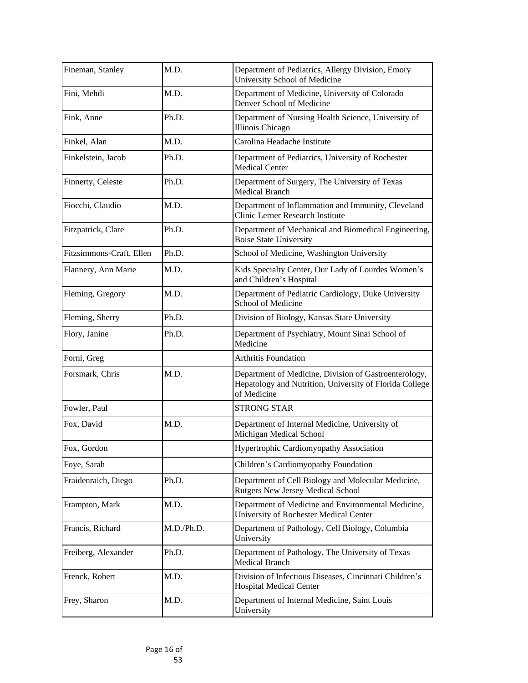| Fineman, Stanley         | M.D.       | Department of Pediatrics, Allergy Division, Emory<br><b>University School of Medicine</b>                                       |
|--------------------------|------------|---------------------------------------------------------------------------------------------------------------------------------|
| Fini, Mehdi              | M.D.       | Department of Medicine, University of Colorado<br>Denver School of Medicine                                                     |
| Fink, Anne               | Ph.D.      | Department of Nursing Health Science, University of<br><b>Illinois Chicago</b>                                                  |
| Finkel, Alan             | M.D.       | Carolina Headache Institute                                                                                                     |
| Finkelstein, Jacob       | Ph.D.      | Department of Pediatrics, University of Rochester<br><b>Medical Center</b>                                                      |
| Finnerty, Celeste        | Ph.D.      | Department of Surgery, The University of Texas<br><b>Medical Branch</b>                                                         |
| Fiocchi, Claudio         | M.D.       | Department of Inflammation and Immunity, Cleveland<br>Clinic Lerner Research Institute                                          |
| Fitzpatrick, Clare       | Ph.D.      | Department of Mechanical and Biomedical Engineering,<br><b>Boise State University</b>                                           |
| Fitzsimmons-Craft, Ellen | Ph.D.      | School of Medicine, Washington University                                                                                       |
| Flannery, Ann Marie      | M.D.       | Kids Specialty Center, Our Lady of Lourdes Women's<br>and Children's Hospital                                                   |
| Fleming, Gregory         | M.D.       | Department of Pediatric Cardiology, Duke University<br><b>School of Medicine</b>                                                |
| Fleming, Sherry          | Ph.D.      | Division of Biology, Kansas State University                                                                                    |
| Flory, Janine            | Ph.D.      | Department of Psychiatry, Mount Sinai School of<br>Medicine                                                                     |
| Forni, Greg              |            | <b>Arthritis Foundation</b>                                                                                                     |
| Forsmark, Chris          | M.D.       | Department of Medicine, Division of Gastroenterology,<br>Hepatology and Nutrition, University of Florida College<br>of Medicine |
| Fowler, Paul             |            | <b>STRONG STAR</b>                                                                                                              |
| Fox, David               | M.D.       | Department of Internal Medicine, University of<br>Michigan Medical School                                                       |
| Fox, Gordon              |            | Hypertrophic Cardiomyopathy Association                                                                                         |
| Foye, Sarah              |            | Children's Cardiomyopathy Foundation                                                                                            |
| Fraidenraich, Diego      | Ph.D.      | Department of Cell Biology and Molecular Medicine,<br>Rutgers New Jersey Medical School                                         |
| Frampton, Mark           | M.D.       | Department of Medicine and Environmental Medicine,<br>University of Rochester Medical Center                                    |
| Francis, Richard         | M.D./Ph.D. | Department of Pathology, Cell Biology, Columbia<br>University                                                                   |
| Freiberg, Alexander      | Ph.D.      | Department of Pathology, The University of Texas<br><b>Medical Branch</b>                                                       |
| Frenck, Robert           | M.D.       | Division of Infectious Diseases, Cincinnati Children's<br><b>Hospital Medical Center</b>                                        |
| Frey, Sharon             | M.D.       | Department of Internal Medicine, Saint Louis<br>University                                                                      |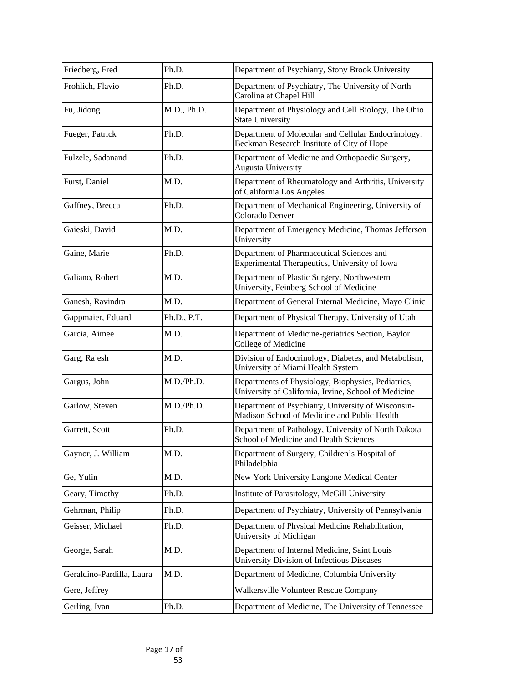| Friedberg, Fred           | Ph.D.       | Department of Psychiatry, Stony Brook University                                                           |
|---------------------------|-------------|------------------------------------------------------------------------------------------------------------|
| Frohlich, Flavio          | Ph.D.       | Department of Psychiatry, The University of North<br>Carolina at Chapel Hill                               |
| Fu, Jidong                | M.D., Ph.D. | Department of Physiology and Cell Biology, The Ohio<br><b>State University</b>                             |
| Fueger, Patrick           | Ph.D.       | Department of Molecular and Cellular Endocrinology,<br>Beckman Research Institute of City of Hope          |
| Fulzele, Sadanand         | Ph.D.       | Department of Medicine and Orthopaedic Surgery,<br><b>Augusta University</b>                               |
| Furst, Daniel             | M.D.        | Department of Rheumatology and Arthritis, University<br>of California Los Angeles                          |
| Gaffney, Brecca           | Ph.D.       | Department of Mechanical Engineering, University of<br>Colorado Denver                                     |
| Gaieski, David            | M.D.        | Department of Emergency Medicine, Thomas Jefferson<br>University                                           |
| Gaine, Marie              | Ph.D.       | Department of Pharmaceutical Sciences and<br>Experimental Therapeutics, University of Iowa                 |
| Galiano, Robert           | M.D.        | Department of Plastic Surgery, Northwestern<br>University, Feinberg School of Medicine                     |
| Ganesh, Ravindra          | M.D.        | Department of General Internal Medicine, Mayo Clinic                                                       |
| Gappmaier, Eduard         | Ph.D., P.T. | Department of Physical Therapy, University of Utah                                                         |
| Garcia, Aimee             | M.D.        | Department of Medicine-geriatrics Section, Baylor<br>College of Medicine                                   |
| Garg, Rajesh              | M.D.        | Division of Endocrinology, Diabetes, and Metabolism,<br>University of Miami Health System                  |
| Gargus, John              | M.D./Ph.D.  | Departments of Physiology, Biophysics, Pediatrics,<br>University of California, Irvine, School of Medicine |
| Garlow, Steven            | M.D./Ph.D.  | Department of Psychiatry, University of Wisconsin-<br>Madison School of Medicine and Public Health         |
| Garrett, Scott            | Ph.D.       | Department of Pathology, University of North Dakota<br>School of Medicine and Health Sciences              |
| Gaynor, J. William        | M.D.        | Department of Surgery, Children's Hospital of<br>Philadelphia                                              |
| Ge, Yulin                 | M.D.        | New York University Langone Medical Center                                                                 |
| Geary, Timothy            | Ph.D.       | Institute of Parasitology, McGill University                                                               |
| Gehrman, Philip           | Ph.D.       | Department of Psychiatry, University of Pennsylvania                                                       |
| Geisser, Michael          | Ph.D.       | Department of Physical Medicine Rehabilitation,<br>University of Michigan                                  |
| George, Sarah             | M.D.        | Department of Internal Medicine, Saint Louis<br><b>University Division of Infectious Diseases</b>          |
| Geraldino-Pardilla, Laura | M.D.        | Department of Medicine, Columbia University                                                                |
| Gere, Jeffrey             |             | Walkersville Volunteer Rescue Company                                                                      |
| Gerling, Ivan             | Ph.D.       | Department of Medicine, The University of Tennessee                                                        |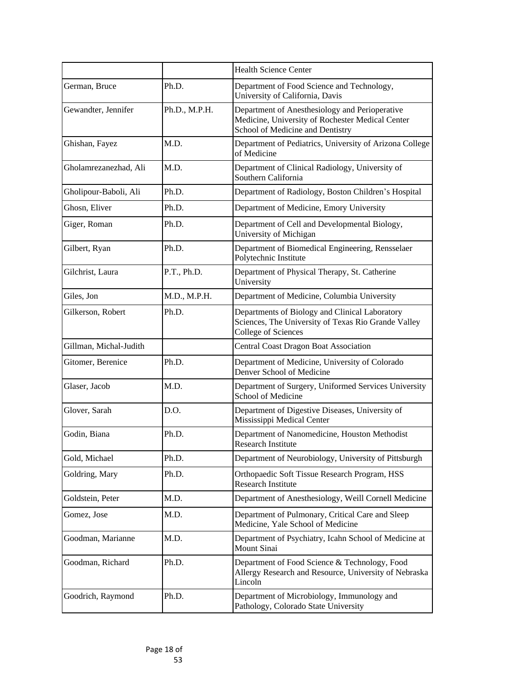|                        |               | <b>Health Science Center</b>                                                                                                           |
|------------------------|---------------|----------------------------------------------------------------------------------------------------------------------------------------|
| German, Bruce          | Ph.D.         | Department of Food Science and Technology,<br>University of California, Davis                                                          |
| Gewandter, Jennifer    | Ph.D., M.P.H. | Department of Anesthesiology and Perioperative<br>Medicine, University of Rochester Medical Center<br>School of Medicine and Dentistry |
| Ghishan, Fayez         | M.D.          | Department of Pediatrics, University of Arizona College<br>of Medicine                                                                 |
| Gholamrezanezhad, Ali  | M.D.          | Department of Clinical Radiology, University of<br>Southern California                                                                 |
| Gholipour-Baboli, Ali  | Ph.D.         | Department of Radiology, Boston Children's Hospital                                                                                    |
| Ghosn, Eliver          | Ph.D.         | Department of Medicine, Emory University                                                                                               |
| Giger, Roman           | Ph.D.         | Department of Cell and Developmental Biology,<br>University of Michigan                                                                |
| Gilbert, Ryan          | Ph.D.         | Department of Biomedical Engineering, Rensselaer<br>Polytechnic Institute                                                              |
| Gilchrist, Laura       | P.T., Ph.D.   | Department of Physical Therapy, St. Catherine<br>University                                                                            |
| Giles, Jon             | M.D., M.P.H.  | Department of Medicine, Columbia University                                                                                            |
| Gilkerson, Robert      | Ph.D.         | Departments of Biology and Clinical Laboratory<br>Sciences, The University of Texas Rio Grande Valley<br><b>College of Sciences</b>    |
| Gillman, Michal-Judith |               | <b>Central Coast Dragon Boat Association</b>                                                                                           |
| Gitomer, Berenice      | Ph.D.         | Department of Medicine, University of Colorado<br>Denver School of Medicine                                                            |
| Glaser, Jacob          | M.D.          | Department of Surgery, Uniformed Services University<br><b>School of Medicine</b>                                                      |
| Glover, Sarah          | D.O.          | Department of Digestive Diseases, University of<br>Mississippi Medical Center                                                          |
| Godin, Biana           | Ph.D.         | Department of Nanomedicine, Houston Methodist<br>Research Institute                                                                    |
| Gold, Michael          | Ph.D.         | Department of Neurobiology, University of Pittsburgh                                                                                   |
| Goldring, Mary         | Ph.D.         | Orthopaedic Soft Tissue Research Program, HSS<br>Research Institute                                                                    |
| Goldstein, Peter       | M.D.          | Department of Anesthesiology, Weill Cornell Medicine                                                                                   |
| Gomez, Jose            | M.D.          | Department of Pulmonary, Critical Care and Sleep<br>Medicine, Yale School of Medicine                                                  |
| Goodman, Marianne      | M.D.          | Department of Psychiatry, Icahn School of Medicine at<br><b>Mount Sinai</b>                                                            |
| Goodman, Richard       | Ph.D.         | Department of Food Science & Technology, Food<br>Allergy Research and Resource, University of Nebraska<br>Lincoln                      |
| Goodrich, Raymond      | Ph.D.         | Department of Microbiology, Immunology and<br>Pathology, Colorado State University                                                     |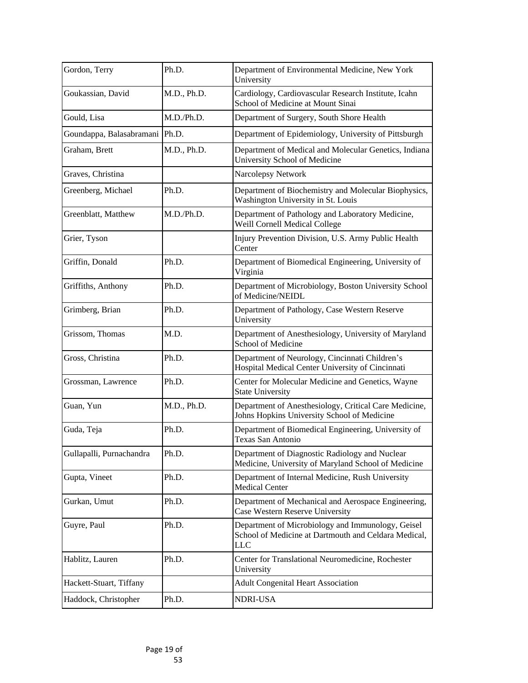| Gordon, Terry                    | Ph.D.       | Department of Environmental Medicine, New York<br>University                                                     |
|----------------------------------|-------------|------------------------------------------------------------------------------------------------------------------|
| Goukassian, David                | M.D., Ph.D. | Cardiology, Cardiovascular Research Institute, Icahn<br>School of Medicine at Mount Sinai                        |
| Gould, Lisa                      | M.D./Ph.D.  | Department of Surgery, South Shore Health                                                                        |
| Goundappa, Balasabramani   Ph.D. |             | Department of Epidemiology, University of Pittsburgh                                                             |
| Graham, Brett                    | M.D., Ph.D. | Department of Medical and Molecular Genetics, Indiana<br><b>University School of Medicine</b>                    |
| Graves, Christina                |             | Narcolepsy Network                                                                                               |
| Greenberg, Michael               | Ph.D.       | Department of Biochemistry and Molecular Biophysics,<br>Washington University in St. Louis                       |
| Greenblatt, Matthew              | M.D./Ph.D.  | Department of Pathology and Laboratory Medicine,<br>Weill Cornell Medical College                                |
| Grier, Tyson                     |             | Injury Prevention Division, U.S. Army Public Health<br>Center                                                    |
| Griffin, Donald                  | Ph.D.       | Department of Biomedical Engineering, University of<br>Virginia                                                  |
| Griffiths, Anthony               | Ph.D.       | Department of Microbiology, Boston University School<br>of Medicine/NEIDL                                        |
| Grimberg, Brian                  | Ph.D.       | Department of Pathology, Case Western Reserve<br>University                                                      |
| Grissom, Thomas                  | M.D.        | Department of Anesthesiology, University of Maryland<br><b>School of Medicine</b>                                |
| Gross, Christina                 | Ph.D.       | Department of Neurology, Cincinnati Children's<br>Hospital Medical Center University of Cincinnati               |
| Grossman, Lawrence               | Ph.D.       | Center for Molecular Medicine and Genetics, Wayne<br><b>State University</b>                                     |
| Guan, Yun                        | M.D., Ph.D. | Department of Anesthesiology, Critical Care Medicine,<br>Johns Hopkins University School of Medicine             |
| Guda, Teja                       | Ph.D.       | Department of Biomedical Engineering, University of<br>Texas San Antonio                                         |
| Gullapalli, Purnachandra         | Ph.D.       | Department of Diagnostic Radiology and Nuclear<br>Medicine, University of Maryland School of Medicine            |
| Gupta, Vineet                    | Ph.D.       | Department of Internal Medicine, Rush University<br><b>Medical Center</b>                                        |
| Gurkan, Umut                     | Ph.D.       | Department of Mechanical and Aerospace Engineering,<br><b>Case Western Reserve University</b>                    |
| Guyre, Paul                      | Ph.D.       | Department of Microbiology and Immunology, Geisel<br>School of Medicine at Dartmouth and Celdara Medical,<br>LLC |
| Hablitz, Lauren                  | Ph.D.       | Center for Translational Neuromedicine, Rochester<br>University                                                  |
| Hackett-Stuart, Tiffany          |             | <b>Adult Congenital Heart Association</b>                                                                        |
| Haddock, Christopher             | Ph.D.       | NDRI-USA                                                                                                         |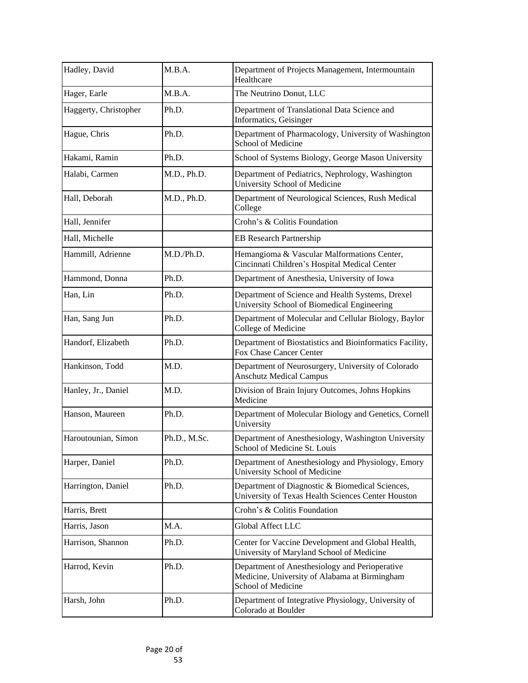| Hadley, David         | M.B.A.       | Department of Projects Management, Intermountain<br>Healthcare                                                               |
|-----------------------|--------------|------------------------------------------------------------------------------------------------------------------------------|
| Hager, Earle          | M.B.A.       | The Neutrino Donut, LLC                                                                                                      |
| Haggerty, Christopher | Ph.D.        | Department of Translational Data Science and<br><b>Informatics</b> , Geisinger                                               |
| Hague, Chris          | Ph.D.        | Department of Pharmacology, University of Washington<br><b>School of Medicine</b>                                            |
| Hakami, Ramin         | Ph.D.        | School of Systems Biology, George Mason University                                                                           |
| Halabi, Carmen        | M.D., Ph.D.  | Department of Pediatrics, Nephrology, Washington<br><b>University School of Medicine</b>                                     |
| Hall, Deborah         | M.D., Ph.D.  | Department of Neurological Sciences, Rush Medical<br>College                                                                 |
| Hall, Jennifer        |              | Crohn's & Colitis Foundation                                                                                                 |
| Hall, Michelle        |              | <b>EB Research Partnership</b>                                                                                               |
| Hammill, Adrienne     | M.D./Ph.D.   | Hemangioma & Vascular Malformations Center,<br>Cincinnati Children's Hospital Medical Center                                 |
| Hammond, Donna        | Ph.D.        | Department of Anesthesia, University of Iowa                                                                                 |
| Han, Lin              | Ph.D.        | Department of Science and Health Systems, Drexel<br>University School of Biomedical Engineering                              |
| Han, Sang Jun         | Ph.D.        | Department of Molecular and Cellular Biology, Baylor<br><b>College of Medicine</b>                                           |
| Handorf, Elizabeth    | Ph.D.        | Department of Biostatistics and Bioinformatics Facility,<br><b>Fox Chase Cancer Center</b>                                   |
| Hankinson, Todd       | M.D.         | Department of Neurosurgery, University of Colorado<br><b>Anschutz Medical Campus</b>                                         |
| Hanley, Jr., Daniel   | M.D.         | Division of Brain Injury Outcomes, Johns Hopkins<br>Medicine                                                                 |
| Hanson, Maureen       | Ph.D.        | Department of Molecular Biology and Genetics, Cornell<br>University                                                          |
| Haroutounian, Simon   | Ph.D., M.Sc. | Department of Anesthesiology, Washington University<br>School of Medicine St. Louis                                          |
| Harper, Daniel        | Ph.D.        | Department of Anesthesiology and Physiology, Emory<br><b>University School of Medicine</b>                                   |
| Harrington, Daniel    | Ph.D.        | Department of Diagnostic & Biomedical Sciences,<br>University of Texas Health Sciences Center Houston                        |
| Harris, Brett         |              | Crohn's & Colitis Foundation                                                                                                 |
| Harris, Jason         | M.A.         | Global Affect LLC                                                                                                            |
| Harrison, Shannon     | Ph.D.        | Center for Vaccine Development and Global Health,<br>University of Maryland School of Medicine                               |
| Harrod, Kevin         | Ph.D.        | Department of Anesthesiology and Perioperative<br>Medicine, University of Alabama at Birmingham<br><b>School of Medicine</b> |
| Harsh, John           | Ph.D.        | Department of Integrative Physiology, University of<br>Colorado at Boulder                                                   |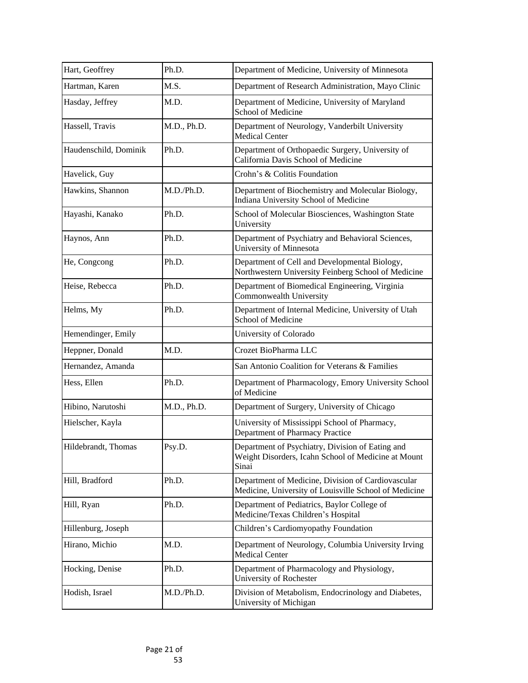| Hart, Geoffrey        | Ph.D.       | Department of Medicine, University of Minnesota                                                                  |
|-----------------------|-------------|------------------------------------------------------------------------------------------------------------------|
| Hartman, Karen        | M.S.        | Department of Research Administration, Mayo Clinic                                                               |
| Hasday, Jeffrey       | M.D.        | Department of Medicine, University of Maryland<br><b>School of Medicine</b>                                      |
| Hassell, Travis       | M.D., Ph.D. | Department of Neurology, Vanderbilt University<br><b>Medical Center</b>                                          |
| Haudenschild, Dominik | Ph.D.       | Department of Orthopaedic Surgery, University of<br>California Davis School of Medicine                          |
| Havelick, Guy         |             | Crohn's & Colitis Foundation                                                                                     |
| Hawkins, Shannon      | M.D./Ph.D.  | Department of Biochemistry and Molecular Biology,<br>Indiana University School of Medicine                       |
| Hayashi, Kanako       | Ph.D.       | School of Molecular Biosciences, Washington State<br>University                                                  |
| Haynos, Ann           | Ph.D.       | Department of Psychiatry and Behavioral Sciences,<br>University of Minnesota                                     |
| He, Congcong          | Ph.D.       | Department of Cell and Developmental Biology,<br>Northwestern University Feinberg School of Medicine             |
| Heise, Rebecca        | Ph.D.       | Department of Biomedical Engineering, Virginia<br>Commonwealth University                                        |
| Helms, My             | Ph.D.       | Department of Internal Medicine, University of Utah<br><b>School of Medicine</b>                                 |
| Hemendinger, Emily    |             | <b>University of Colorado</b>                                                                                    |
| Heppner, Donald       | M.D.        | Crozet BioPharma LLC                                                                                             |
| Hernandez, Amanda     |             | San Antonio Coalition for Veterans & Families                                                                    |
| Hess, Ellen           | Ph.D.       | Department of Pharmacology, Emory University School<br>of Medicine                                               |
| Hibino, Narutoshi     | M.D., Ph.D. | Department of Surgery, University of Chicago                                                                     |
| Hielscher, Kayla      |             | University of Mississippi School of Pharmacy,<br>Department of Pharmacy Practice                                 |
| Hildebrandt, Thomas   | Psy.D.      | Department of Psychiatry, Division of Eating and<br>Weight Disorders, Icahn School of Medicine at Mount<br>Sinai |
| Hill, Bradford        | Ph.D.       | Department of Medicine, Division of Cardiovascular<br>Medicine, University of Louisville School of Medicine      |
| Hill, Ryan            | Ph.D.       | Department of Pediatrics, Baylor College of<br>Medicine/Texas Children's Hospital                                |
| Hillenburg, Joseph    |             | Children's Cardiomyopathy Foundation                                                                             |
| Hirano, Michio        | M.D.        | Department of Neurology, Columbia University Irving<br><b>Medical Center</b>                                     |
| Hocking, Denise       | Ph.D.       | Department of Pharmacology and Physiology,<br><b>University of Rochester</b>                                     |
| Hodish, Israel        | M.D./Ph.D.  | Division of Metabolism, Endocrinology and Diabetes,<br>University of Michigan                                    |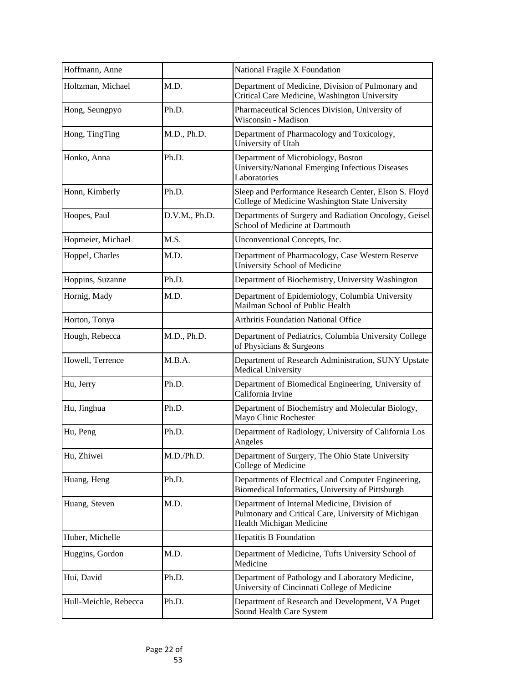| Hoffmann, Anne        |               | National Fragile X Foundation                                                                                                   |
|-----------------------|---------------|---------------------------------------------------------------------------------------------------------------------------------|
| Holtzman, Michael     | M.D.          | Department of Medicine, Division of Pulmonary and<br>Critical Care Medicine, Washington University                              |
| Hong, Seungpyo        | Ph.D.         | Pharmaceutical Sciences Division, University of<br>Wisconsin - Madison                                                          |
| Hong, TingTing        | M.D., Ph.D.   | Department of Pharmacology and Toxicology,<br>University of Utah                                                                |
| Honko, Anna           | Ph.D.         | Department of Microbiology, Boston<br>University/National Emerging Infectious Diseases<br>Laboratories                          |
| Honn, Kimberly        | Ph.D.         | Sleep and Performance Research Center, Elson S. Floyd<br>College of Medicine Washington State University                        |
| Hoopes, Paul          | D.V.M., Ph.D. | Departments of Surgery and Radiation Oncology, Geisel<br>School of Medicine at Dartmouth                                        |
| Hopmeier, Michael     | M.S.          | Unconventional Concepts, Inc.                                                                                                   |
| Hoppel, Charles       | M.D.          | Department of Pharmacology, Case Western Reserve<br><b>University School of Medicine</b>                                        |
| Hoppins, Suzanne      | Ph.D.         | Department of Biochemistry, University Washington                                                                               |
| Hornig, Mady          | M.D.          | Department of Epidemiology, Columbia University<br>Mailman School of Public Health                                              |
| Horton, Tonya         |               | <b>Arthritis Foundation National Office</b>                                                                                     |
| Hough, Rebecca        | M.D., Ph.D.   | Department of Pediatrics, Columbia University College<br>of Physicians & Surgeons                                               |
| Howell, Terrence      | M.B.A.        | Department of Research Administration, SUNY Upstate<br><b>Medical University</b>                                                |
| Hu, Jerry             | Ph.D.         | Department of Biomedical Engineering, University of<br>California Irvine                                                        |
| Hu, Jinghua           | Ph.D.         | Department of Biochemistry and Molecular Biology,<br>Mayo Clinic Rochester                                                      |
| Hu, Peng              | Ph.D.         | Department of Radiology, University of California Los<br>Angeles                                                                |
| Hu, Zhiwei            | M.D./Ph.D.    | Department of Surgery, The Ohio State University<br>College of Medicine                                                         |
| Huang, Heng           | Ph.D.         | Departments of Electrical and Computer Engineering,<br>Biomedical Informatics, University of Pittsburgh                         |
| Huang, Steven         | M.D.          | Department of Internal Medicine, Division of<br>Pulmonary and Critical Care, University of Michigan<br>Health Michigan Medicine |
| Huber, Michelle       |               | <b>Hepatitis B Foundation</b>                                                                                                   |
| Huggins, Gordon       | M.D.          | Department of Medicine, Tufts University School of<br>Medicine                                                                  |
| Hui, David            | Ph.D.         | Department of Pathology and Laboratory Medicine,<br>University of Cincinnati College of Medicine                                |
| Hull-Meichle, Rebecca | Ph.D.         | Department of Research and Development, VA Puget<br>Sound Health Care System                                                    |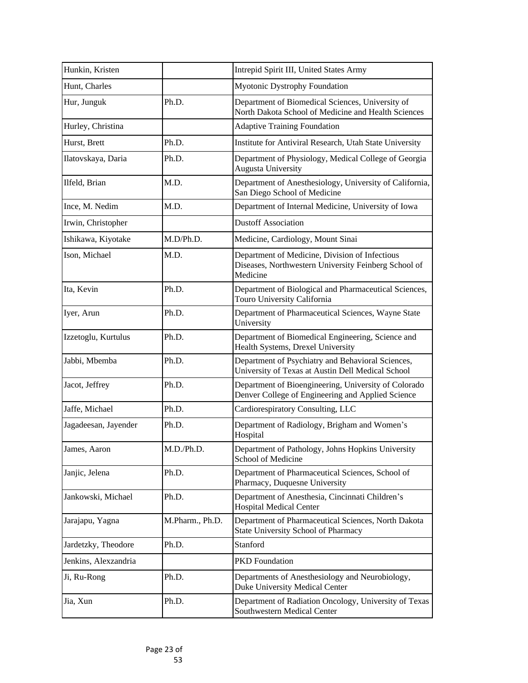| Hunkin, Kristen      |                 | Intrepid Spirit III, United States Army                                                                            |
|----------------------|-----------------|--------------------------------------------------------------------------------------------------------------------|
| Hunt, Charles        |                 | <b>Myotonic Dystrophy Foundation</b>                                                                               |
| Hur, Junguk          | Ph.D.           | Department of Biomedical Sciences, University of<br>North Dakota School of Medicine and Health Sciences            |
| Hurley, Christina    |                 | <b>Adaptive Training Foundation</b>                                                                                |
| Hurst, Brett         | Ph.D.           | Institute for Antiviral Research, Utah State University                                                            |
| Ilatovskaya, Daria   | Ph.D.           | Department of Physiology, Medical College of Georgia<br><b>Augusta University</b>                                  |
| Ilfeld, Brian        | M.D.            | Department of Anesthesiology, University of California,<br>San Diego School of Medicine                            |
| Ince, M. Nedim       | M.D.            | Department of Internal Medicine, University of Iowa                                                                |
| Irwin, Christopher   |                 | <b>Dustoff Association</b>                                                                                         |
| Ishikawa, Kiyotake   | M.D/Ph.D.       | Medicine, Cardiology, Mount Sinai                                                                                  |
| Ison, Michael        | M.D.            | Department of Medicine, Division of Infectious<br>Diseases, Northwestern University Feinberg School of<br>Medicine |
| Ita, Kevin           | Ph.D.           | Department of Biological and Pharmaceutical Sciences,<br>Touro University California                               |
| Iyer, Arun           | Ph.D.           | Department of Pharmaceutical Sciences, Wayne State<br>University                                                   |
| Izzetoglu, Kurtulus  | Ph.D.           | Department of Biomedical Engineering, Science and<br>Health Systems, Drexel University                             |
| Jabbi, Mbemba        | Ph.D.           | Department of Psychiatry and Behavioral Sciences,<br>University of Texas at Austin Dell Medical School             |
| Jacot, Jeffrey       | Ph.D.           | Department of Bioengineering, University of Colorado<br>Denver College of Engineering and Applied Science          |
| Jaffe, Michael       | Ph.D.           | Cardiorespiratory Consulting, LLC                                                                                  |
| Jagadeesan, Jayender | Ph.D.           | Department of Radiology, Brigham and Women's<br>Hospital                                                           |
| James, Aaron         | M.D./Ph.D.      | Department of Pathology, Johns Hopkins University<br><b>School of Medicine</b>                                     |
| Janjic, Jelena       | Ph.D.           | Department of Pharmaceutical Sciences, School of<br>Pharmacy, Duquesne University                                  |
| Jankowski, Michael   | Ph.D.           | Department of Anesthesia, Cincinnati Children's<br><b>Hospital Medical Center</b>                                  |
| Jarajapu, Yagna      | M.Pharm., Ph.D. | Department of Pharmaceutical Sciences, North Dakota<br><b>State University School of Pharmacy</b>                  |
| Jardetzky, Theodore  | Ph.D.           | Stanford                                                                                                           |
| Jenkins, Alexzandria |                 | <b>PKD</b> Foundation                                                                                              |
| Ji, Ru-Rong          | Ph.D.           | Departments of Anesthesiology and Neurobiology,<br><b>Duke University Medical Center</b>                           |
| Jia, Xun             | Ph.D.           | Department of Radiation Oncology, University of Texas<br>Southwestern Medical Center                               |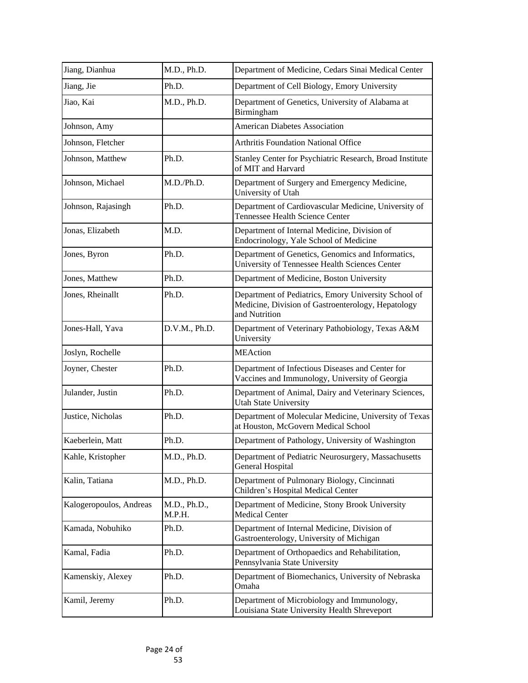| Jiang, Dianhua          | M.D., Ph.D.            | Department of Medicine, Cedars Sinai Medical Center                                                                         |
|-------------------------|------------------------|-----------------------------------------------------------------------------------------------------------------------------|
| Jiang, Jie              | Ph.D.                  | Department of Cell Biology, Emory University                                                                                |
| Jiao, Kai               | M.D., Ph.D.            | Department of Genetics, University of Alabama at<br>Birmingham                                                              |
| Johnson, Amy            |                        | <b>American Diabetes Association</b>                                                                                        |
| Johnson, Fletcher       |                        | <b>Arthritis Foundation National Office</b>                                                                                 |
| Johnson, Matthew        | Ph.D.                  | Stanley Center for Psychiatric Research, Broad Institute<br>of MIT and Harvard                                              |
| Johnson, Michael        | M.D./Ph.D.             | Department of Surgery and Emergency Medicine,<br>University of Utah                                                         |
| Johnson, Rajasingh      | Ph.D.                  | Department of Cardiovascular Medicine, University of<br>Tennessee Health Science Center                                     |
| Jonas, Elizabeth        | M.D.                   | Department of Internal Medicine, Division of<br>Endocrinology, Yale School of Medicine                                      |
| Jones, Byron            | Ph.D.                  | Department of Genetics, Genomics and Informatics,<br>University of Tennessee Health Sciences Center                         |
| Jones, Matthew          | Ph.D.                  | Department of Medicine, Boston University                                                                                   |
| Jones, Rheinallt        | Ph.D.                  | Department of Pediatrics, Emory University School of<br>Medicine, Division of Gastroenterology, Hepatology<br>and Nutrition |
| Jones-Hall, Yava        | D.V.M., Ph.D.          | Department of Veterinary Pathobiology, Texas A&M<br>University                                                              |
| Joslyn, Rochelle        |                        | <b>MEAction</b>                                                                                                             |
| Joyner, Chester         | Ph.D.                  | Department of Infectious Diseases and Center for<br>Vaccines and Immunology, University of Georgia                          |
| Julander, Justin        | Ph.D.                  | Department of Animal, Dairy and Veterinary Sciences,<br><b>Utah State University</b>                                        |
| Justice, Nicholas       | Ph.D.                  | Department of Molecular Medicine, University of Texas<br>at Houston, McGovern Medical School                                |
| Kaeberlein, Matt        | Ph.D.                  | Department of Pathology, University of Washington                                                                           |
| Kahle, Kristopher       | M.D., Ph.D.            | Department of Pediatric Neurosurgery, Massachusetts<br><b>General Hospital</b>                                              |
| Kalin, Tatiana          | M.D., Ph.D.            | Department of Pulmonary Biology, Cincinnati<br>Children's Hospital Medical Center                                           |
| Kalogeropoulos, Andreas | M.D., Ph.D.,<br>M.P.H. | Department of Medicine, Stony Brook University<br><b>Medical Center</b>                                                     |
| Kamada, Nobuhiko        | Ph.D.                  | Department of Internal Medicine, Division of<br>Gastroenterology, University of Michigan                                    |
| Kamal, Fadia            | Ph.D.                  | Department of Orthopaedics and Rehabilitation,<br>Pennsylvania State University                                             |
| Kamenskiy, Alexey       | Ph.D.                  | Department of Biomechanics, University of Nebraska<br>Omaha                                                                 |
| Kamil, Jeremy           | Ph.D.                  | Department of Microbiology and Immunology,<br>Louisiana State University Health Shreveport                                  |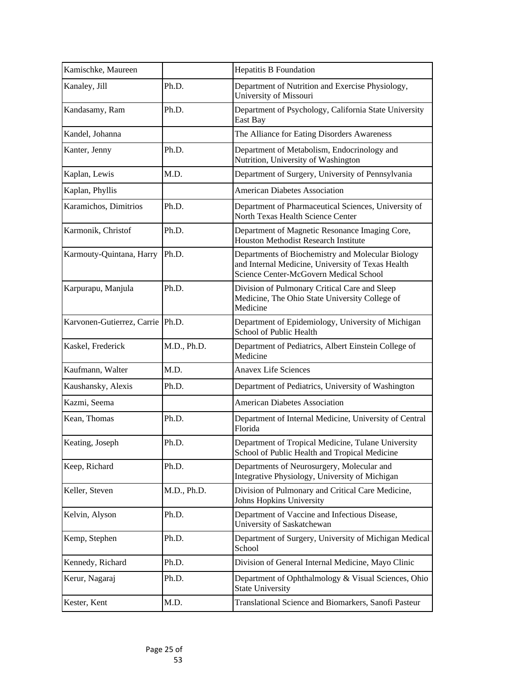| Kamischke, Maureen               |             | <b>Hepatitis B Foundation</b>                                                                                                                    |
|----------------------------------|-------------|--------------------------------------------------------------------------------------------------------------------------------------------------|
| Kanaley, Jill                    | Ph.D.       | Department of Nutrition and Exercise Physiology,<br>University of Missouri                                                                       |
| Kandasamy, Ram                   | Ph.D.       | Department of Psychology, California State University<br>East Bay                                                                                |
| Kandel, Johanna                  |             | The Alliance for Eating Disorders Awareness                                                                                                      |
| Kanter, Jenny                    | Ph.D.       | Department of Metabolism, Endocrinology and<br>Nutrition, University of Washington                                                               |
| Kaplan, Lewis                    | M.D.        | Department of Surgery, University of Pennsylvania                                                                                                |
| Kaplan, Phyllis                  |             | <b>American Diabetes Association</b>                                                                                                             |
| Karamichos, Dimitrios            | Ph.D.       | Department of Pharmaceutical Sciences, University of<br>North Texas Health Science Center                                                        |
| Karmonik, Christof               | Ph.D.       | Department of Magnetic Resonance Imaging Core,<br><b>Houston Methodist Research Institute</b>                                                    |
| Karmouty-Quintana, Harry         | Ph.D.       | Departments of Biochemistry and Molecular Biology<br>and Internal Medicine, University of Texas Health<br>Science Center-McGovern Medical School |
| Karpurapu, Manjula               | Ph.D.       | Division of Pulmonary Critical Care and Sleep<br>Medicine, The Ohio State University College of<br>Medicine                                      |
| Karvonen-Gutierrez, Carrie Ph.D. |             | Department of Epidemiology, University of Michigan<br>School of Public Health                                                                    |
| Kaskel, Frederick                | M.D., Ph.D. | Department of Pediatrics, Albert Einstein College of<br>Medicine                                                                                 |
| Kaufmann, Walter                 | M.D.        | <b>Anavex Life Sciences</b>                                                                                                                      |
| Kaushansky, Alexis               | Ph.D.       | Department of Pediatrics, University of Washington                                                                                               |
| Kazmi, Seema                     |             | <b>American Diabetes Association</b>                                                                                                             |
| Kean, Thomas                     | Ph.D.       | Department of Internal Medicine, University of Central<br>Florida                                                                                |
| Keating, Joseph                  | Ph.D.       | Department of Tropical Medicine, Tulane University<br>School of Public Health and Tropical Medicine                                              |
| Keep, Richard                    | Ph.D.       | Departments of Neurosurgery, Molecular and<br>Integrative Physiology, University of Michigan                                                     |
| Keller, Steven                   | M.D., Ph.D. | Division of Pulmonary and Critical Care Medicine,<br>Johns Hopkins University                                                                    |
| Kelvin, Alyson                   | Ph.D.       | Department of Vaccine and Infectious Disease,<br>University of Saskatchewan                                                                      |
| Kemp, Stephen                    | Ph.D.       | Department of Surgery, University of Michigan Medical<br>School                                                                                  |
| Kennedy, Richard                 | Ph.D.       | Division of General Internal Medicine, Mayo Clinic                                                                                               |
| Kerur, Nagaraj                   | Ph.D.       | Department of Ophthalmology & Visual Sciences, Ohio<br><b>State University</b>                                                                   |
| Kester, Kent                     | M.D.        | Translational Science and Biomarkers, Sanofi Pasteur                                                                                             |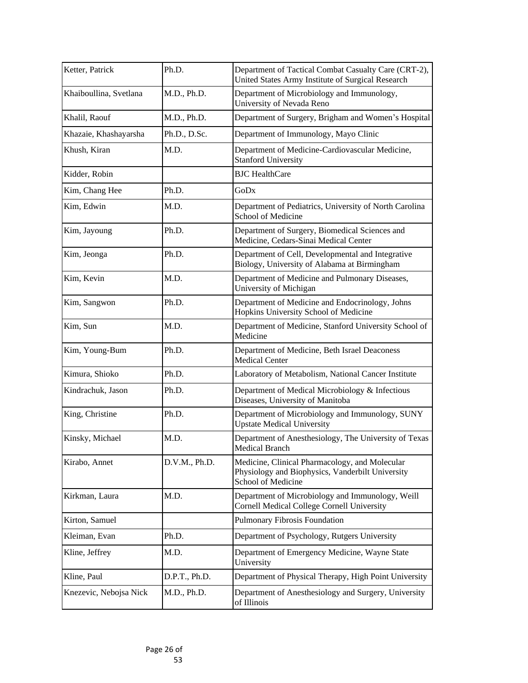| Ketter, Patrick        | Ph.D.         | Department of Tactical Combat Casualty Care (CRT-2),<br>United States Army Institute of Surgical Research                       |
|------------------------|---------------|---------------------------------------------------------------------------------------------------------------------------------|
| Khaiboullina, Svetlana | M.D., Ph.D.   | Department of Microbiology and Immunology,<br>University of Nevada Reno                                                         |
| Khalil, Raouf          | M.D., Ph.D.   | Department of Surgery, Brigham and Women's Hospital                                                                             |
| Khazaie, Khashayarsha  | Ph.D., D.Sc.  | Department of Immunology, Mayo Clinic                                                                                           |
| Khush, Kiran           | M.D.          | Department of Medicine-Cardiovascular Medicine,<br><b>Stanford University</b>                                                   |
| Kidder, Robin          |               | <b>BJC</b> HealthCare                                                                                                           |
| Kim, Chang Hee         | Ph.D.         | GoDx                                                                                                                            |
| Kim, Edwin             | M.D.          | Department of Pediatrics, University of North Carolina<br><b>School of Medicine</b>                                             |
| Kim, Jayoung           | Ph.D.         | Department of Surgery, Biomedical Sciences and<br>Medicine, Cedars-Sinai Medical Center                                         |
| Kim, Jeonga            | Ph.D.         | Department of Cell, Developmental and Integrative<br>Biology, University of Alabama at Birmingham                               |
| Kim, Kevin             | M.D.          | Department of Medicine and Pulmonary Diseases,<br>University of Michigan                                                        |
| Kim, Sangwon           | Ph.D.         | Department of Medicine and Endocrinology, Johns<br>Hopkins University School of Medicine                                        |
| Kim, Sun               | M.D.          | Department of Medicine, Stanford University School of<br>Medicine                                                               |
| Kim, Young-Bum         | Ph.D.         | Department of Medicine, Beth Israel Deaconess<br><b>Medical Center</b>                                                          |
| Kimura, Shioko         | Ph.D.         | Laboratory of Metabolism, National Cancer Institute                                                                             |
| Kindrachuk, Jason      | Ph.D.         | Department of Medical Microbiology & Infectious<br>Diseases, University of Manitoba                                             |
| King, Christine        | Ph.D.         | Department of Microbiology and Immunology, SUNY<br><b>Upstate Medical University</b>                                            |
| Kinsky, Michael        | M.D.          | Department of Anesthesiology, The University of Texas<br>Medical Branch                                                         |
| Kirabo, Annet          | D.V.M., Ph.D. | Medicine, Clinical Pharmacology, and Molecular<br>Physiology and Biophysics, Vanderbilt University<br><b>School of Medicine</b> |
| Kirkman, Laura         | M.D.          | Department of Microbiology and Immunology, Weill<br>Cornell Medical College Cornell University                                  |
| Kirton, Samuel         |               | Pulmonary Fibrosis Foundation                                                                                                   |
| Kleiman, Evan          | Ph.D.         | Department of Psychology, Rutgers University                                                                                    |
| Kline, Jeffrey         | M.D.          | Department of Emergency Medicine, Wayne State<br>University                                                                     |
| Kline, Paul            | D.P.T., Ph.D. | Department of Physical Therapy, High Point University                                                                           |
| Knezevic, Nebojsa Nick | M.D., Ph.D.   | Department of Anesthesiology and Surgery, University<br>of Illinois                                                             |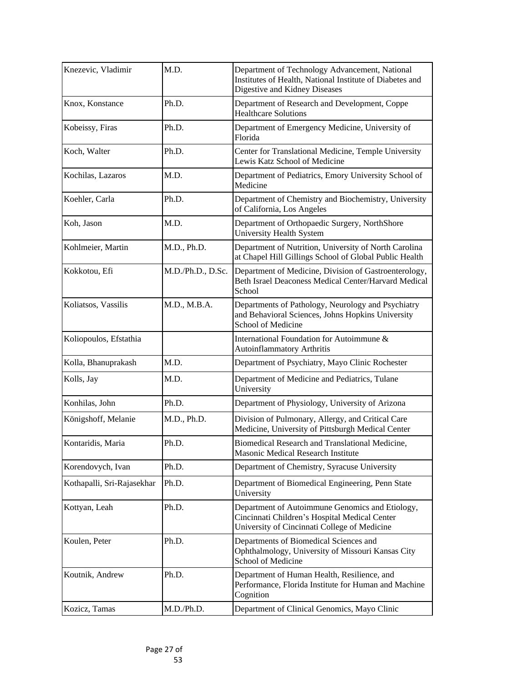| Knezevic, Vladimir         | M.D.              | Department of Technology Advancement, National<br>Institutes of Health, National Institute of Diabetes and<br>Digestive and Kidney Diseases      |
|----------------------------|-------------------|--------------------------------------------------------------------------------------------------------------------------------------------------|
| Knox, Konstance            | Ph.D.             | Department of Research and Development, Coppe<br><b>Healthcare Solutions</b>                                                                     |
| Kobeissy, Firas            | Ph.D.             | Department of Emergency Medicine, University of<br>Florida                                                                                       |
| Koch, Walter               | Ph.D.             | Center for Translational Medicine, Temple University<br>Lewis Katz School of Medicine                                                            |
| Kochilas, Lazaros          | M.D.              | Department of Pediatrics, Emory University School of<br>Medicine                                                                                 |
| Koehler, Carla             | Ph.D.             | Department of Chemistry and Biochemistry, University<br>of California, Los Angeles                                                               |
| Koh, Jason                 | M.D.              | Department of Orthopaedic Surgery, NorthShore<br><b>University Health System</b>                                                                 |
| Kohlmeier, Martin          | M.D., Ph.D.       | Department of Nutrition, University of North Carolina<br>at Chapel Hill Gillings School of Global Public Health                                  |
| Kokkotou, Efi              | M.D./Ph.D., D.Sc. | Department of Medicine, Division of Gastroenterology,<br>Beth Israel Deaconess Medical Center/Harvard Medical<br>School                          |
| Koliatsos, Vassilis        | M.D., M.B.A.      | Departments of Pathology, Neurology and Psychiatry<br>and Behavioral Sciences, Johns Hopkins University<br><b>School of Medicine</b>             |
| Koliopoulos, Efstathia     |                   | International Foundation for Autoimmune &<br><b>Autoinflammatory Arthritis</b>                                                                   |
| Kolla, Bhanuprakash        | M.D.              | Department of Psychiatry, Mayo Clinic Rochester                                                                                                  |
| Kolls, Jay                 | M.D.              | Department of Medicine and Pediatrics, Tulane<br>University                                                                                      |
| Konhilas, John             | Ph.D.             | Department of Physiology, University of Arizona                                                                                                  |
| Königshoff, Melanie        | M.D., Ph.D.       | Division of Pulmonary, Allergy, and Critical Care<br>Medicine, University of Pittsburgh Medical Center                                           |
| Kontaridis, Maria          | Ph.D.             | Biomedical Research and Translational Medicine,<br>Masonic Medical Research Institute                                                            |
| Korendovych, Ivan          | Ph.D.             | Department of Chemistry, Syracuse University                                                                                                     |
| Kothapalli, Sri-Rajasekhar | Ph.D.             | Department of Biomedical Engineering, Penn State<br>University                                                                                   |
| Kottyan, Leah              | Ph.D.             | Department of Autoimmune Genomics and Etiology,<br>Cincinnati Children's Hospital Medical Center<br>University of Cincinnati College of Medicine |
| Koulen, Peter              | Ph.D.             | Departments of Biomedical Sciences and<br>Ophthalmology, University of Missouri Kansas City<br><b>School of Medicine</b>                         |
| Koutnik, Andrew            | Ph.D.             | Department of Human Health, Resilience, and<br>Performance, Florida Institute for Human and Machine<br>Cognition                                 |
| Kozicz, Tamas              | M.D./Ph.D.        | Department of Clinical Genomics, Mayo Clinic                                                                                                     |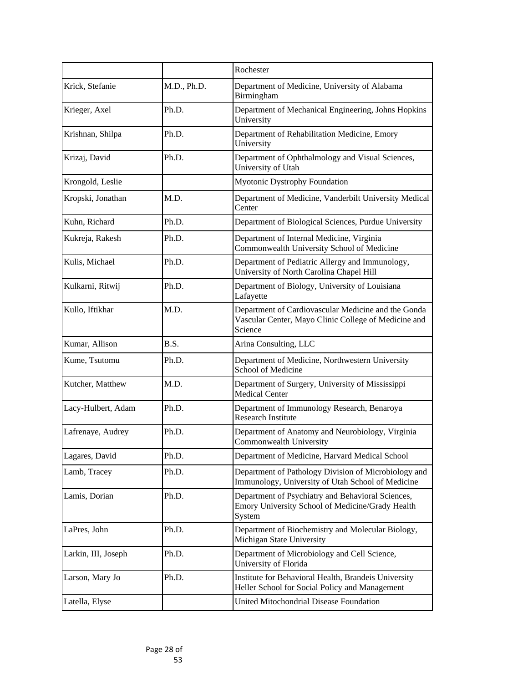|                     |             | Rochester                                                                                                              |
|---------------------|-------------|------------------------------------------------------------------------------------------------------------------------|
| Krick, Stefanie     | M.D., Ph.D. | Department of Medicine, University of Alabama<br>Birmingham                                                            |
| Krieger, Axel       | Ph.D.       | Department of Mechanical Engineering, Johns Hopkins<br>University                                                      |
| Krishnan, Shilpa    | Ph.D.       | Department of Rehabilitation Medicine, Emory<br>University                                                             |
| Krizaj, David       | Ph.D.       | Department of Ophthalmology and Visual Sciences,<br>University of Utah                                                 |
| Krongold, Leslie    |             | <b>Myotonic Dystrophy Foundation</b>                                                                                   |
| Kropski, Jonathan   | M.D.        | Department of Medicine, Vanderbilt University Medical<br>Center                                                        |
| Kuhn, Richard       | Ph.D.       | Department of Biological Sciences, Purdue University                                                                   |
| Kukreja, Rakesh     | Ph.D.       | Department of Internal Medicine, Virginia<br>Commonwealth University School of Medicine                                |
| Kulis, Michael      | Ph.D.       | Department of Pediatric Allergy and Immunology,<br>University of North Carolina Chapel Hill                            |
| Kulkarni, Ritwij    | Ph.D.       | Department of Biology, University of Louisiana<br>Lafayette                                                            |
| Kullo, Iftikhar     | M.D.        | Department of Cardiovascular Medicine and the Gonda<br>Vascular Center, Mayo Clinic College of Medicine and<br>Science |
| Kumar, Allison      | B.S.        | Arina Consulting, LLC                                                                                                  |
| Kume, Tsutomu       | Ph.D.       | Department of Medicine, Northwestern University<br><b>School of Medicine</b>                                           |
| Kutcher, Matthew    | M.D.        | Department of Surgery, University of Mississippi<br><b>Medical Center</b>                                              |
| Lacy-Hulbert, Adam  | Ph.D.       | Department of Immunology Research, Benaroya<br><b>Research Institute</b>                                               |
| Lafrenaye, Audrey   | Ph.D.       | Department of Anatomy and Neurobiology, Virginia<br>Commonwealth University                                            |
| Lagares, David      | Ph.D.       | Department of Medicine, Harvard Medical School                                                                         |
| Lamb, Tracey        | Ph.D.       | Department of Pathology Division of Microbiology and<br>Immunology, University of Utah School of Medicine              |
| Lamis, Dorian       | Ph.D.       | Department of Psychiatry and Behavioral Sciences,<br>Emory University School of Medicine/Grady Health<br>System        |
| LaPres, John        | Ph.D.       | Department of Biochemistry and Molecular Biology,<br>Michigan State University                                         |
| Larkin, III, Joseph | Ph.D.       | Department of Microbiology and Cell Science,<br>University of Florida                                                  |
| Larson, Mary Jo     | Ph.D.       | Institute for Behavioral Health, Brandeis University<br>Heller School for Social Policy and Management                 |
| Latella, Elyse      |             | United Mitochondrial Disease Foundation                                                                                |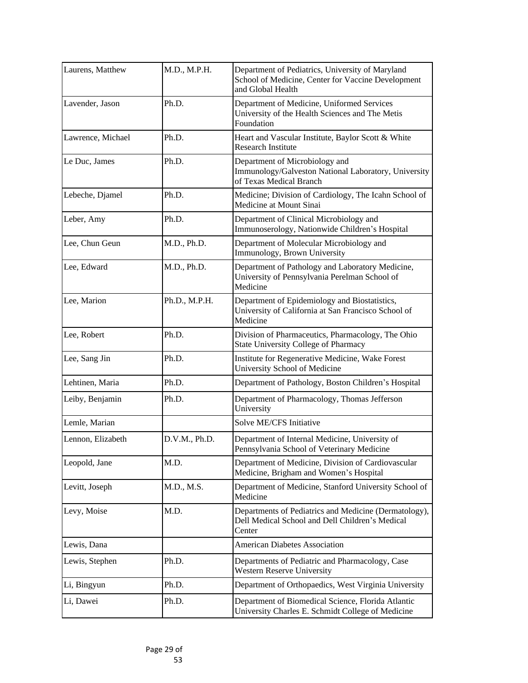| Laurens, Matthew  | M.D., M.P.H.  | Department of Pediatrics, University of Maryland<br>School of Medicine, Center for Vaccine Development<br>and Global Health |
|-------------------|---------------|-----------------------------------------------------------------------------------------------------------------------------|
| Lavender, Jason   | Ph.D.         | Department of Medicine, Uniformed Services<br>University of the Health Sciences and The Metis<br>Foundation                 |
| Lawrence, Michael | Ph.D.         | Heart and Vascular Institute, Baylor Scott & White<br><b>Research Institute</b>                                             |
| Le Duc, James     | Ph.D.         | Department of Microbiology and<br>Immunology/Galveston National Laboratory, University<br>of Texas Medical Branch           |
| Lebeche, Djamel   | Ph.D.         | Medicine; Division of Cardiology, The Icahn School of<br>Medicine at Mount Sinai                                            |
| Leber, Amy        | Ph.D.         | Department of Clinical Microbiology and<br>Immunoserology, Nationwide Children's Hospital                                   |
| Lee, Chun Geun    | M.D., Ph.D.   | Department of Molecular Microbiology and<br>Immunology, Brown University                                                    |
| Lee, Edward       | M.D., Ph.D.   | Department of Pathology and Laboratory Medicine,<br>University of Pennsylvania Perelman School of<br>Medicine               |
| Lee, Marion       | Ph.D., M.P.H. | Department of Epidemiology and Biostatistics,<br>University of California at San Francisco School of<br>Medicine            |
| Lee, Robert       | Ph.D.         | Division of Pharmaceutics, Pharmacology, The Ohio<br><b>State University College of Pharmacy</b>                            |
| Lee, Sang Jin     | Ph.D.         | Institute for Regenerative Medicine, Wake Forest<br><b>University School of Medicine</b>                                    |
| Lehtinen, Maria   | Ph.D.         | Department of Pathology, Boston Children's Hospital                                                                         |
| Leiby, Benjamin   | Ph.D.         | Department of Pharmacology, Thomas Jefferson<br>University                                                                  |
| Lemle, Marian     |               | Solve ME/CFS Initiative                                                                                                     |
| Lennon, Elizabeth | D.V.M., Ph.D. | Department of Internal Medicine, University of<br>Pennsylvania School of Veterinary Medicine                                |
| Leopold, Jane     | M.D.          | Department of Medicine, Division of Cardiovascular<br>Medicine, Brigham and Women's Hospital                                |
| Levitt, Joseph    | M.D., M.S.    | Department of Medicine, Stanford University School of<br>Medicine                                                           |
| Levy, Moise       | M.D.          | Departments of Pediatrics and Medicine (Dermatology),<br>Dell Medical School and Dell Children's Medical<br>Center          |
| Lewis, Dana       |               | <b>American Diabetes Association</b>                                                                                        |
| Lewis, Stephen    | Ph.D.         | Departments of Pediatric and Pharmacology, Case<br><b>Western Reserve University</b>                                        |
| Li, Bingyun       | Ph.D.         | Department of Orthopaedics, West Virginia University                                                                        |
| Li, Dawei         | Ph.D.         | Department of Biomedical Science, Florida Atlantic<br>University Charles E. Schmidt College of Medicine                     |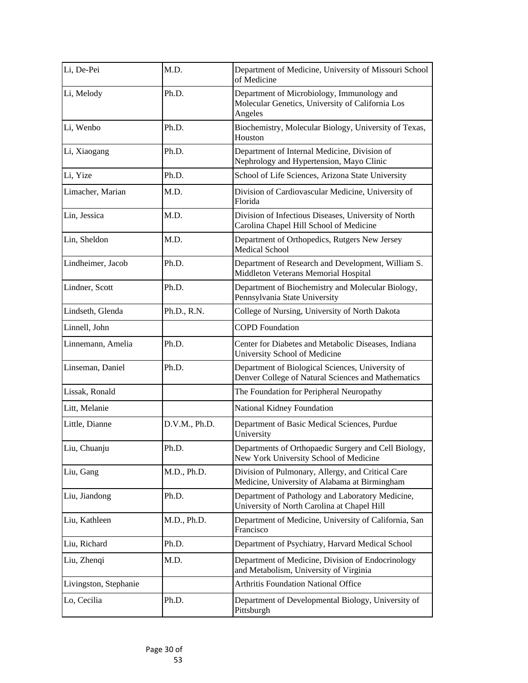| Li, De-Pei            | M.D.          | Department of Medicine, University of Missouri School<br>of Medicine                                      |
|-----------------------|---------------|-----------------------------------------------------------------------------------------------------------|
| Li, Melody            | Ph.D.         | Department of Microbiology, Immunology and<br>Molecular Genetics, University of California Los<br>Angeles |
| Li, Wenbo             | Ph.D.         | Biochemistry, Molecular Biology, University of Texas,<br>Houston                                          |
| Li, Xiaogang          | Ph.D.         | Department of Internal Medicine, Division of<br>Nephrology and Hypertension, Mayo Clinic                  |
| Li, Yize              | Ph.D.         | School of Life Sciences, Arizona State University                                                         |
| Limacher, Marian      | M.D.          | Division of Cardiovascular Medicine, University of<br>Florida                                             |
| Lin, Jessica          | M.D.          | Division of Infectious Diseases, University of North<br>Carolina Chapel Hill School of Medicine           |
| Lin, Sheldon          | M.D.          | Department of Orthopedics, Rutgers New Jersey<br><b>Medical School</b>                                    |
| Lindheimer, Jacob     | Ph.D.         | Department of Research and Development, William S.<br>Middleton Veterans Memorial Hospital                |
| Lindner, Scott        | Ph.D.         | Department of Biochemistry and Molecular Biology,<br>Pennsylvania State University                        |
| Lindseth, Glenda      | Ph.D., R.N.   | College of Nursing, University of North Dakota                                                            |
| Linnell, John         |               | <b>COPD Foundation</b>                                                                                    |
| Linnemann, Amelia     | Ph.D.         | Center for Diabetes and Metabolic Diseases, Indiana<br><b>University School of Medicine</b>               |
| Linseman, Daniel      | Ph.D.         | Department of Biological Sciences, University of<br>Denver College of Natural Sciences and Mathematics    |
| Lissak, Ronald        |               | The Foundation for Peripheral Neuropathy                                                                  |
| Litt, Melanie         |               | National Kidney Foundation                                                                                |
| Little, Dianne        | D.V.M., Ph.D. | Department of Basic Medical Sciences, Purdue<br>University                                                |
| Liu, Chuanju          | Ph.D.         | Departments of Orthopaedic Surgery and Cell Biology,<br>New York University School of Medicine            |
| Liu, Gang             | M.D., Ph.D.   | Division of Pulmonary, Allergy, and Critical Care<br>Medicine, University of Alabama at Birmingham        |
| Liu, Jiandong         | Ph.D.         | Department of Pathology and Laboratory Medicine,<br>University of North Carolina at Chapel Hill           |
| Liu, Kathleen         | M.D., Ph.D.   | Department of Medicine, University of California, San<br>Francisco                                        |
| Liu, Richard          | Ph.D.         | Department of Psychiatry, Harvard Medical School                                                          |
| Liu, Zhenqi           | M.D.          | Department of Medicine, Division of Endocrinology<br>and Metabolism, University of Virginia               |
| Livingston, Stephanie |               | <b>Arthritis Foundation National Office</b>                                                               |
| Lo, Cecilia           | Ph.D.         | Department of Developmental Biology, University of<br>Pittsburgh                                          |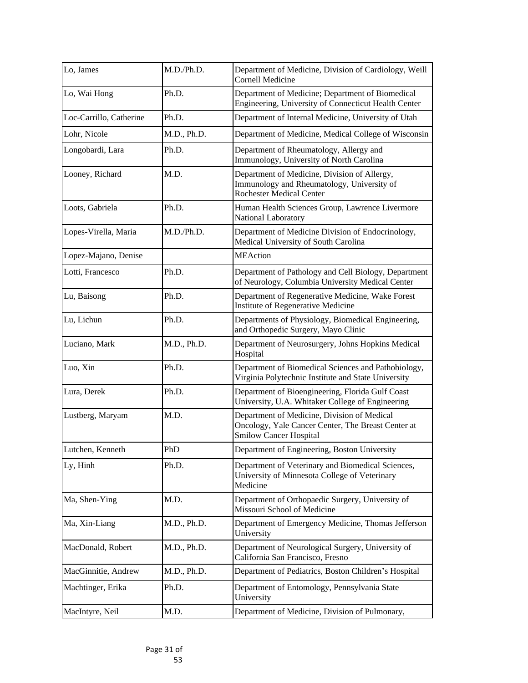| Lo, James               | M.D./Ph.D.  | Department of Medicine, Division of Cardiology, Weill<br><b>Cornell Medicine</b>                                                   |
|-------------------------|-------------|------------------------------------------------------------------------------------------------------------------------------------|
| Lo, Wai Hong            | Ph.D.       | Department of Medicine; Department of Biomedical<br>Engineering, University of Connecticut Health Center                           |
| Loc-Carrillo, Catherine | Ph.D.       | Department of Internal Medicine, University of Utah                                                                                |
| Lohr, Nicole            | M.D., Ph.D. | Department of Medicine, Medical College of Wisconsin                                                                               |
| Longobardi, Lara        | Ph.D.       | Department of Rheumatology, Allergy and<br>Immunology, University of North Carolina                                                |
| Looney, Richard         | M.D.        | Department of Medicine, Division of Allergy,<br>Immunology and Rheumatology, University of<br><b>Rochester Medical Center</b>      |
| Loots, Gabriela         | Ph.D.       | Human Health Sciences Group, Lawrence Livermore<br>National Laboratory                                                             |
| Lopes-Virella, Maria    | M.D./Ph.D.  | Department of Medicine Division of Endocrinology,<br>Medical University of South Carolina                                          |
| Lopez-Majano, Denise    |             | <b>MEAction</b>                                                                                                                    |
| Lotti, Francesco        | Ph.D.       | Department of Pathology and Cell Biology, Department<br>of Neurology, Columbia University Medical Center                           |
| Lu, Baisong             | Ph.D.       | Department of Regenerative Medicine, Wake Forest<br><b>Institute of Regenerative Medicine</b>                                      |
| Lu, Lichun              | Ph.D.       | Departments of Physiology, Biomedical Engineering,<br>and Orthopedic Surgery, Mayo Clinic                                          |
| Luciano, Mark           | M.D., Ph.D. | Department of Neurosurgery, Johns Hopkins Medical<br>Hospital                                                                      |
| Luo, Xin                | Ph.D.       | Department of Biomedical Sciences and Pathobiology,<br>Virginia Polytechnic Institute and State University                         |
| Lura, Derek             | Ph.D.       | Department of Bioengineering, Florida Gulf Coast<br>University, U.A. Whitaker College of Engineering                               |
| Lustberg, Maryam        | M.D.        | Department of Medicine, Division of Medical<br>Oncology, Yale Cancer Center, The Breast Center at<br><b>Smilow Cancer Hospital</b> |
| Lutchen, Kenneth        | PhD         | Department of Engineering, Boston University                                                                                       |
| Ly, Hinh                | Ph.D.       | Department of Veterinary and Biomedical Sciences,<br>University of Minnesota College of Veterinary<br>Medicine                     |
| Ma, Shen-Ying           | M.D.        | Department of Orthopaedic Surgery, University of<br>Missouri School of Medicine                                                    |
| Ma, Xin-Liang           | M.D., Ph.D. | Department of Emergency Medicine, Thomas Jefferson<br>University                                                                   |
| MacDonald, Robert       | M.D., Ph.D. | Department of Neurological Surgery, University of<br>California San Francisco, Fresno                                              |
| MacGinnitie, Andrew     | M.D., Ph.D. | Department of Pediatrics, Boston Children's Hospital                                                                               |
| Machtinger, Erika       | Ph.D.       | Department of Entomology, Pennsylvania State<br>University                                                                         |
| MacIntyre, Neil         | M.D.        | Department of Medicine, Division of Pulmonary,                                                                                     |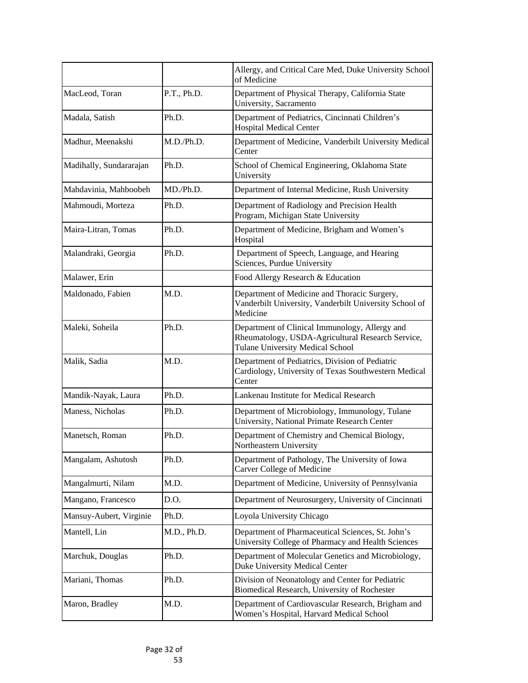|                         |             | Allergy, and Critical Care Med, Duke University School<br>of Medicine                                                                          |
|-------------------------|-------------|------------------------------------------------------------------------------------------------------------------------------------------------|
| MacLeod, Toran          | P.T., Ph.D. | Department of Physical Therapy, California State<br>University, Sacramento                                                                     |
| Madala, Satish          | Ph.D.       | Department of Pediatrics, Cincinnati Children's<br><b>Hospital Medical Center</b>                                                              |
| Madhur, Meenakshi       | M.D./Ph.D.  | Department of Medicine, Vanderbilt University Medical<br>Center                                                                                |
| Madihally, Sundararajan | Ph.D.       | School of Chemical Engineering, Oklahoma State<br>University                                                                                   |
| Mahdavinia, Mahboobeh   | MD./Ph.D.   | Department of Internal Medicine, Rush University                                                                                               |
| Mahmoudi, Morteza       | Ph.D.       | Department of Radiology and Precision Health<br>Program, Michigan State University                                                             |
| Maira-Litran, Tomas     | Ph.D.       | Department of Medicine, Brigham and Women's<br>Hospital                                                                                        |
| Malandraki, Georgia     | Ph.D.       | Department of Speech, Language, and Hearing<br>Sciences, Purdue University                                                                     |
| Malawer, Erin           |             | Food Allergy Research & Education                                                                                                              |
| Maldonado, Fabien       | M.D.        | Department of Medicine and Thoracic Surgery,<br>Vanderbilt University, Vanderbilt University School of<br>Medicine                             |
| Maleki, Soheila         | Ph.D.       | Department of Clinical Immunology, Allergy and<br>Rheumatology, USDA-Agricultural Research Service,<br><b>Tulane University Medical School</b> |
| Malik, Sadia            | M.D.        | Department of Pediatrics, Division of Pediatric<br>Cardiology, University of Texas Southwestern Medical<br>Center                              |
| Mandik-Nayak, Laura     | Ph.D.       | Lankenau Institute for Medical Research                                                                                                        |
| Maness, Nicholas        | Ph.D.       | Department of Microbiology, Immunology, Tulane<br>University, National Primate Research Center                                                 |
| Manetsch, Roman         | Ph.D.       | Department of Chemistry and Chemical Biology,<br>Northeastern University                                                                       |
| Mangalam, Ashutosh      | Ph.D.       | Department of Pathology, The University of Iowa<br><b>Carver College of Medicine</b>                                                           |
| Mangalmurti, Nilam      | M.D.        | Department of Medicine, University of Pennsylvania                                                                                             |
| Mangano, Francesco      | D.O.        | Department of Neurosurgery, University of Cincinnati                                                                                           |
| Mansuy-Aubert, Virginie | Ph.D.       | Loyola University Chicago                                                                                                                      |
| Mantell, Lin            | M.D., Ph.D. | Department of Pharmaceutical Sciences, St. John's<br>University College of Pharmacy and Health Sciences                                        |
| Marchuk, Douglas        | Ph.D.       | Department of Molecular Genetics and Microbiology,<br><b>Duke University Medical Center</b>                                                    |
| Mariani, Thomas         | Ph.D.       | Division of Neonatology and Center for Pediatric<br>Biomedical Research, University of Rochester                                               |
| Maron, Bradley          | M.D.        | Department of Cardiovascular Research, Brigham and<br>Women's Hospital, Harvard Medical School                                                 |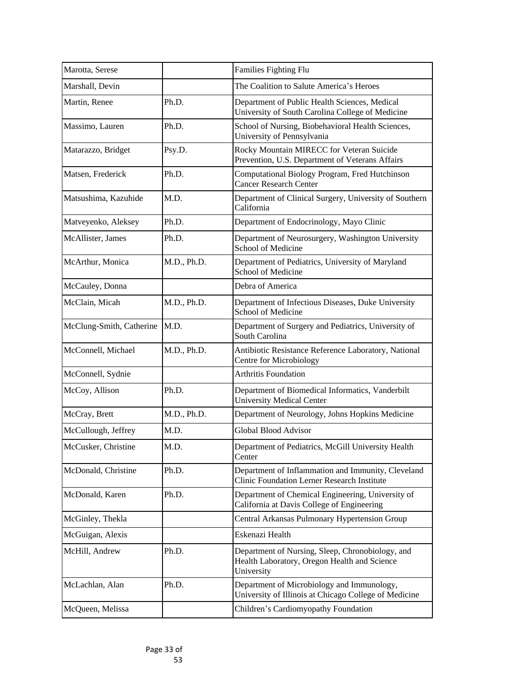| Marotta, Serese          |             | Families Fighting Flu                                                                                          |
|--------------------------|-------------|----------------------------------------------------------------------------------------------------------------|
| Marshall, Devin          |             | The Coalition to Salute America's Heroes                                                                       |
| Martin, Renee            | Ph.D.       | Department of Public Health Sciences, Medical<br>University of South Carolina College of Medicine              |
| Massimo, Lauren          | Ph.D.       | School of Nursing, Biobehavioral Health Sciences,<br>University of Pennsylvania                                |
| Matarazzo, Bridget       | Psy.D.      | Rocky Mountain MIRECC for Veteran Suicide<br>Prevention, U.S. Department of Veterans Affairs                   |
| Matsen, Frederick        | Ph.D.       | Computational Biology Program, Fred Hutchinson<br><b>Cancer Research Center</b>                                |
| Matsushima, Kazuhide     | M.D.        | Department of Clinical Surgery, University of Southern<br>California                                           |
| Matveyenko, Aleksey      | Ph.D.       | Department of Endocrinology, Mayo Clinic                                                                       |
| McAllister, James        | Ph.D.       | Department of Neurosurgery, Washington University<br><b>School of Medicine</b>                                 |
| McArthur, Monica         | M.D., Ph.D. | Department of Pediatrics, University of Maryland<br><b>School of Medicine</b>                                  |
| McCauley, Donna          |             | Debra of America                                                                                               |
| McClain, Micah           | M.D., Ph.D. | Department of Infectious Diseases, Duke University<br><b>School of Medicine</b>                                |
| McClung-Smith, Catherine | M.D.        | Department of Surgery and Pediatrics, University of<br>South Carolina                                          |
| McConnell, Michael       | M.D., Ph.D. | Antibiotic Resistance Reference Laboratory, National<br><b>Centre for Microbiology</b>                         |
| McConnell, Sydnie        |             | <b>Arthritis Foundation</b>                                                                                    |
| McCoy, Allison           | Ph.D.       | Department of Biomedical Informatics, Vanderbilt<br><b>University Medical Center</b>                           |
| McCray, Brett            | M.D., Ph.D. | Department of Neurology, Johns Hopkins Medicine                                                                |
| McCullough, Jeffrey      | M.D.        | <b>Global Blood Advisor</b>                                                                                    |
| McCusker, Christine      | M.D.        | Department of Pediatrics, McGill University Health<br>Center                                                   |
| McDonald, Christine      | Ph.D.       | Department of Inflammation and Immunity, Cleveland<br><b>Clinic Foundation Lerner Research Institute</b>       |
| McDonald, Karen          | Ph.D.       | Department of Chemical Engineering, University of<br>California at Davis College of Engineering                |
| McGinley, Thekla         |             | Central Arkansas Pulmonary Hypertension Group                                                                  |
| McGuigan, Alexis         |             | Eskenazi Health                                                                                                |
| McHill, Andrew           | Ph.D.       | Department of Nursing, Sleep, Chronobiology, and<br>Health Laboratory, Oregon Health and Science<br>University |
| McLachlan, Alan          | Ph.D.       | Department of Microbiology and Immunology,<br>University of Illinois at Chicago College of Medicine            |
| McQueen, Melissa         |             | Children's Cardiomyopathy Foundation                                                                           |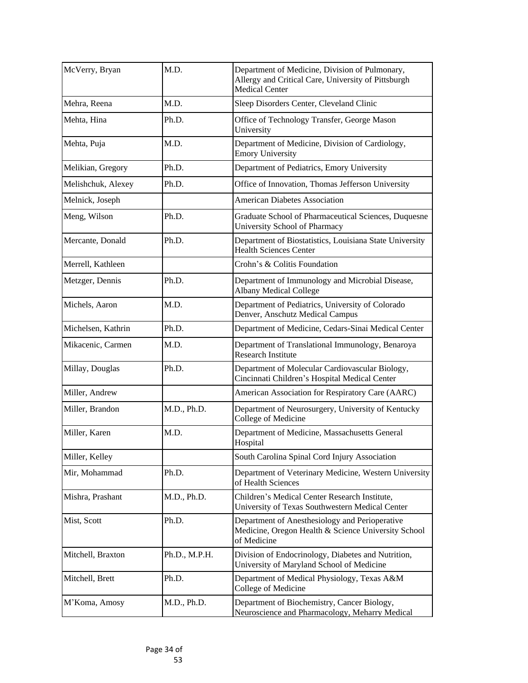| McVerry, Bryan     | M.D.          | Department of Medicine, Division of Pulmonary,<br>Allergy and Critical Care, University of Pittsburgh<br><b>Medical Center</b> |
|--------------------|---------------|--------------------------------------------------------------------------------------------------------------------------------|
| Mehra, Reena       | M.D.          | Sleep Disorders Center, Cleveland Clinic                                                                                       |
| Mehta, Hina        | Ph.D.         | Office of Technology Transfer, George Mason<br>University                                                                      |
| Mehta, Puja        | M.D.          | Department of Medicine, Division of Cardiology,<br><b>Emory University</b>                                                     |
| Melikian, Gregory  | Ph.D.         | Department of Pediatrics, Emory University                                                                                     |
| Melishchuk, Alexey | Ph.D.         | Office of Innovation, Thomas Jefferson University                                                                              |
| Melnick, Joseph    |               | <b>American Diabetes Association</b>                                                                                           |
| Meng, Wilson       | Ph.D.         | Graduate School of Pharmaceutical Sciences, Duquesne<br><b>University School of Pharmacy</b>                                   |
| Mercante, Donald   | Ph.D.         | Department of Biostatistics, Louisiana State University<br><b>Health Sciences Center</b>                                       |
| Merrell, Kathleen  |               | Crohn's & Colitis Foundation                                                                                                   |
| Metzger, Dennis    | Ph.D.         | Department of Immunology and Microbial Disease,<br><b>Albany Medical College</b>                                               |
| Michels, Aaron     | M.D.          | Department of Pediatrics, University of Colorado<br>Denver, Anschutz Medical Campus                                            |
| Michelsen, Kathrin | Ph.D.         | Department of Medicine, Cedars-Sinai Medical Center                                                                            |
| Mikacenic, Carmen  | M.D.          | Department of Translational Immunology, Benaroya<br><b>Research Institute</b>                                                  |
| Millay, Douglas    | Ph.D.         | Department of Molecular Cardiovascular Biology,<br>Cincinnati Children's Hospital Medical Center                               |
| Miller, Andrew     |               | American Association for Respiratory Care (AARC)                                                                               |
| Miller, Brandon    | M.D., Ph.D.   | Department of Neurosurgery, University of Kentucky<br><b>College of Medicine</b>                                               |
| Miller, Karen      | M.D.          | Department of Medicine, Massachusetts General<br>Hospital                                                                      |
| Miller, Kelley     |               | South Carolina Spinal Cord Injury Association                                                                                  |
| Mir, Mohammad      | Ph.D.         | Department of Veterinary Medicine, Western University<br>of Health Sciences                                                    |
| Mishra, Prashant   | M.D., Ph.D.   | Children's Medical Center Research Institute,<br>University of Texas Southwestern Medical Center                               |
| Mist, Scott        | Ph.D.         | Department of Anesthesiology and Perioperative<br>Medicine, Oregon Health & Science University School<br>of Medicine           |
| Mitchell, Braxton  | Ph.D., M.P.H. | Division of Endocrinology, Diabetes and Nutrition,<br>University of Maryland School of Medicine                                |
| Mitchell, Brett    | Ph.D.         | Department of Medical Physiology, Texas A&M<br>College of Medicine                                                             |
| M'Koma, Amosy      | M.D., Ph.D.   | Department of Biochemistry, Cancer Biology,<br>Neuroscience and Pharmacology, Meharry Medical                                  |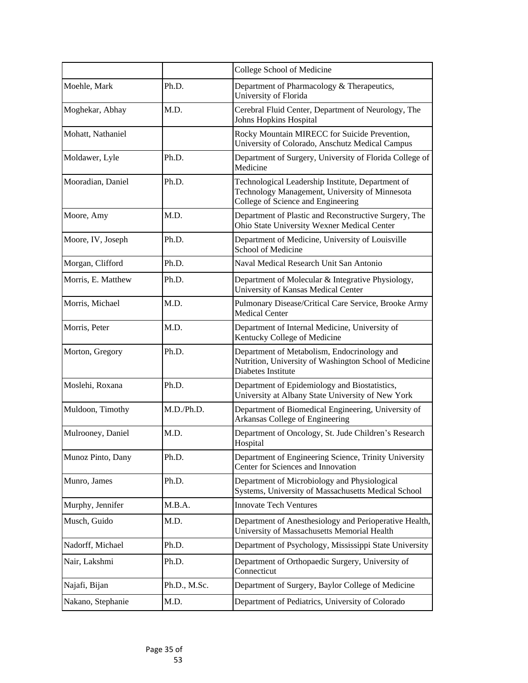|                    |              | College School of Medicine                                                                                                                |
|--------------------|--------------|-------------------------------------------------------------------------------------------------------------------------------------------|
| Moehle, Mark       | Ph.D.        | Department of Pharmacology & Therapeutics,<br>University of Florida                                                                       |
| Moghekar, Abhay    | M.D.         | Cerebral Fluid Center, Department of Neurology, The<br>Johns Hopkins Hospital                                                             |
| Mohatt, Nathaniel  |              | Rocky Mountain MIRECC for Suicide Prevention,<br>University of Colorado, Anschutz Medical Campus                                          |
| Moldawer, Lyle     | Ph.D.        | Department of Surgery, University of Florida College of<br>Medicine                                                                       |
| Mooradian, Daniel  | Ph.D.        | Technological Leadership Institute, Department of<br>Technology Management, University of Minnesota<br>College of Science and Engineering |
| Moore, Amy         | M.D.         | Department of Plastic and Reconstructive Surgery, The<br>Ohio State University Wexner Medical Center                                      |
| Moore, IV, Joseph  | Ph.D.        | Department of Medicine, University of Louisville<br><b>School of Medicine</b>                                                             |
| Morgan, Clifford   | Ph.D.        | Naval Medical Research Unit San Antonio                                                                                                   |
| Morris, E. Matthew | Ph.D.        | Department of Molecular & Integrative Physiology,<br>University of Kansas Medical Center                                                  |
| Morris, Michael    | M.D.         | Pulmonary Disease/Critical Care Service, Brooke Army<br><b>Medical Center</b>                                                             |
| Morris, Peter      | M.D.         | Department of Internal Medicine, University of<br>Kentucky College of Medicine                                                            |
| Morton, Gregory    | Ph.D.        | Department of Metabolism, Endocrinology and<br>Nutrition, University of Washington School of Medicine<br>Diabetes Institute               |
| Moslehi, Roxana    | Ph.D.        | Department of Epidemiology and Biostatistics,<br>University at Albany State University of New York                                        |
| Muldoon, Timothy   | M.D./Ph.D.   | Department of Biomedical Engineering, University of<br>Arkansas College of Engineering                                                    |
| Mulrooney, Daniel  | M.D.         | Department of Oncology, St. Jude Children's Research<br>Hospital                                                                          |
| Munoz Pinto, Dany  | Ph.D.        | Department of Engineering Science, Trinity University<br>Center for Sciences and Innovation                                               |
| Munro, James       | Ph.D.        | Department of Microbiology and Physiological<br>Systems, University of Massachusetts Medical School                                       |
| Murphy, Jennifer   | M.B.A.       | <b>Innovate Tech Ventures</b>                                                                                                             |
| Musch, Guido       | M.D.         | Department of Anesthesiology and Perioperative Health,<br>University of Massachusetts Memorial Health                                     |
| Nadorff, Michael   | Ph.D.        | Department of Psychology, Mississippi State University                                                                                    |
| Nair, Lakshmi      | Ph.D.        | Department of Orthopaedic Surgery, University of<br>Connecticut                                                                           |
| Najafi, Bijan      | Ph.D., M.Sc. | Department of Surgery, Baylor College of Medicine                                                                                         |
| Nakano, Stephanie  | M.D.         | Department of Pediatrics, University of Colorado                                                                                          |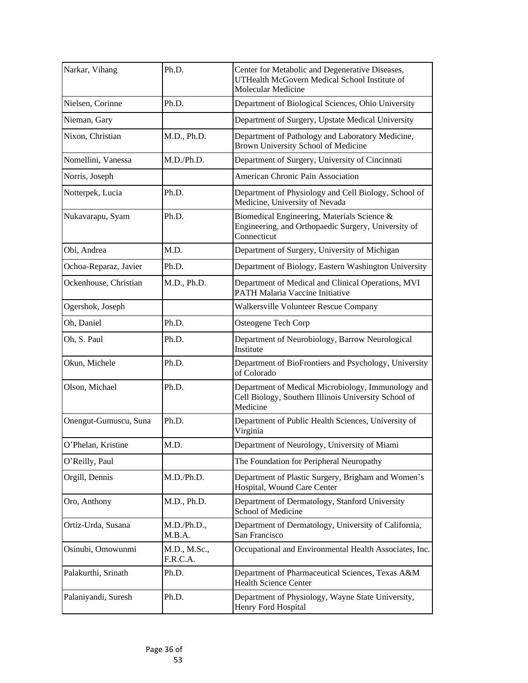| Narkar, Vihang        | Ph.D.                    | Center for Metabolic and Degenerative Diseases,<br>UTHealth McGovern Medical School Institute of<br><b>Molecular Medicine</b> |
|-----------------------|--------------------------|-------------------------------------------------------------------------------------------------------------------------------|
| Nielsen, Corinne      | Ph.D.                    | Department of Biological Sciences, Ohio University                                                                            |
| Nieman, Gary          |                          | Department of Surgery, Upstate Medical University                                                                             |
| Nixon, Christian      | M.D., Ph.D.              | Department of Pathology and Laboratory Medicine,<br>Brown University School of Medicine                                       |
| Nomellini, Vanessa    | M.D./Ph.D.               | Department of Surgery, University of Cincinnati                                                                               |
| Norris, Joseph        |                          | American Chronic Pain Association                                                                                             |
| Notterpek, Lucia      | Ph.D.                    | Department of Physiology and Cell Biology, School of<br>Medicine, University of Nevada                                        |
| Nukavarapu, Syam      | Ph.D.                    | Biomedical Engineering, Materials Science &<br>Engineering, and Orthopaedic Surgery, University of<br>Connecticut             |
| Obi, Andrea           | M.D.                     | Department of Surgery, University of Michigan                                                                                 |
| Ochoa-Reparaz, Javier | Ph.D.                    | Department of Biology, Eastern Washington University                                                                          |
| Ockenhouse, Christian | M.D., Ph.D.              | Department of Medical and Clinical Operations, MVI<br><b>PATH Malaria Vaccine Initiative</b>                                  |
| Ogershok, Joseph      |                          | Walkersville Volunteer Rescue Company                                                                                         |
| Oh, Daniel            | Ph.D.                    | Osteogene Tech Corp                                                                                                           |
| Oh, S. Paul           | Ph.D.                    | Department of Neurobiology, Barrow Neurological<br>Institute                                                                  |
| Okun, Michele         | Ph.D.                    | Department of BioFrontiers and Psychology, University<br>of Colorado                                                          |
| Olson, Michael        | Ph.D.                    | Department of Medical Microbiology, Immunology and<br>Cell Biology, Southern Illinois University School of<br>Medicine        |
| Onengut-Gumuscu, Suna | Ph.D.                    | Department of Public Health Sciences, University of<br>Virginia                                                               |
| O'Phelan, Kristine    | M.D.                     | Department of Neurology, University of Miami                                                                                  |
| O'Reilly, Paul        |                          | The Foundation for Peripheral Neuropathy                                                                                      |
| Orgill, Dennis        | M.D./Ph.D.               | Department of Plastic Surgery, Brigham and Women's<br>Hospital, Wound Care Center                                             |
| Oro, Anthony          | M.D., Ph.D.              | Department of Dermatology, Stanford University<br><b>School of Medicine</b>                                                   |
| Ortiz-Urda, Susana    | M.D./Ph.D.,<br>M.B.A.    | Department of Dermatology, University of California,<br>San Francisco                                                         |
| Osinubi, Omowunmi     | M.D., M.Sc.,<br>F.R.C.A. | Occupational and Environmental Health Associates, Inc.                                                                        |
| Palakurthi, Srinath   | Ph.D.                    | Department of Pharmaceutical Sciences, Texas A&M<br><b>Health Science Center</b>                                              |
| Palaniyandi, Suresh   | Ph.D.                    | Department of Physiology, Wayne State University,<br>Henry Ford Hospital                                                      |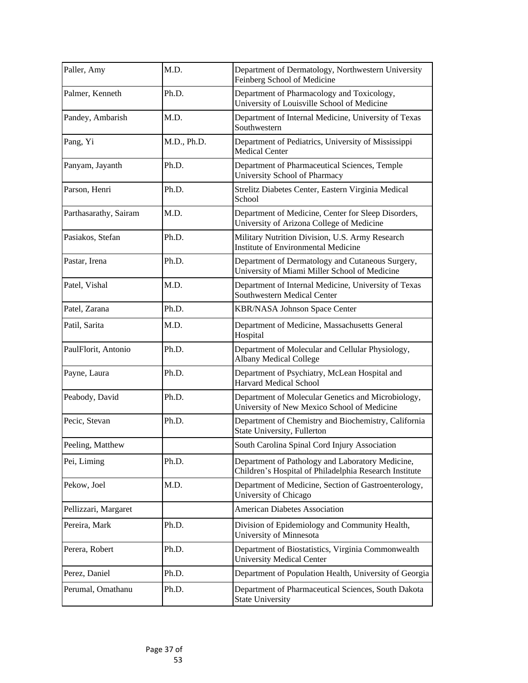| Paller, Amy           | M.D.        | Department of Dermatology, Northwestern University<br>Feinberg School of Medicine                          |
|-----------------------|-------------|------------------------------------------------------------------------------------------------------------|
| Palmer, Kenneth       | Ph.D.       | Department of Pharmacology and Toxicology,<br>University of Louisville School of Medicine                  |
| Pandey, Ambarish      | M.D.        | Department of Internal Medicine, University of Texas<br>Southwestern                                       |
| Pang, Yi              | M.D., Ph.D. | Department of Pediatrics, University of Mississippi<br><b>Medical Center</b>                               |
| Panyam, Jayanth       | Ph.D.       | Department of Pharmaceutical Sciences, Temple<br><b>University School of Pharmacy</b>                      |
| Parson, Henri         | Ph.D.       | Strelitz Diabetes Center, Eastern Virginia Medical<br>School                                               |
| Parthasarathy, Sairam | M.D.        | Department of Medicine, Center for Sleep Disorders,<br>University of Arizona College of Medicine           |
| Pasiakos, Stefan      | Ph.D.       | Military Nutrition Division, U.S. Army Research<br><b>Institute of Environmental Medicine</b>              |
| Pastar, Irena         | Ph.D.       | Department of Dermatology and Cutaneous Surgery,<br>University of Miami Miller School of Medicine          |
| Patel, Vishal         | M.D.        | Department of Internal Medicine, University of Texas<br>Southwestern Medical Center                        |
| Patel, Zarana         | Ph.D.       | <b>KBR/NASA Johnson Space Center</b>                                                                       |
| Patil, Sarita         | M.D.        | Department of Medicine, Massachusetts General<br>Hospital                                                  |
| PaulFlorit, Antonio   | Ph.D.       | Department of Molecular and Cellular Physiology,<br><b>Albany Medical College</b>                          |
| Payne, Laura          | Ph.D.       | Department of Psychiatry, McLean Hospital and<br><b>Harvard Medical School</b>                             |
| Peabody, David        | Ph.D.       | Department of Molecular Genetics and Microbiology,<br>University of New Mexico School of Medicine          |
| Pecic, Stevan         | Ph.D.       | Department of Chemistry and Biochemistry, California<br>State University, Fullerton                        |
| Peeling, Matthew      |             | South Carolina Spinal Cord Injury Association                                                              |
| Pei, Liming           | Ph.D.       | Department of Pathology and Laboratory Medicine,<br>Children's Hospital of Philadelphia Research Institute |
| Pekow, Joel           | M.D.        | Department of Medicine, Section of Gastroenterology,<br>University of Chicago                              |
| Pellizzari, Margaret  |             | <b>American Diabetes Association</b>                                                                       |
| Pereira, Mark         | Ph.D.       | Division of Epidemiology and Community Health,<br>University of Minnesota                                  |
| Perera, Robert        | Ph.D.       | Department of Biostatistics, Virginia Commonwealth<br><b>University Medical Center</b>                     |
| Perez, Daniel         | Ph.D.       | Department of Population Health, University of Georgia                                                     |
| Perumal, Omathanu     | Ph.D.       | Department of Pharmaceutical Sciences, South Dakota<br><b>State University</b>                             |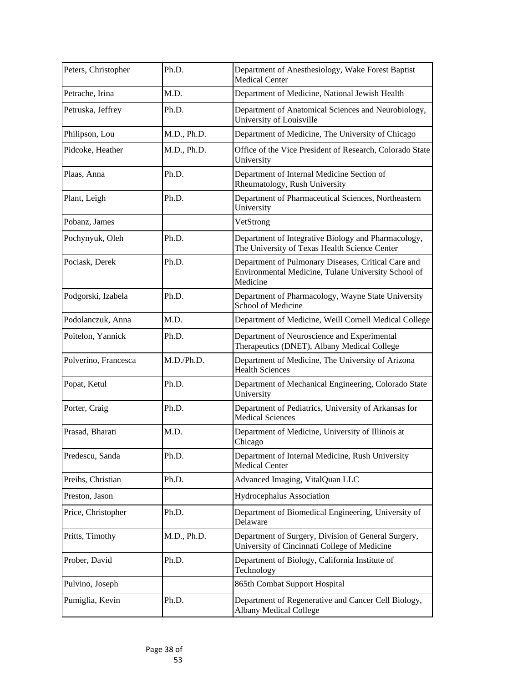| Peters, Christopher  | Ph.D.       | Department of Anesthesiology, Wake Forest Baptist<br><b>Medical Center</b>                                             |
|----------------------|-------------|------------------------------------------------------------------------------------------------------------------------|
| Petrache, Irina      | M.D.        | Department of Medicine, National Jewish Health                                                                         |
| Petruska, Jeffrey    | Ph.D.       | Department of Anatomical Sciences and Neurobiology,<br>University of Louisville                                        |
| Philipson, Lou       | M.D., Ph.D. | Department of Medicine, The University of Chicago                                                                      |
| Pidcoke, Heather     | M.D., Ph.D. | Office of the Vice President of Research, Colorado State<br>University                                                 |
| Plaas, Anna          | Ph.D.       | Department of Internal Medicine Section of<br>Rheumatology, Rush University                                            |
| Plant, Leigh         | Ph.D.       | Department of Pharmaceutical Sciences, Northeastern<br>University                                                      |
| Pobanz, James        |             | VetStrong                                                                                                              |
| Pochynyuk, Oleh      | Ph.D.       | Department of Integrative Biology and Pharmacology,<br>The University of Texas Health Science Center                   |
| Pociask, Derek       | Ph.D.       | Department of Pulmonary Diseases, Critical Care and<br>Environmental Medicine, Tulane University School of<br>Medicine |
| Podgorski, Izabela   | Ph.D.       | Department of Pharmacology, Wayne State University<br><b>School of Medicine</b>                                        |
| Podolanczuk, Anna    | M.D.        | Department of Medicine, Weill Cornell Medical College                                                                  |
| Poitelon, Yannick    | Ph.D.       | Department of Neuroscience and Experimental<br>Therapeutics (DNET), Albany Medical College                             |
| Polverino, Francesca | M.D./Ph.D.  | Department of Medicine, The University of Arizona<br><b>Health Sciences</b>                                            |
| Popat, Ketul         | Ph.D.       | Department of Mechanical Engineering, Colorado State<br>University                                                     |
| Porter, Craig        | Ph.D.       | Department of Pediatrics, University of Arkansas for<br><b>Medical Sciences</b>                                        |
| Prasad, Bharati      | M.D.        | Department of Medicine, University of Illinois at<br>Chicago                                                           |
| Predescu, Sanda      | Ph.D.       | Department of Internal Medicine, Rush University<br><b>Medical Center</b>                                              |
| Preihs, Christian    | Ph.D.       | Advanced Imaging, VitalQuan LLC                                                                                        |
| Preston, Jason       |             | Hydrocephalus Association                                                                                              |
| Price, Christopher   | Ph.D.       | Department of Biomedical Engineering, University of<br>Delaware                                                        |
| Pritts, Timothy      | M.D., Ph.D. | Department of Surgery, Division of General Surgery,<br>University of Cincinnati College of Medicine                    |
| Prober, David        | Ph.D.       | Department of Biology, California Institute of<br>Technology                                                           |
| Pulvino, Joseph      |             | 865th Combat Support Hospital                                                                                          |
| Pumiglia, Kevin      | Ph.D.       | Department of Regenerative and Cancer Cell Biology,<br><b>Albany Medical College</b>                                   |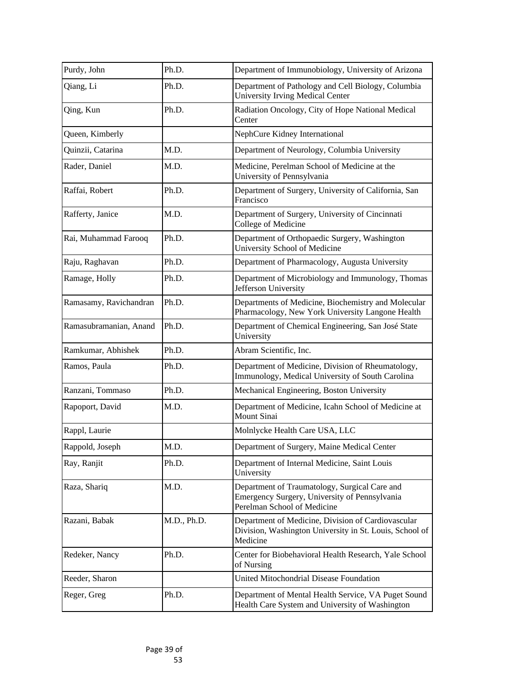| Purdy, John            | Ph.D.       | Department of Immunobiology, University of Arizona                                                                            |
|------------------------|-------------|-------------------------------------------------------------------------------------------------------------------------------|
| Qiang, Li              | Ph.D.       | Department of Pathology and Cell Biology, Columbia<br><b>University Irving Medical Center</b>                                 |
| Qing, Kun              | Ph.D.       | Radiation Oncology, City of Hope National Medical<br>Center                                                                   |
| Queen, Kimberly        |             | NephCure Kidney International                                                                                                 |
| Quinzii, Catarina      | M.D.        | Department of Neurology, Columbia University                                                                                  |
| Rader, Daniel          | M.D.        | Medicine, Perelman School of Medicine at the<br>University of Pennsylvania                                                    |
| Raffai, Robert         | Ph.D.       | Department of Surgery, University of California, San<br>Francisco                                                             |
| Rafferty, Janice       | M.D.        | Department of Surgery, University of Cincinnati<br>College of Medicine                                                        |
| Rai, Muhammad Farooq   | Ph.D.       | Department of Orthopaedic Surgery, Washington<br><b>University School of Medicine</b>                                         |
| Raju, Raghavan         | Ph.D.       | Department of Pharmacology, Augusta University                                                                                |
| Ramage, Holly          | Ph.D.       | Department of Microbiology and Immunology, Thomas<br>Jefferson University                                                     |
| Ramasamy, Ravichandran | Ph.D.       | Departments of Medicine, Biochemistry and Molecular<br>Pharmacology, New York University Langone Health                       |
| Ramasubramanian, Anand | Ph.D.       | Department of Chemical Engineering, San José State<br>University                                                              |
| Ramkumar, Abhishek     | Ph.D.       | Abram Scientific, Inc.                                                                                                        |
| Ramos, Paula           | Ph.D.       | Department of Medicine, Division of Rheumatology,<br>Immunology, Medical University of South Carolina                         |
| Ranzani, Tommaso       | Ph.D.       | Mechanical Engineering, Boston University                                                                                     |
| Rapoport, David        | M.D.        | Department of Medicine, Icahn School of Medicine at<br><b>Mount Sinai</b>                                                     |
| Rappl, Laurie          |             | Molnlycke Health Care USA, LLC                                                                                                |
| Rappold, Joseph        | M.D.        | Department of Surgery, Maine Medical Center                                                                                   |
| Ray, Ranjit            | Ph.D.       | Department of Internal Medicine, Saint Louis<br>University                                                                    |
| Raza, Shariq           | M.D.        | Department of Traumatology, Surgical Care and<br>Emergency Surgery, University of Pennsylvania<br>Perelman School of Medicine |
| Razani, Babak          | M.D., Ph.D. | Department of Medicine, Division of Cardiovascular<br>Division, Washington University in St. Louis, School of<br>Medicine     |
| Redeker, Nancy         | Ph.D.       | Center for Biobehavioral Health Research, Yale School<br>of Nursing                                                           |
| Reeder, Sharon         |             | United Mitochondrial Disease Foundation                                                                                       |
| Reger, Greg            | Ph.D.       | Department of Mental Health Service, VA Puget Sound<br>Health Care System and University of Washington                        |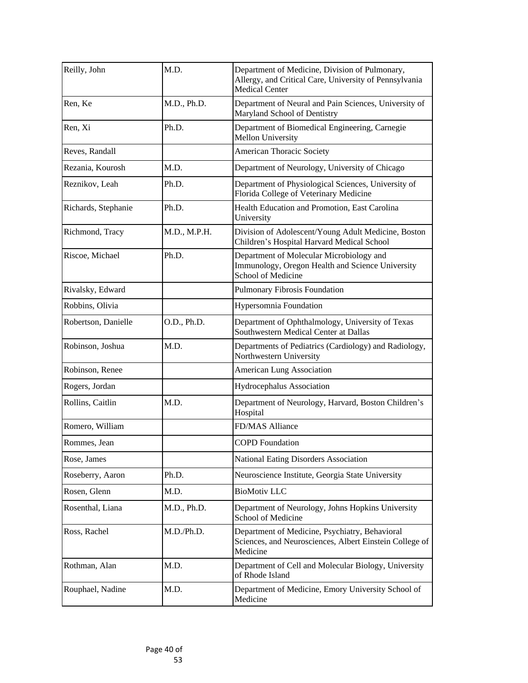| Reilly, John        | M.D.         | Department of Medicine, Division of Pulmonary,<br>Allergy, and Critical Care, University of Pennsylvania<br><b>Medical Center</b> |
|---------------------|--------------|-----------------------------------------------------------------------------------------------------------------------------------|
| Ren, Ke             | M.D., Ph.D.  | Department of Neural and Pain Sciences, University of<br>Maryland School of Dentistry                                             |
| Ren, Xi             | Ph.D.        | Department of Biomedical Engineering, Carnegie<br><b>Mellon University</b>                                                        |
| Reves, Randall      |              | <b>American Thoracic Society</b>                                                                                                  |
| Rezania, Kourosh    | M.D.         | Department of Neurology, University of Chicago                                                                                    |
| Reznikov, Leah      | Ph.D.        | Department of Physiological Sciences, University of<br>Florida College of Veterinary Medicine                                     |
| Richards, Stephanie | Ph.D.        | Health Education and Promotion, East Carolina<br>University                                                                       |
| Richmond, Tracy     | M.D., M.P.H. | Division of Adolescent/Young Adult Medicine, Boston<br>Children's Hospital Harvard Medical School                                 |
| Riscoe, Michael     | Ph.D.        | Department of Molecular Microbiology and<br>Immunology, Oregon Health and Science University<br><b>School of Medicine</b>         |
| Rivalsky, Edward    |              | Pulmonary Fibrosis Foundation                                                                                                     |
| Robbins, Olivia     |              | <b>Hypersomnia Foundation</b>                                                                                                     |
| Robertson, Danielle | O.D., Ph.D.  | Department of Ophthalmology, University of Texas<br>Southwestern Medical Center at Dallas                                         |
| Robinson, Joshua    | M.D.         | Departments of Pediatrics (Cardiology) and Radiology,<br>Northwestern University                                                  |
| Robinson, Renee     |              | <b>American Lung Association</b>                                                                                                  |
| Rogers, Jordan      |              | <b>Hydrocephalus Association</b>                                                                                                  |
| Rollins, Caitlin    | M.D.         | Department of Neurology, Harvard, Boston Children's<br>Hospital                                                                   |
| Romero, William     |              | <b>FD/MAS Alliance</b>                                                                                                            |
| Rommes, Jean        |              | <b>COPD Foundation</b>                                                                                                            |
| Rose, James         |              | National Eating Disorders Association                                                                                             |
| Roseberry, Aaron    | Ph.D.        | Neuroscience Institute, Georgia State University                                                                                  |
| Rosen, Glenn        | M.D.         | <b>BioMotiv LLC</b>                                                                                                               |
| Rosenthal, Liana    | M.D., Ph.D.  | Department of Neurology, Johns Hopkins University<br><b>School of Medicine</b>                                                    |
| Ross, Rachel        | M.D./Ph.D.   | Department of Medicine, Psychiatry, Behavioral<br>Sciences, and Neurosciences, Albert Einstein College of<br>Medicine             |
| Rothman, Alan       | M.D.         | Department of Cell and Molecular Biology, University<br>of Rhode Island                                                           |
| Rouphael, Nadine    | M.D.         | Department of Medicine, Emory University School of<br>Medicine                                                                    |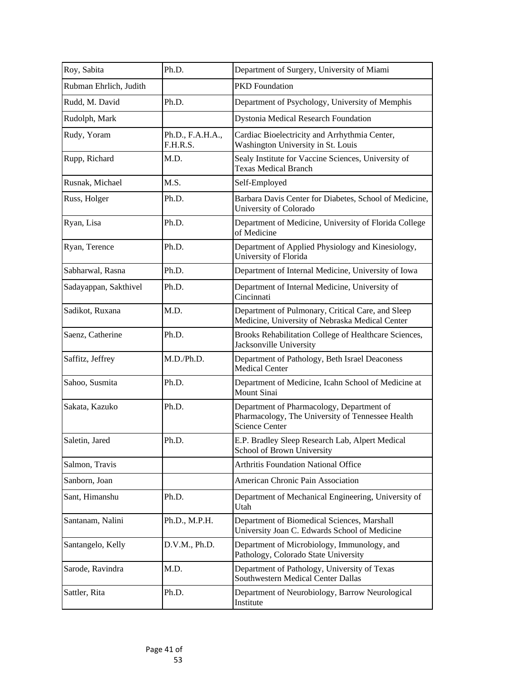| Roy, Sabita            | Ph.D.                        | Department of Surgery, University of Miami                                                                             |
|------------------------|------------------------------|------------------------------------------------------------------------------------------------------------------------|
| Rubman Ehrlich, Judith |                              | <b>PKD</b> Foundation                                                                                                  |
| Rudd, M. David         | Ph.D.                        | Department of Psychology, University of Memphis                                                                        |
| Rudolph, Mark          |                              | Dystonia Medical Research Foundation                                                                                   |
| Rudy, Yoram            | Ph.D., F.A.H.A.,<br>F.H.R.S. | Cardiac Bioelectricity and Arrhythmia Center,<br>Washington University in St. Louis                                    |
| Rupp, Richard          | M.D.                         | Sealy Institute for Vaccine Sciences, University of<br><b>Texas Medical Branch</b>                                     |
| Rusnak, Michael        | M.S.                         | Self-Employed                                                                                                          |
| Russ, Holger           | Ph.D.                        | Barbara Davis Center for Diabetes, School of Medicine,<br><b>University of Colorado</b>                                |
| Ryan, Lisa             | Ph.D.                        | Department of Medicine, University of Florida College<br>of Medicine                                                   |
| Ryan, Terence          | Ph.D.                        | Department of Applied Physiology and Kinesiology,<br>University of Florida                                             |
| Sabharwal, Rasna       | Ph.D.                        | Department of Internal Medicine, University of Iowa                                                                    |
| Sadayappan, Sakthivel  | Ph.D.                        | Department of Internal Medicine, University of<br>Cincinnati                                                           |
| Sadikot, Ruxana        | M.D.                         | Department of Pulmonary, Critical Care, and Sleep<br>Medicine, University of Nebraska Medical Center                   |
| Saenz, Catherine       | Ph.D.                        | Brooks Rehabilitation College of Healthcare Sciences,<br>Jacksonville University                                       |
| Saffitz, Jeffrey       | M.D./Ph.D.                   | Department of Pathology, Beth Israel Deaconess<br><b>Medical Center</b>                                                |
| Sahoo, Susmita         | Ph.D.                        | Department of Medicine, Icahn School of Medicine at<br>Mount Sinai                                                     |
| Sakata, Kazuko         | Ph.D.                        | Department of Pharmacology, Department of<br>Pharmacology, The University of Tennessee Health<br><b>Science Center</b> |
| Saletin, Jared         | Ph.D.                        | E.P. Bradley Sleep Research Lab, Alpert Medical<br>School of Brown University                                          |
| Salmon, Travis         |                              | <b>Arthritis Foundation National Office</b>                                                                            |
| Sanborn, Joan          |                              | American Chronic Pain Association                                                                                      |
| Sant, Himanshu         | Ph.D.                        | Department of Mechanical Engineering, University of<br>Utah                                                            |
| Santanam, Nalini       | Ph.D., M.P.H.                | Department of Biomedical Sciences, Marshall<br>University Joan C. Edwards School of Medicine                           |
| Santangelo, Kelly      | D.V.M., Ph.D.                | Department of Microbiology, Immunology, and<br>Pathology, Colorado State University                                    |
| Sarode, Ravindra       | M.D.                         | Department of Pathology, University of Texas<br>Southwestern Medical Center Dallas                                     |
| Sattler, Rita          | Ph.D.                        | Department of Neurobiology, Barrow Neurological<br>Institute                                                           |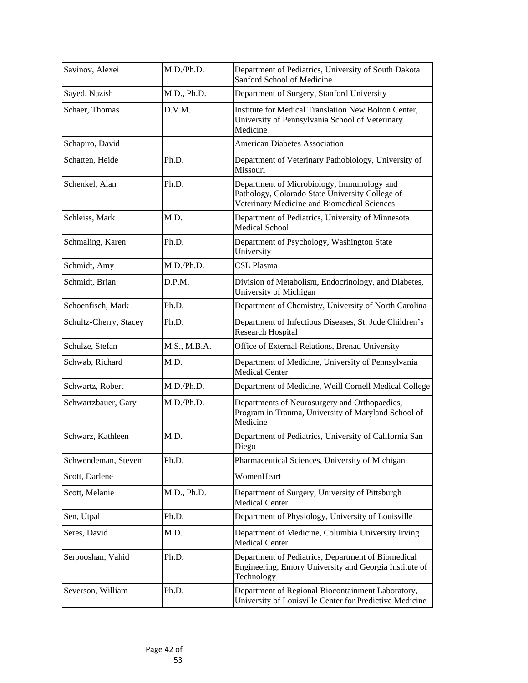| Savinov, Alexei        | M.D./Ph.D.   | Department of Pediatrics, University of South Dakota<br>Sanford School of Medicine                                                           |
|------------------------|--------------|----------------------------------------------------------------------------------------------------------------------------------------------|
| Sayed, Nazish          | M.D., Ph.D.  | Department of Surgery, Stanford University                                                                                                   |
| Schaer, Thomas         | D.V.M.       | Institute for Medical Translation New Bolton Center,<br>University of Pennsylvania School of Veterinary<br>Medicine                          |
| Schapiro, David        |              | <b>American Diabetes Association</b>                                                                                                         |
| Schatten, Heide        | Ph.D.        | Department of Veterinary Pathobiology, University of<br>Missouri                                                                             |
| Schenkel, Alan         | Ph.D.        | Department of Microbiology, Immunology and<br>Pathology, Colorado State University College of<br>Veterinary Medicine and Biomedical Sciences |
| Schleiss, Mark         | M.D.         | Department of Pediatrics, University of Minnesota<br><b>Medical School</b>                                                                   |
| Schmaling, Karen       | Ph.D.        | Department of Psychology, Washington State<br>University                                                                                     |
| Schmidt, Amy           | M.D./Ph.D.   | CSL Plasma                                                                                                                                   |
| Schmidt, Brian         | D.P.M.       | Division of Metabolism, Endocrinology, and Diabetes,<br>University of Michigan                                                               |
| Schoenfisch, Mark      | Ph.D.        | Department of Chemistry, University of North Carolina                                                                                        |
| Schultz-Cherry, Stacey | Ph.D.        | Department of Infectious Diseases, St. Jude Children's<br><b>Research Hospital</b>                                                           |
| Schulze, Stefan        | M.S., M.B.A. | Office of External Relations, Brenau University                                                                                              |
| Schwab, Richard        | M.D.         | Department of Medicine, University of Pennsylvania<br><b>Medical Center</b>                                                                  |
| Schwartz, Robert       | M.D./Ph.D.   | Department of Medicine, Weill Cornell Medical College                                                                                        |
| Schwartzbauer, Gary    | M.D./Ph.D.   | Departments of Neurosurgery and Orthopaedics,<br>Program in Trauma, University of Maryland School of<br>Medicine                             |
| Schwarz, Kathleen      | M.D.         | Department of Pediatrics, University of California San<br>Diego                                                                              |
| Schwendeman, Steven    | Ph.D.        | Pharmaceutical Sciences, University of Michigan                                                                                              |
| Scott, Darlene         |              | WomenHeart                                                                                                                                   |
| Scott, Melanie         | M.D., Ph.D.  | Department of Surgery, University of Pittsburgh<br><b>Medical Center</b>                                                                     |
| Sen, Utpal             | Ph.D.        | Department of Physiology, University of Louisville                                                                                           |
| Seres, David           | M.D.         | Department of Medicine, Columbia University Irving<br><b>Medical Center</b>                                                                  |
| Serpooshan, Vahid      | Ph.D.        | Department of Pediatrics, Department of Biomedical<br>Engineering, Emory University and Georgia Institute of<br>Technology                   |
| Severson, William      | Ph.D.        | Department of Regional Biocontainment Laboratory,<br>University of Louisville Center for Predictive Medicine                                 |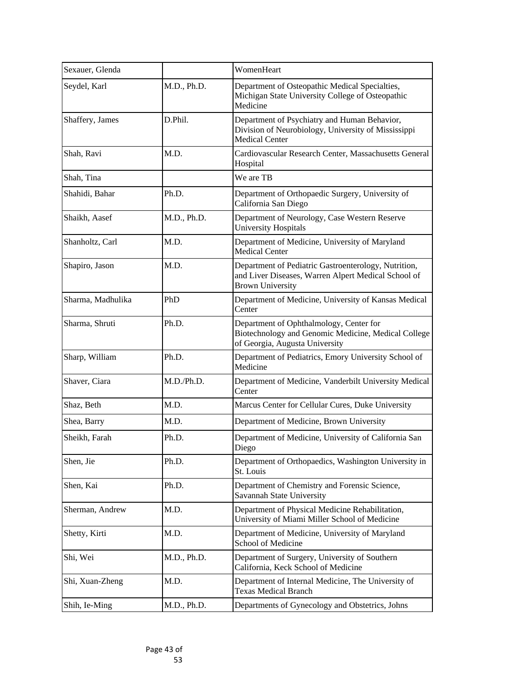| Sexauer, Glenda   |             | WomenHeart                                                                                                                             |
|-------------------|-------------|----------------------------------------------------------------------------------------------------------------------------------------|
| Seydel, Karl      | M.D., Ph.D. | Department of Osteopathic Medical Specialties,<br>Michigan State University College of Osteopathic<br>Medicine                         |
| Shaffery, James   | D.Phil.     | Department of Psychiatry and Human Behavior,<br>Division of Neurobiology, University of Mississippi<br><b>Medical Center</b>           |
| Shah, Ravi        | M.D.        | Cardiovascular Research Center, Massachusetts General<br>Hospital                                                                      |
| Shah, Tina        |             | We are TB                                                                                                                              |
| Shahidi, Bahar    | Ph.D.       | Department of Orthopaedic Surgery, University of<br>California San Diego                                                               |
| Shaikh, Aasef     | M.D., Ph.D. | Department of Neurology, Case Western Reserve<br><b>University Hospitals</b>                                                           |
| Shanholtz, Carl   | M.D.        | Department of Medicine, University of Maryland<br><b>Medical Center</b>                                                                |
| Shapiro, Jason    | M.D.        | Department of Pediatric Gastroenterology, Nutrition,<br>and Liver Diseases, Warren Alpert Medical School of<br><b>Brown University</b> |
| Sharma, Madhulika | PhD         | Department of Medicine, University of Kansas Medical<br>Center                                                                         |
| Sharma, Shruti    | Ph.D.       | Department of Ophthalmology, Center for<br>Biotechnology and Genomic Medicine, Medical College<br>of Georgia, Augusta University       |
| Sharp, William    | Ph.D.       | Department of Pediatrics, Emory University School of<br>Medicine                                                                       |
| Shaver, Ciara     | M.D./Ph.D.  | Department of Medicine, Vanderbilt University Medical<br>Center                                                                        |
| Shaz, Beth        | M.D.        | Marcus Center for Cellular Cures, Duke University                                                                                      |
| Shea, Barry       | M.D.        | Department of Medicine, Brown University                                                                                               |
| Sheikh, Farah     | Ph.D.       | Department of Medicine, University of California San<br>Diego                                                                          |
| Shen, Jie         | Ph.D.       | Department of Orthopaedics, Washington University in<br>St. Louis                                                                      |
| Shen, Kai         | Ph.D.       | Department of Chemistry and Forensic Science,<br>Savannah State University                                                             |
| Sherman, Andrew   | M.D.        | Department of Physical Medicine Rehabilitation,<br>University of Miami Miller School of Medicine                                       |
| Shetty, Kirti     | M.D.        | Department of Medicine, University of Maryland<br><b>School of Medicine</b>                                                            |
| Shi, Wei          | M.D., Ph.D. | Department of Surgery, University of Southern<br>California, Keck School of Medicine                                                   |
| Shi, Xuan-Zheng   | M.D.        | Department of Internal Medicine, The University of<br><b>Texas Medical Branch</b>                                                      |
| Shih, Ie-Ming     | M.D., Ph.D. | Departments of Gynecology and Obstetrics, Johns                                                                                        |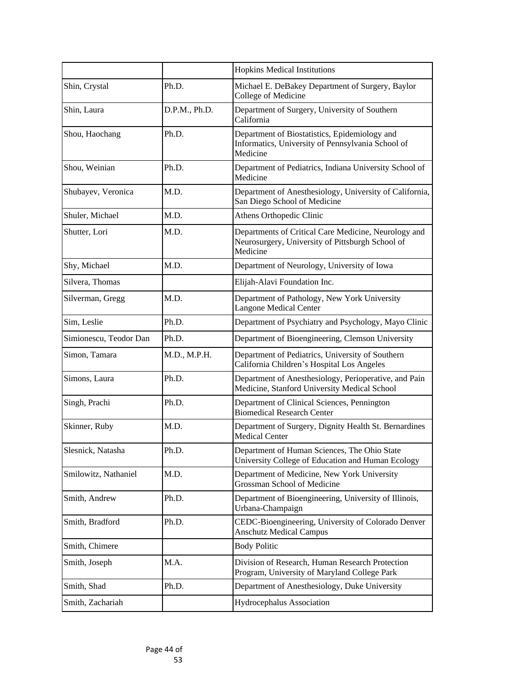|                        |               | <b>Hopkins Medical Institutions</b>                                                                                  |
|------------------------|---------------|----------------------------------------------------------------------------------------------------------------------|
| Shin, Crystal          | Ph.D.         | Michael E. DeBakey Department of Surgery, Baylor<br><b>College of Medicine</b>                                       |
| Shin, Laura            | D.P.M., Ph.D. | Department of Surgery, University of Southern<br>California                                                          |
| Shou, Haochang         | Ph.D.         | Department of Biostatistics, Epidemiology and<br>Informatics, University of Pennsylvania School of<br>Medicine       |
| Shou, Weinian          | Ph.D.         | Department of Pediatrics, Indiana University School of<br>Medicine                                                   |
| Shubayev, Veronica     | M.D.          | Department of Anesthesiology, University of California,<br>San Diego School of Medicine                              |
| Shuler, Michael        | M.D.          | Athens Orthopedic Clinic                                                                                             |
| Shutter, Lori          | M.D.          | Departments of Critical Care Medicine, Neurology and<br>Neurosurgery, University of Pittsburgh School of<br>Medicine |
| Shy, Michael           | M.D.          | Department of Neurology, University of Iowa                                                                          |
| Silvera, Thomas        |               | Elijah-Alavi Foundation Inc.                                                                                         |
| Silverman, Gregg       | M.D.          | Department of Pathology, New York University<br><b>Langone Medical Center</b>                                        |
| Sim, Leslie            | Ph.D.         | Department of Psychiatry and Psychology, Mayo Clinic                                                                 |
| Simionescu, Teodor Dan | Ph.D.         | Department of Bioengineering, Clemson University                                                                     |
| Simon, Tamara          | M.D., M.P.H.  | Department of Pediatrics, University of Southern<br>California Children's Hospital Los Angeles                       |
| Simons, Laura          | Ph.D.         | Department of Anesthesiology, Perioperative, and Pain<br>Medicine, Stanford University Medical School                |
| Singh, Prachi          | Ph.D.         | Department of Clinical Sciences, Pennington<br><b>Biomedical Research Center</b>                                     |
| Skinner, Ruby          | M.D.          | Department of Surgery, Dignity Health St. Bernardines<br><b>Medical Center</b>                                       |
| Slesnick, Natasha      | Ph.D.         | Department of Human Sciences, The Ohio State<br>University College of Education and Human Ecology                    |
| Smilowitz, Nathaniel   | M.D.          | Department of Medicine, New York University<br>Grossman School of Medicine                                           |
| Smith, Andrew          | Ph.D.         | Department of Bioengineering, University of Illinois,<br>Urbana-Champaign                                            |
| Smith, Bradford        | Ph.D.         | CEDC-Bioengineering, University of Colorado Denver<br><b>Anschutz Medical Campus</b>                                 |
| Smith, Chimere         |               | <b>Body Politic</b>                                                                                                  |
| Smith, Joseph          | M.A.          | Division of Research, Human Research Protection<br>Program, University of Maryland College Park                      |
| Smith, Shad            | Ph.D.         | Department of Anesthesiology, Duke University                                                                        |
| Smith, Zachariah       |               | Hydrocephalus Association                                                                                            |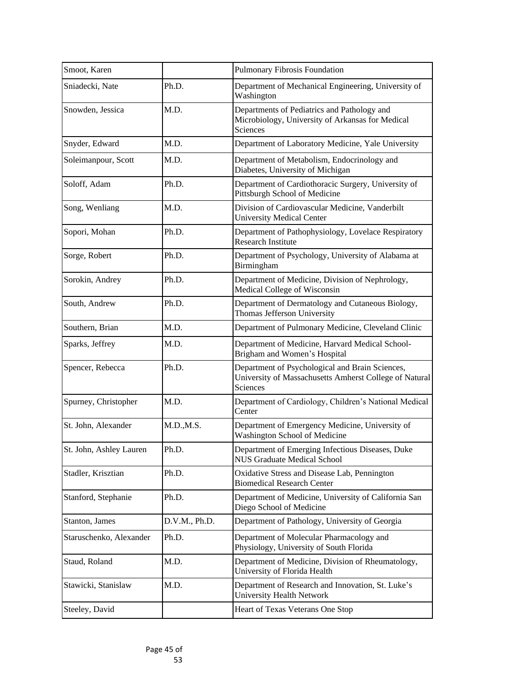| Smoot, Karen            |               | <b>Pulmonary Fibrosis Foundation</b>                                                                                         |
|-------------------------|---------------|------------------------------------------------------------------------------------------------------------------------------|
| Sniadecki, Nate         | Ph.D.         | Department of Mechanical Engineering, University of<br>Washington                                                            |
| Snowden, Jessica        | M.D.          | Departments of Pediatrics and Pathology and<br>Microbiology, University of Arkansas for Medical<br><b>Sciences</b>           |
| Snyder, Edward          | M.D.          | Department of Laboratory Medicine, Yale University                                                                           |
| Soleimanpour, Scott     | M.D.          | Department of Metabolism, Endocrinology and<br>Diabetes, University of Michigan                                              |
| Soloff, Adam            | Ph.D.         | Department of Cardiothoracic Surgery, University of<br>Pittsburgh School of Medicine                                         |
| Song, Wenliang          | M.D.          | Division of Cardiovascular Medicine, Vanderbilt<br><b>University Medical Center</b>                                          |
| Sopori, Mohan           | Ph.D.         | Department of Pathophysiology, Lovelace Respiratory<br>Research Institute                                                    |
| Sorge, Robert           | Ph.D.         | Department of Psychology, University of Alabama at<br>Birmingham                                                             |
| Sorokin, Andrey         | Ph.D.         | Department of Medicine, Division of Nephrology,<br>Medical College of Wisconsin                                              |
| South, Andrew           | Ph.D.         | Department of Dermatology and Cutaneous Biology,<br>Thomas Jefferson University                                              |
| Southern, Brian         | M.D.          | Department of Pulmonary Medicine, Cleveland Clinic                                                                           |
| Sparks, Jeffrey         | M.D.          | Department of Medicine, Harvard Medical School-<br>Brigham and Women's Hospital                                              |
| Spencer, Rebecca        | Ph.D.         | Department of Psychological and Brain Sciences,<br>University of Massachusetts Amherst College of Natural<br><b>Sciences</b> |
| Spurney, Christopher    | M.D.          | Department of Cardiology, Children's National Medical<br>Center                                                              |
| St. John, Alexander     | M.D., M.S.    | Department of Emergency Medicine, University of<br><b>Washington School of Medicine</b>                                      |
| St. John, Ashley Lauren | Ph.D.         | Department of Emerging Infectious Diseases, Duke<br><b>NUS Graduate Medical School</b>                                       |
| Stadler, Krisztian      | Ph.D.         | Oxidative Stress and Disease Lab, Pennington<br><b>Biomedical Research Center</b>                                            |
| Stanford, Stephanie     | Ph.D.         | Department of Medicine, University of California San<br>Diego School of Medicine                                             |
| Stanton, James          | D.V.M., Ph.D. | Department of Pathology, University of Georgia                                                                               |
| Staruschenko, Alexander | Ph.D.         | Department of Molecular Pharmacology and<br>Physiology, University of South Florida                                          |
| Staud, Roland           | M.D.          | Department of Medicine, Division of Rheumatology,<br>University of Florida Health                                            |
| Stawicki, Stanislaw     | M.D.          | Department of Research and Innovation, St. Luke's<br><b>University Health Network</b>                                        |
| Steeley, David          |               | Heart of Texas Veterans One Stop                                                                                             |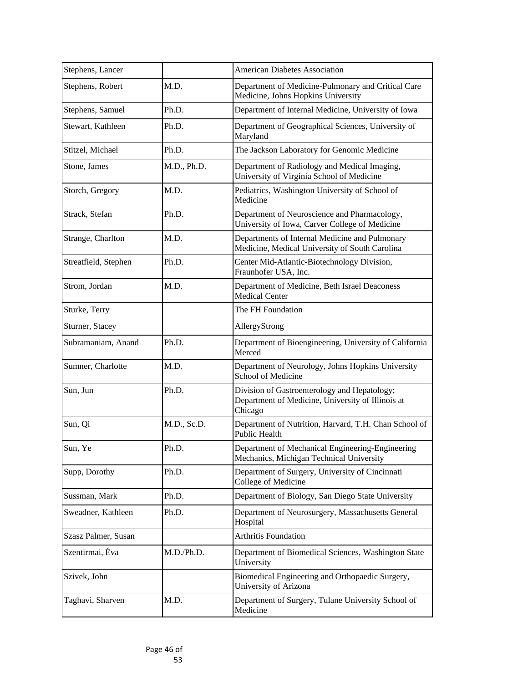| Stephens, Lancer     |             | <b>American Diabetes Association</b>                                                                         |
|----------------------|-------------|--------------------------------------------------------------------------------------------------------------|
| Stephens, Robert     | M.D.        | Department of Medicine-Pulmonary and Critical Care<br>Medicine, Johns Hopkins University                     |
| Stephens, Samuel     | Ph.D.       | Department of Internal Medicine, University of Iowa                                                          |
| Stewart, Kathleen    | Ph.D.       | Department of Geographical Sciences, University of<br>Maryland                                               |
| Stitzel, Michael     | Ph.D.       | The Jackson Laboratory for Genomic Medicine                                                                  |
| Stone, James         | M.D., Ph.D. | Department of Radiology and Medical Imaging,<br>University of Virginia School of Medicine                    |
| Storch, Gregory      | M.D.        | Pediatrics, Washington University of School of<br>Medicine                                                   |
| Strack, Stefan       | Ph.D.       | Department of Neuroscience and Pharmacology,<br>University of Iowa, Carver College of Medicine               |
| Strange, Charlton    | M.D.        | Departments of Internal Medicine and Pulmonary<br>Medicine, Medical University of South Carolina             |
| Streatfield, Stephen | Ph.D.       | Center Mid-Atlantic-Biotechnology Division,<br>Fraunhofer USA, Inc.                                          |
| Strom, Jordan        | M.D.        | Department of Medicine, Beth Israel Deaconess<br><b>Medical Center</b>                                       |
| Sturke, Terry        |             | The FH Foundation                                                                                            |
| Sturner, Stacey      |             | AllergyStrong                                                                                                |
| Subramaniam, Anand   | Ph.D.       | Department of Bioengineering, University of California<br>Merced                                             |
| Sumner, Charlotte    | M.D.        | Department of Neurology, Johns Hopkins University<br><b>School of Medicine</b>                               |
| Sun, Jun             | Ph.D.       | Division of Gastroenterology and Hepatology;<br>Department of Medicine, University of Illinois at<br>Chicago |
| Sun, Qi              | M.D., Sc.D. | Department of Nutrition, Harvard, T.H. Chan School of<br><b>Public Health</b>                                |
| Sun, Ye              | Ph.D.       | Department of Mechanical Engineering-Engineering<br>Mechanics, Michigan Technical University                 |
| Supp, Dorothy        | Ph.D.       | Department of Surgery, University of Cincinnati<br><b>College of Medicine</b>                                |
| Sussman, Mark        | Ph.D.       | Department of Biology, San Diego State University                                                            |
| Sweadner, Kathleen   | Ph.D.       | Department of Neurosurgery, Massachusetts General<br>Hospital                                                |
| Szasz Palmer, Susan  |             | <b>Arthritis Foundation</b>                                                                                  |
| Szentirmai, Éva      | M.D./Ph.D.  | Department of Biomedical Sciences, Washington State<br>University                                            |
| Szivek, John         |             | Biomedical Engineering and Orthopaedic Surgery,<br><b>University of Arizona</b>                              |
| Taghavi, Sharven     | M.D.        | Department of Surgery, Tulane University School of<br>Medicine                                               |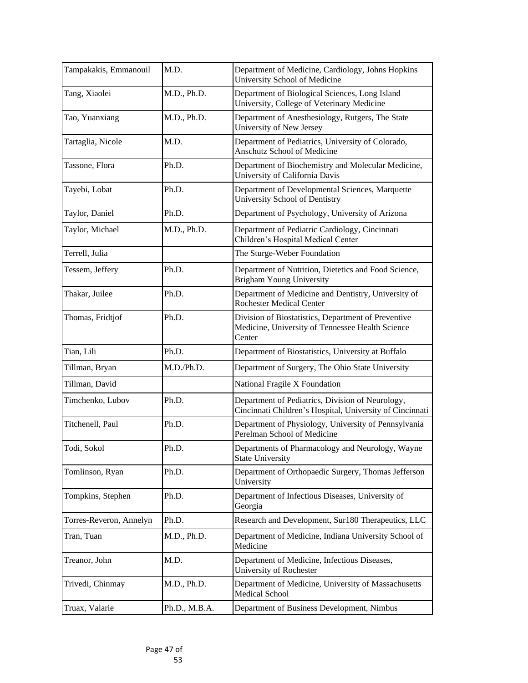| Tampakakis, Emmanouil   | M.D.          | Department of Medicine, Cardiology, Johns Hopkins<br><b>University School of Medicine</b>                         |
|-------------------------|---------------|-------------------------------------------------------------------------------------------------------------------|
| Tang, Xiaolei           | M.D., Ph.D.   | Department of Biological Sciences, Long Island<br>University, College of Veterinary Medicine                      |
| Tao, Yuanxiang          | M.D., Ph.D.   | Department of Anesthesiology, Rutgers, The State<br><b>University of New Jersey</b>                               |
| Tartaglia, Nicole       | M.D.          | Department of Pediatrics, University of Colorado,<br><b>Anschutz School of Medicine</b>                           |
| Tassone, Flora          | Ph.D.         | Department of Biochemistry and Molecular Medicine,<br>University of California Davis                              |
| Tayebi, Lobat           | Ph.D.         | Department of Developmental Sciences, Marquette<br><b>University School of Dentistry</b>                          |
| Taylor, Daniel          | Ph.D.         | Department of Psychology, University of Arizona                                                                   |
| Taylor, Michael         | M.D., Ph.D.   | Department of Pediatric Cardiology, Cincinnati<br>Children's Hospital Medical Center                              |
| Terrell, Julia          |               | The Sturge-Weber Foundation                                                                                       |
| Tessem, Jeffery         | Ph.D.         | Department of Nutrition, Dietetics and Food Science,<br><b>Brigham Young University</b>                           |
| Thakar, Juilee          | Ph.D.         | Department of Medicine and Dentistry, University of<br><b>Rochester Medical Center</b>                            |
| Thomas, Fridtjof        | Ph.D.         | Division of Biostatistics, Department of Preventive<br>Medicine, University of Tennessee Health Science<br>Center |
| Tian, Lili              | Ph.D.         | Department of Biostatistics, University at Buffalo                                                                |
| Tillman, Bryan          | M.D./Ph.D.    | Department of Surgery, The Ohio State University                                                                  |
| Tillman, David          |               | National Fragile X Foundation                                                                                     |
| Timchenko, Lubov        | Ph.D.         | Department of Pediatrics, Division of Neurology,<br>Cincinnati Children's Hospital, University of Cincinnati      |
| Titchenell, Paul        | Ph.D.         | Department of Physiology, University of Pennsylvania<br>Perelman School of Medicine                               |
| Todi, Sokol             | Ph.D.         | Departments of Pharmacology and Neurology, Wayne<br><b>State University</b>                                       |
| Tomlinson, Ryan         | Ph.D.         | Department of Orthopaedic Surgery, Thomas Jefferson<br>University                                                 |
| Tompkins, Stephen       | Ph.D.         | Department of Infectious Diseases, University of<br>Georgia                                                       |
| Torres-Reveron, Annelyn | Ph.D.         | Research and Development, Sur180 Therapeutics, LLC                                                                |
| Tran, Tuan              | M.D., Ph.D.   | Department of Medicine, Indiana University School of<br>Medicine                                                  |
| Treanor, John           | M.D.          | Department of Medicine, Infectious Diseases,<br><b>University of Rochester</b>                                    |
| Trivedi, Chinmay        | M.D., Ph.D.   | Department of Medicine, University of Massachusetts<br><b>Medical School</b>                                      |
| Truax, Valarie          | Ph.D., M.B.A. | Department of Business Development, Nimbus                                                                        |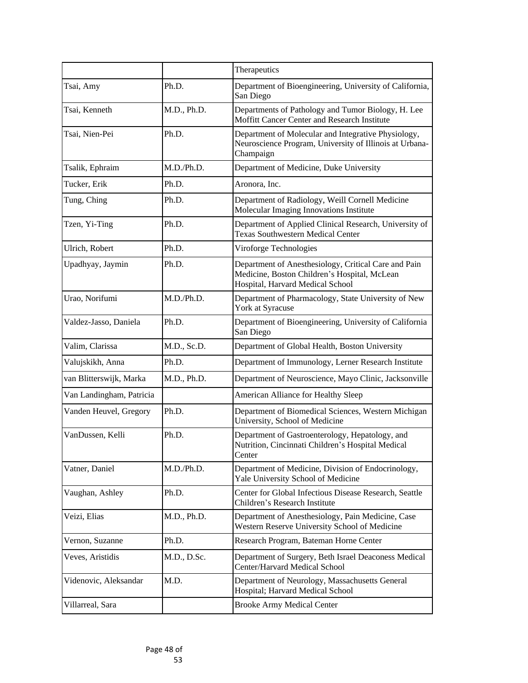|                          |             | Therapeutics                                                                                                                             |
|--------------------------|-------------|------------------------------------------------------------------------------------------------------------------------------------------|
| Tsai, Amy                | Ph.D.       | Department of Bioengineering, University of California,<br>San Diego                                                                     |
| Tsai, Kenneth            | M.D., Ph.D. | Departments of Pathology and Tumor Biology, H. Lee<br>Moffitt Cancer Center and Research Institute                                       |
| Tsai, Nien-Pei           | Ph.D.       | Department of Molecular and Integrative Physiology,<br>Neuroscience Program, University of Illinois at Urbana-<br>Champaign              |
| Tsalik, Ephraim          | M.D./Ph.D.  | Department of Medicine, Duke University                                                                                                  |
| Tucker, Erik             | Ph.D.       | Aronora, Inc.                                                                                                                            |
| Tung, Ching              | Ph.D.       | Department of Radiology, Weill Cornell Medicine<br>Molecular Imaging Innovations Institute                                               |
| Tzen, Yi-Ting            | Ph.D.       | Department of Applied Clinical Research, University of<br><b>Texas Southwestern Medical Center</b>                                       |
| Ulrich, Robert           | Ph.D.       | Viroforge Technologies                                                                                                                   |
| Upadhyay, Jaymin         | Ph.D.       | Department of Anesthesiology, Critical Care and Pain<br>Medicine, Boston Children's Hospital, McLean<br>Hospital, Harvard Medical School |
| Urao, Norifumi           | M.D./Ph.D.  | Department of Pharmacology, State University of New<br>York at Syracuse                                                                  |
| Valdez-Jasso, Daniela    | Ph.D.       | Department of Bioengineering, University of California<br>San Diego                                                                      |
| Valim, Clarissa          | M.D., Sc.D. | Department of Global Health, Boston University                                                                                           |
| Valujskikh, Anna         | Ph.D.       | Department of Immunology, Lerner Research Institute                                                                                      |
| van Blitterswijk, Marka  | M.D., Ph.D. | Department of Neuroscience, Mayo Clinic, Jacksonville                                                                                    |
| Van Landingham, Patricia |             | American Alliance for Healthy Sleep                                                                                                      |
| Vanden Heuvel, Gregory   | Ph.D.       | Department of Biomedical Sciences, Western Michigan<br>University, School of Medicine                                                    |
| VanDussen, Kelli         | Ph.D.       | Department of Gastroenterology, Hepatology, and<br>Nutrition, Cincinnati Children's Hospital Medical<br>Center                           |
| Vatner, Daniel           | M.D./Ph.D.  | Department of Medicine, Division of Endocrinology,<br>Yale University School of Medicine                                                 |
| Vaughan, Ashley          | Ph.D.       | Center for Global Infectious Disease Research, Seattle<br>Children's Research Institute                                                  |
| Veizi, Elias             | M.D., Ph.D. | Department of Anesthesiology, Pain Medicine, Case<br>Western Reserve University School of Medicine                                       |
| Vernon, Suzanne          | Ph.D.       | Research Program, Bateman Horne Center                                                                                                   |
| Veves, Aristidis         | M.D., D.Sc. | Department of Surgery, Beth Israel Deaconess Medical<br>Center/Harvard Medical School                                                    |
| Videnovic, Aleksandar    | M.D.        | Department of Neurology, Massachusetts General<br>Hospital; Harvard Medical School                                                       |
| Villarreal, Sara         |             | <b>Brooke Army Medical Center</b>                                                                                                        |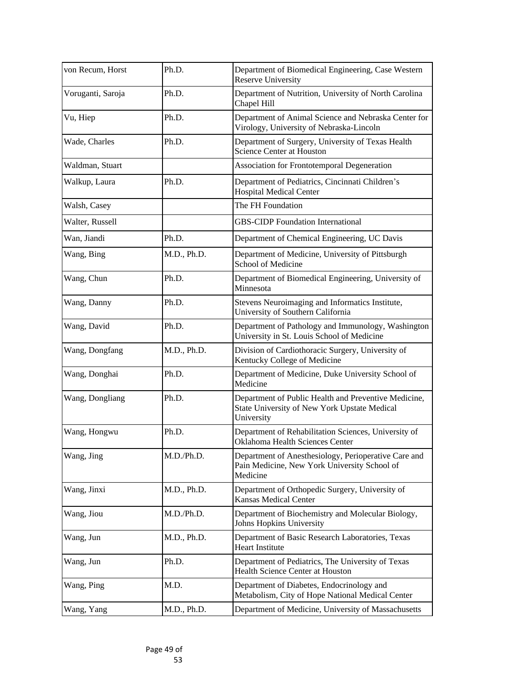| von Recum, Horst  | Ph.D.       | Department of Biomedical Engineering, Case Western<br><b>Reserve University</b>                                    |
|-------------------|-------------|--------------------------------------------------------------------------------------------------------------------|
| Voruganti, Saroja | Ph.D.       | Department of Nutrition, University of North Carolina<br>Chapel Hill                                               |
| Vu, Hiep          | Ph.D.       | Department of Animal Science and Nebraska Center for<br>Virology, University of Nebraska-Lincoln                   |
| Wade, Charles     | Ph.D.       | Department of Surgery, University of Texas Health<br><b>Science Center at Houston</b>                              |
| Waldman, Stuart   |             | Association for Frontotemporal Degeneration                                                                        |
| Walkup, Laura     | Ph.D.       | Department of Pediatrics, Cincinnati Children's<br><b>Hospital Medical Center</b>                                  |
| Walsh, Casey      |             | The FH Foundation                                                                                                  |
| Walter, Russell   |             | <b>GBS-CIDP Foundation International</b>                                                                           |
| Wan, Jiandi       | Ph.D.       | Department of Chemical Engineering, UC Davis                                                                       |
| Wang, Bing        | M.D., Ph.D. | Department of Medicine, University of Pittsburgh<br><b>School of Medicine</b>                                      |
| Wang, Chun        | Ph.D.       | Department of Biomedical Engineering, University of<br>Minnesota                                                   |
| Wang, Danny       | Ph.D.       | Stevens Neuroimaging and Informatics Institute,<br>University of Southern California                               |
| Wang, David       | Ph.D.       | Department of Pathology and Immunology, Washington<br>University in St. Louis School of Medicine                   |
| Wang, Dongfang    | M.D., Ph.D. | Division of Cardiothoracic Surgery, University of<br>Kentucky College of Medicine                                  |
| Wang, Donghai     | Ph.D.       | Department of Medicine, Duke University School of<br>Medicine                                                      |
| Wang, Dongliang   | Ph.D.       | Department of Public Health and Preventive Medicine,<br>State University of New York Upstate Medical<br>University |
| Wang, Hongwu      | Ph.D.       | Department of Rehabilitation Sciences, University of<br>Oklahoma Health Sciences Center                            |
| Wang, Jing        | M.D./Ph.D.  | Department of Anesthesiology, Perioperative Care and<br>Pain Medicine, New York University School of<br>Medicine   |
| Wang, Jinxi       | M.D., Ph.D. | Department of Orthopedic Surgery, University of<br><b>Kansas Medical Center</b>                                    |
| Wang, Jiou        | M.D./Ph.D.  | Department of Biochemistry and Molecular Biology,<br>Johns Hopkins University                                      |
| Wang, Jun         | M.D., Ph.D. | Department of Basic Research Laboratories, Texas<br><b>Heart Institute</b>                                         |
| Wang, Jun         | Ph.D.       | Department of Pediatrics, The University of Texas<br>Health Science Center at Houston                              |
| Wang, Ping        | M.D.        | Department of Diabetes, Endocrinology and<br>Metabolism, City of Hope National Medical Center                      |
| Wang, Yang        | M.D., Ph.D. | Department of Medicine, University of Massachusetts                                                                |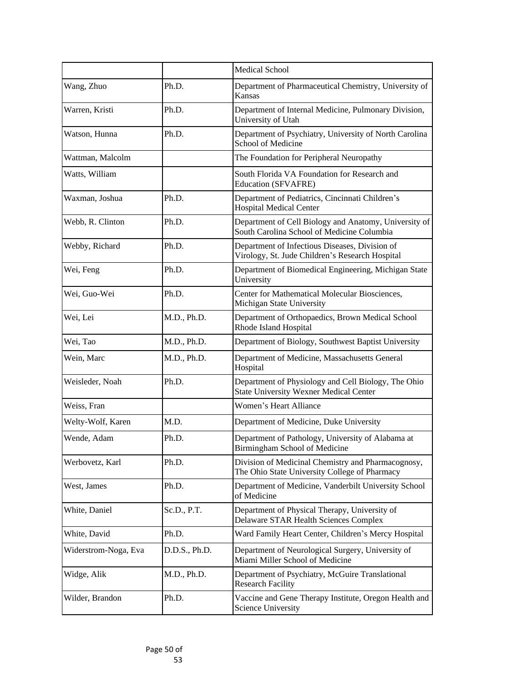|                      |               | <b>Medical School</b>                                                                                |
|----------------------|---------------|------------------------------------------------------------------------------------------------------|
| Wang, Zhuo           | Ph.D.         | Department of Pharmaceutical Chemistry, University of<br><b>Kansas</b>                               |
| Warren, Kristi       | Ph.D.         | Department of Internal Medicine, Pulmonary Division,<br>University of Utah                           |
| Watson, Hunna        | Ph.D.         | Department of Psychiatry, University of North Carolina<br><b>School of Medicine</b>                  |
| Wattman, Malcolm     |               | The Foundation for Peripheral Neuropathy                                                             |
| Watts, William       |               | South Florida VA Foundation for Research and<br><b>Education (SFVAFRE)</b>                           |
| Waxman, Joshua       | Ph.D.         | Department of Pediatrics, Cincinnati Children's<br><b>Hospital Medical Center</b>                    |
| Webb, R. Clinton     | Ph.D.         | Department of Cell Biology and Anatomy, University of<br>South Carolina School of Medicine Columbia  |
| Webby, Richard       | Ph.D.         | Department of Infectious Diseases, Division of<br>Virology, St. Jude Children's Research Hospital    |
| Wei, Feng            | Ph.D.         | Department of Biomedical Engineering, Michigan State<br>University                                   |
| Wei, Guo-Wei         | Ph.D.         | Center for Mathematical Molecular Biosciences,<br>Michigan State University                          |
| Wei, Lei             | M.D., Ph.D.   | Department of Orthopaedics, Brown Medical School<br>Rhode Island Hospital                            |
| Wei, Tao             | M.D., Ph.D.   | Department of Biology, Southwest Baptist University                                                  |
| Wein, Marc           | M.D., Ph.D.   | Department of Medicine, Massachusetts General<br>Hospital                                            |
| Weisleder, Noah      | Ph.D.         | Department of Physiology and Cell Biology, The Ohio<br><b>State University Wexner Medical Center</b> |
| Weiss, Fran          |               | <b>Women's Heart Alliance</b>                                                                        |
| Welty-Wolf, Karen    | M.D.          | Department of Medicine, Duke University                                                              |
| Wende, Adam          | Ph.D.         | Department of Pathology, University of Alabama at<br>Birmingham School of Medicine                   |
| Werbovetz, Karl      | Ph.D.         | Division of Medicinal Chemistry and Pharmacognosy,<br>The Ohio State University College of Pharmacy  |
| West, James          | Ph.D.         | Department of Medicine, Vanderbilt University School<br>of Medicine                                  |
| White, Daniel        | Sc.D., P.T.   | Department of Physical Therapy, University of<br>Delaware STAR Health Sciences Complex               |
| White, David         | Ph.D.         | Ward Family Heart Center, Children's Mercy Hospital                                                  |
| Widerstrom-Noga, Eva | D.D.S., Ph.D. | Department of Neurological Surgery, University of<br>Miami Miller School of Medicine                 |
| Widge, Alik          | M.D., Ph.D.   | Department of Psychiatry, McGuire Translational<br><b>Research Facility</b>                          |
| Wilder, Brandon      | Ph.D.         | Vaccine and Gene Therapy Institute, Oregon Health and<br><b>Science University</b>                   |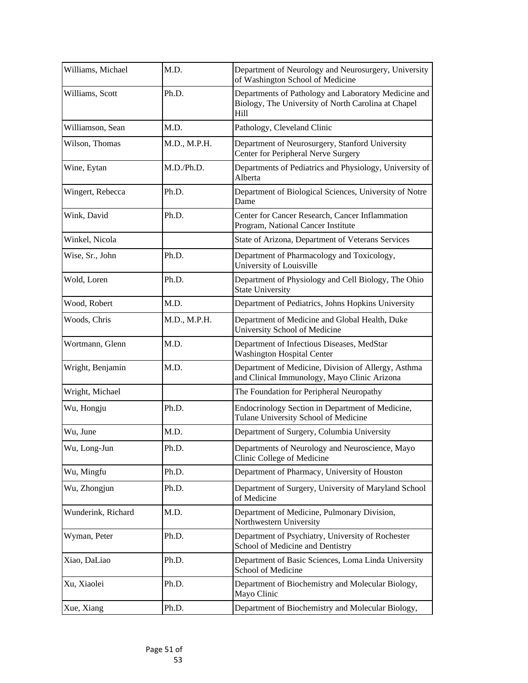| Williams, Michael  | M.D.         | Department of Neurology and Neurosurgery, University<br>of Washington School of Medicine                            |
|--------------------|--------------|---------------------------------------------------------------------------------------------------------------------|
| Williams, Scott    | Ph.D.        | Departments of Pathology and Laboratory Medicine and<br>Biology, The University of North Carolina at Chapel<br>Hill |
| Williamson, Sean   | M.D.         | Pathology, Cleveland Clinic                                                                                         |
| Wilson, Thomas     | M.D., M.P.H. | Department of Neurosurgery, Stanford University<br>Center for Peripheral Nerve Surgery                              |
| Wine, Eytan        | M.D./Ph.D.   | Departments of Pediatrics and Physiology, University of<br>Alberta                                                  |
| Wingert, Rebecca   | Ph.D.        | Department of Biological Sciences, University of Notre<br>Dame                                                      |
| Wink, David        | Ph.D.        | Center for Cancer Research, Cancer Inflammation<br>Program, National Cancer Institute                               |
| Winkel, Nicola     |              | State of Arizona, Department of Veterans Services                                                                   |
| Wise, Sr., John    | Ph.D.        | Department of Pharmacology and Toxicology,<br>University of Louisville                                              |
| Wold, Loren        | Ph.D.        | Department of Physiology and Cell Biology, The Ohio<br><b>State University</b>                                      |
| Wood, Robert       | M.D.         | Department of Pediatrics, Johns Hopkins University                                                                  |
| Woods, Chris       | M.D., M.P.H. | Department of Medicine and Global Health, Duke<br><b>University School of Medicine</b>                              |
| Wortmann, Glenn    | M.D.         | Department of Infectious Diseases, MedStar<br><b>Washington Hospital Center</b>                                     |
| Wright, Benjamin   | M.D.         | Department of Medicine, Division of Allergy, Asthma<br>and Clinical Immunology, Mayo Clinic Arizona                 |
| Wright, Michael    |              | The Foundation for Peripheral Neuropathy                                                                            |
| Wu, Hongju         | Ph.D.        | Endocrinology Section in Department of Medicine,<br>Tulane University School of Medicine                            |
| Wu, June           | M.D.         | Department of Surgery, Columbia University                                                                          |
| Wu, Long-Jun       | Ph.D.        | Departments of Neurology and Neuroscience, Mayo<br>Clinic College of Medicine                                       |
| Wu, Mingfu         | Ph.D.        | Department of Pharmacy, University of Houston                                                                       |
| Wu, Zhongjun       | Ph.D.        | Department of Surgery, University of Maryland School<br>of Medicine                                                 |
| Wunderink, Richard | M.D.         | Department of Medicine, Pulmonary Division,<br>Northwestern University                                              |
| Wyman, Peter       | Ph.D.        | Department of Psychiatry, University of Rochester<br>School of Medicine and Dentistry                               |
| Xiao, DaLiao       | Ph.D.        | Department of Basic Sciences, Loma Linda University<br><b>School of Medicine</b>                                    |
| Xu, Xiaolei        | Ph.D.        | Department of Biochemistry and Molecular Biology,<br>Mayo Clinic                                                    |
| Xue, Xiang         | Ph.D.        | Department of Biochemistry and Molecular Biology,                                                                   |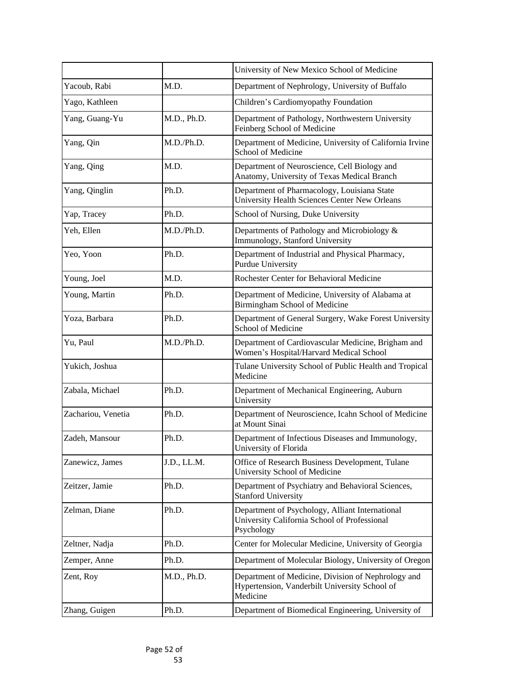|                    |             | University of New Mexico School of Medicine                                                                     |
|--------------------|-------------|-----------------------------------------------------------------------------------------------------------------|
| Yacoub, Rabi       | M.D.        | Department of Nephrology, University of Buffalo                                                                 |
| Yago, Kathleen     |             | Children's Cardiomyopathy Foundation                                                                            |
| Yang, Guang-Yu     | M.D., Ph.D. | Department of Pathology, Northwestern University<br>Feinberg School of Medicine                                 |
| Yang, Qin          | M.D./Ph.D.  | Department of Medicine, University of California Irvine<br><b>School of Medicine</b>                            |
| Yang, Qing         | M.D.        | Department of Neuroscience, Cell Biology and<br>Anatomy, University of Texas Medical Branch                     |
| Yang, Qinglin      | Ph.D.       | Department of Pharmacology, Louisiana State<br><b>University Health Sciences Center New Orleans</b>             |
| Yap, Tracey        | Ph.D.       | School of Nursing, Duke University                                                                              |
| Yeh, Ellen         | M.D./Ph.D.  | Departments of Pathology and Microbiology &<br>Immunology, Stanford University                                  |
| Yeo, Yoon          | Ph.D.       | Department of Industrial and Physical Pharmacy,<br>Purdue University                                            |
| Young, Joel        | M.D.        | Rochester Center for Behavioral Medicine                                                                        |
| Young, Martin      | Ph.D.       | Department of Medicine, University of Alabama at<br>Birmingham School of Medicine                               |
| Yoza, Barbara      | Ph.D.       | Department of General Surgery, Wake Forest University<br><b>School of Medicine</b>                              |
| Yu, Paul           | M.D./Ph.D.  | Department of Cardiovascular Medicine, Brigham and<br>Women's Hospital/Harvard Medical School                   |
| Yukich, Joshua     |             | Tulane University School of Public Health and Tropical<br>Medicine                                              |
| Zabala, Michael    | Ph.D.       | Department of Mechanical Engineering, Auburn<br>University                                                      |
| Zachariou, Venetia | Ph.D.       | Department of Neuroscience, Icahn School of Medicine<br>at Mount Sinai                                          |
| Zadeh, Mansour     | Ph.D.       | Department of Infectious Diseases and Immunology,<br>University of Florida                                      |
| Zanewicz, James    | J.D., LL.M. | Office of Research Business Development, Tulane<br><b>University School of Medicine</b>                         |
| Zeitzer, Jamie     | Ph.D.       | Department of Psychiatry and Behavioral Sciences,<br><b>Stanford University</b>                                 |
| Zelman, Diane      | Ph.D.       | Department of Psychology, Alliant International<br>University California School of Professional<br>Psychology   |
| Zeltner, Nadja     | Ph.D.       | Center for Molecular Medicine, University of Georgia                                                            |
| Zemper, Anne       | Ph.D.       | Department of Molecular Biology, University of Oregon                                                           |
| Zent, Roy          | M.D., Ph.D. | Department of Medicine, Division of Nephrology and<br>Hypertension, Vanderbilt University School of<br>Medicine |
| Zhang, Guigen      | Ph.D.       | Department of Biomedical Engineering, University of                                                             |